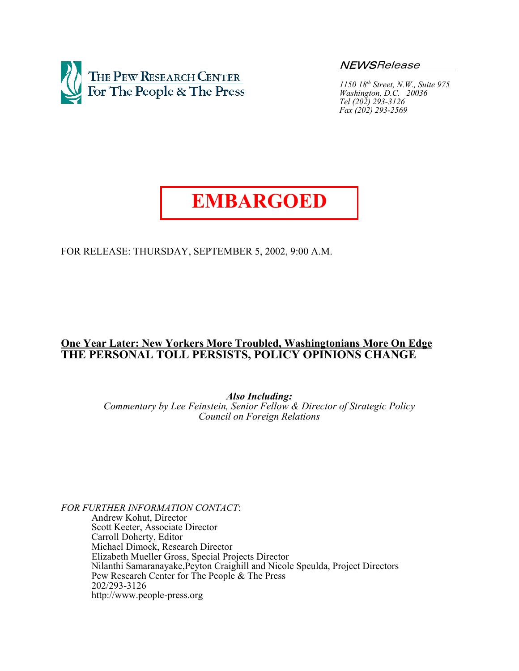

NEWSRelease

*1150 18th Street, N.W., Suite 975 Washington, D.C. 20036 Tel (202) 293-3126 Fax (202) 293-2569*

# **EMBARGOED**

FOR RELEASE: THURSDAY, SEPTEMBER 5, 2002, 9:00 A.M.

# **One Year Later: New Yorkers More Troubled, Washingtonians More On Edge THE PERSONAL TOLL PERSISTS, POLICY OPINIONS CHANGE**

*Also Including:*

*Commentary by Lee Feinstein, Senior Fellow & Director of Strategic Policy Council on Foreign Relations*

*FOR FURTHER INFORMATION CONTACT*:

Andrew Kohut, Director Scott Keeter, Associate Director Carroll Doherty, Editor Michael Dimock, Research Director Elizabeth Mueller Gross, Special Projects Director Nilanthi Samaranayake,Peyton Craighill and Nicole Speulda, Project Directors Pew Research Center for The People & The Press 202/293-3126 http://www.people-press.org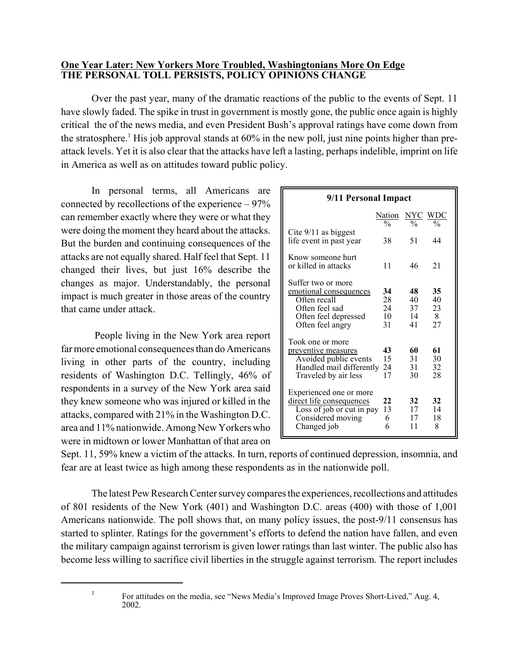# **One Year Later: New Yorkers More Troubled, Washingtonians More On Edge THE PERSONAL TOLL PERSISTS, POLICY OPINIONS CHANGE**

Over the past year, many of the dramatic reactions of the public to the events of Sept. 11 have slowly faded. The spike in trust in government is mostly gone, the public once again is highly critical the of the news media, and even President Bush's approval ratings have come down from the stratosphere.<sup>1</sup> His job approval stands at 60% in the new poll, just nine points higher than preattack levels. Yet it is also clear that the attacks have left a lasting, perhaps indelible, imprint on life in America as well as on attitudes toward public policy.

In personal terms, all Americans are connected by recollections of the experience – 97% can remember exactly where they were or what they were doing the moment they heard about the attacks. But the burden and continuing consequences of the attacks are not equally shared. Half feel that Sept. 11 changed their lives, but just 16% describe the changes as major. Understandably, the personal impact is much greater in those areas of the country that came under attack.

 People living in the New York area report far more emotional consequences than do Americans living in other parts of the country, including residents of Washington D.C. Tellingly, 46% of respondents in a survey of the New York area said they knew someone who was injured or killed in the attacks, compared with 21% in the Washington D.C. area and 11% nationwide. Among New Yorkers who were in midtown or lower Manhattan of that area on

| 9/11 Personal Impact                                                                                                       |                                |                            |                           |  |
|----------------------------------------------------------------------------------------------------------------------------|--------------------------------|----------------------------|---------------------------|--|
|                                                                                                                            | <b>Nation</b><br>$\frac{0}{0}$ |                            | <b>NYC WDC</b>            |  |
| Cite $9/11$ as biggest<br>life event in past year                                                                          | 38                             | 51                         | 44                        |  |
| Know someone hurt<br>or killed in attacks                                                                                  | 11                             | 46                         | 21                        |  |
| Suffer two or more<br>emotional consequences<br>Often recall<br>Often feel sad<br>Often feel depressed<br>Often feel angry | 34<br>28<br>24<br>10<br>31     | 48<br>40<br>37<br>14<br>41 | 35<br>40<br>23<br>8<br>27 |  |
| Took one or more<br>preventive measures<br>Avoided public events<br>Handled mail differently<br>Traveled by air less       | 43<br>15<br>24<br>17           | 60<br>31<br>31<br>30       | 61<br>30<br>32<br>28      |  |
| Experienced one or more<br>direct life consequences<br>Loss of job or cut in pay<br>Considered moving<br>Changed job       | 22<br>13<br>6<br>6             | 32<br>17<br>17<br>11       | 32<br>14<br>18<br>8       |  |

Sept. 11, 59% knew a victim of the attacks. In turn, reports of continued depression, insomnia, and fear are at least twice as high among these respondents as in the nationwide poll.

The latest Pew Research Center survey compares the experiences, recollections and attitudes of 801 residents of the New York (401) and Washington D.C. areas (400) with those of 1,001 Americans nationwide. The poll shows that, on many policy issues, the post-9/11 consensus has started to splinter. Ratings for the government's efforts to defend the nation have fallen, and even the military campaign against terrorism is given lower ratings than last winter. The public also has become less willing to sacrifice civil liberties in the struggle against terrorism. The report includes

<sup>&</sup>lt;sup>1</sup> For attitudes on the media, see "News Media's Improved Image Proves Short-Lived," Aug. 4, 2002.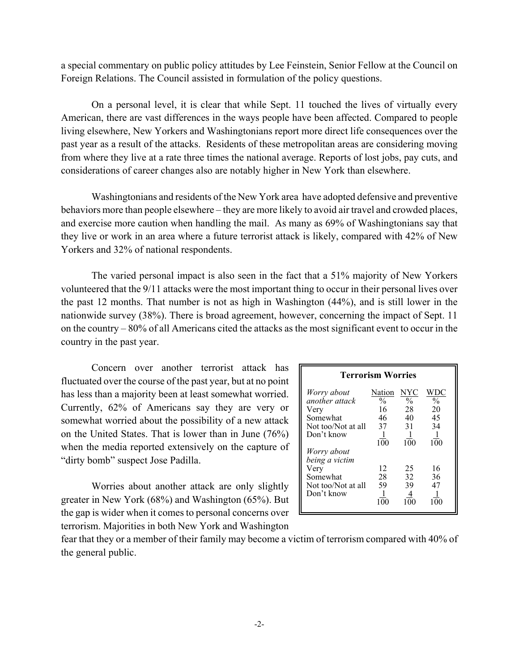a special commentary on public policy attitudes by Lee Feinstein, Senior Fellow at the Council on Foreign Relations. The Council assisted in formulation of the policy questions.

On a personal level, it is clear that while Sept. 11 touched the lives of virtually every American, there are vast differences in the ways people have been affected. Compared to people living elsewhere, New Yorkers and Washingtonians report more direct life consequences over the past year as a result of the attacks. Residents of these metropolitan areas are considering moving from where they live at a rate three times the national average. Reports of lost jobs, pay cuts, and considerations of career changes also are notably higher in New York than elsewhere.

Washingtonians and residents of the New York area have adopted defensive and preventive behaviors more than people elsewhere – they are more likely to avoid air travel and crowded places, and exercise more caution when handling the mail. As many as 69% of Washingtonians say that they live or work in an area where a future terrorist attack is likely, compared with 42% of New Yorkers and 32% of national respondents.

The varied personal impact is also seen in the fact that a 51% majority of New Yorkers volunteered that the 9/11 attacks were the most important thing to occur in their personal lives over the past 12 months. That number is not as high in Washington (44%), and is still lower in the nationwide survey (38%). There is broad agreement, however, concerning the impact of Sept. 11 on the country – 80% of all Americans cited the attacks as the most significant event to occur in the country in the past year.

Concern over another terrorist attack has fluctuated over the course of the past year, but at no point has less than a majority been at least somewhat worried. Currently, 62% of Americans say they are very or somewhat worried about the possibility of a new attack on the United States. That is lower than in June (76%) when the media reported extensively on the capture of "dirty bomb" suspect Jose Padilla.

Worries about another attack are only slightly greater in New York (68%) and Washington (65%). But the gap is wider when it comes to personal concerns over terrorism. Majorities in both New York and Washington

| <b>Terrorism Worries</b>                                                                             |                                                               |                                                            |                                                            |  |  |
|------------------------------------------------------------------------------------------------------|---------------------------------------------------------------|------------------------------------------------------------|------------------------------------------------------------|--|--|
| Worry about<br>another attack<br>Very<br>Somewhat<br>Not too/Not at all<br>Don't know<br>Worry about | Nation<br>$\frac{0}{0}$<br>16<br>46<br>37<br>$1\overline{0}0$ | NYC<br>$\frac{0}{0}$<br>28<br>40<br>31<br>$1\overline{0}0$ | WDC<br>$\frac{0}{0}$<br>20<br>45<br>34<br>$1\overline{0}0$ |  |  |
| being a victim<br>Very<br>Somewhat<br>Not too/Not at all<br>Don't know                               | 12<br>28<br>59                                                | 25<br>32<br>39                                             | 16<br>36<br>47                                             |  |  |

fear that they or a member of their family may become a victim of terrorism compared with 40% of the general public.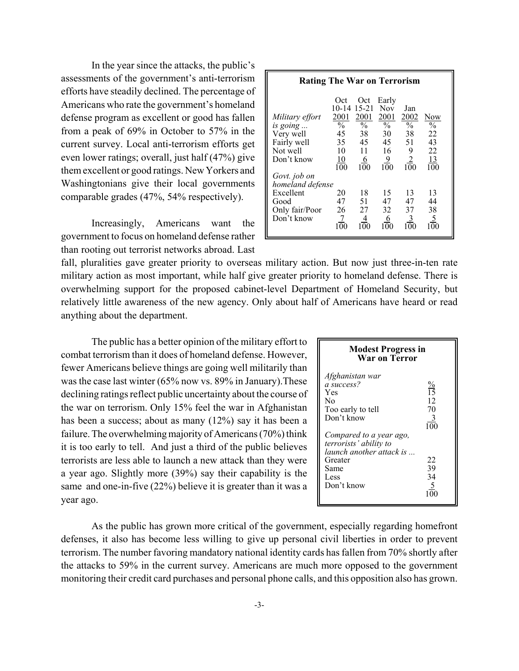In the year since the attacks, the public's assessments of the government's anti-terrorism efforts have steadily declined. The percentage of Americans who rate the government's homeland defense program as excellent or good has fallen from a peak of 69% in October to 57% in the current survey. Local anti-terrorism efforts get even lower ratings; overall, just half (47%) give them excellent or good ratings. New Yorkers and Washingtonians give their local governments comparable grades (47%, 54% respectively).

Increasingly, Americans want the government to focus on homeland defense rather than rooting out terrorist networks abroad. Last

| <b>Rating The War on Terrorism</b>                                                    |                                                                                   |                                                                                  |                                                                                         |                                                                        |                                                            |
|---------------------------------------------------------------------------------------|-----------------------------------------------------------------------------------|----------------------------------------------------------------------------------|-----------------------------------------------------------------------------------------|------------------------------------------------------------------------|------------------------------------------------------------|
| Military effort<br>is going<br>Very well<br>Fairly well<br>Not well<br>Don't know     | Oct<br>10-14<br>2001<br>$\frac{0}{0}$<br>45<br>35<br>10<br>10<br>$\overline{100}$ | Oct<br>15-21<br>2001<br>$\frac{0}{0}$<br>38<br>45<br>11<br>6<br>$1\overline{0}0$ | Early<br><b>Nov</b><br>2001<br>$\frac{0}{0}$<br>30<br>45<br>16<br>9<br>$1\overline{0}0$ | Jan<br>2002<br>$\frac{0}{0}$<br>38<br>51<br>9<br>2<br>$1\overline{0}0$ | <u>Now</u><br>$\frac{0}{0}$<br>22<br>43<br>22<br>13<br>100 |
| Govt. job on<br>homeland defense<br>Excellent<br>Good<br>Only fair/Poor<br>Don't know | 20<br>47<br>26<br>7<br>100                                                        | 18<br>51<br>27<br>4<br>100                                                       | 15<br>47<br>32<br>6<br>100                                                              | 13<br>47<br>37<br>3<br>100                                             | 13<br>44<br>38<br>5<br>100                                 |

fall, pluralities gave greater priority to overseas military action. But now just three-in-ten rate military action as most important, while half give greater priority to homeland defense. There is overwhelming support for the proposed cabinet-level Department of Homeland Security, but relatively little awareness of the new agency. Only about half of Americans have heard or read anything about the department.

The public has a better opinion of the military effort to combat terrorism than it does of homeland defense. However, fewer Americans believe things are going well militarily than was the case last winter (65% now vs. 89% in January).These declining ratings reflect public uncertainty about the course of the war on terrorism. Only 15% feel the war in Afghanistan has been a success; about as many (12%) say it has been a failure. The overwhelming majority of Americans (70%) think it is too early to tell. And just a third of the public believes terrorists are less able to launch a new attack than they were a year ago. Slightly more (39%) say their capability is the same and one-in-five (22%) believe it is greater than it was a year ago.

| <b>Modest Progress in</b> |  |
|---------------------------|--|
| War on Terror             |  |

| Afghanistan war<br>a success?<br>Yes<br>Nο<br>Too early to tell<br>Don't know | $\frac{\%}{15}$<br>12<br>70<br>3 |
|-------------------------------------------------------------------------------|----------------------------------|
| Compared to a year ago,                                                       | 100                              |
| terrorists' ability to                                                        |                                  |
| launch another attack is<br>Greater                                           | 22                               |
| Same                                                                          | 39                               |
| Less                                                                          | 34                               |
| Don't know                                                                    | 5                                |

As the public has grown more critical of the government, especially regarding homefront defenses, it also has become less willing to give up personal civil liberties in order to prevent terrorism. The number favoring mandatory national identity cards has fallen from 70% shortly after the attacks to 59% in the current survey. Americans are much more opposed to the government monitoring their credit card purchases and personal phone calls, and this opposition also has grown.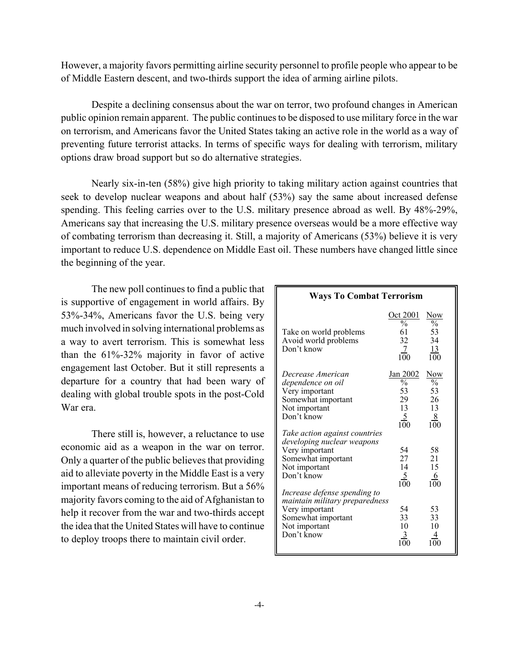However, a majority favors permitting airline security personnel to profile people who appear to be of Middle Eastern descent, and two-thirds support the idea of arming airline pilots.

Despite a declining consensus about the war on terror, two profound changes in American public opinion remain apparent. The public continues to be disposed to use military force in the war on terrorism, and Americans favor the United States taking an active role in the world as a way of preventing future terrorist attacks. In terms of specific ways for dealing with terrorism, military options draw broad support but so do alternative strategies.

Nearly six-in-ten (58%) give high priority to taking military action against countries that seek to develop nuclear weapons and about half (53%) say the same about increased defense spending. This feeling carries over to the U.S. military presence abroad as well. By 48%-29%, Americans say that increasing the U.S. military presence overseas would be a more effective way of combating terrorism than decreasing it. Still, a majority of Americans (53%) believe it is very important to reduce U.S. dependence on Middle East oil. These numbers have changed little since the beginning of the year.

The new poll continues to find a public that is supportive of engagement in world affairs. By 53%-34%, Americans favor the U.S. being very much involved in solving international problems as a way to avert terrorism. This is somewhat less than the 61%-32% majority in favor of active engagement last October. But it still represents a departure for a country that had been wary of dealing with global trouble spots in the post-Cold War era.

There still is, however, a reluctance to use economic aid as a weapon in the war on terror. Only a quarter of the public believes that providing aid to alleviate poverty in the Middle East is a very important means of reducing terrorism. But a 56% majority favors coming to the aid of Afghanistan to help it recover from the war and two-thirds accept the idea that the United States will have to continue to deploy troops there to maintain civil order.

| <b>Ways To Combat Terrorism</b>                                                                                                                |                                                                                 |                                                                                   |  |  |
|------------------------------------------------------------------------------------------------------------------------------------------------|---------------------------------------------------------------------------------|-----------------------------------------------------------------------------------|--|--|
| Take on world problems<br>Avoid world problems<br>Don't know                                                                                   | Oct 2001<br>$\frac{0}{0}$<br>61<br>32<br>7<br>$1\overline{0}0$                  | <u>Now</u><br>$\frac{0}{0}$<br>53<br>34<br><u>13</u><br>100                       |  |  |
| Decrease American<br>dependence on oil<br>Very important<br>Somewhat important<br>Not important<br>Don't know<br>Take action against countries | Jan 2002<br>$\overline{\frac{0}{6}}$<br>53<br>29<br>13<br>$\overline{5}$<br>100 | <b>Now</b><br>$\overline{\theta}/_{0}$<br>53<br>26<br>13<br>8<br>$1\overline{0}0$ |  |  |
| developing nuclear weapons<br>Very important<br>Somewhat important<br>Not important<br>Don't know                                              | 54<br>27<br>14<br><u>5</u><br>100                                               | 58<br>21<br>15<br>6<br>100                                                        |  |  |
| Increase defense spending to<br>maintain military preparedness<br>Very important<br>Somewhat important<br>Not important<br>Don't know          | 54<br>33<br>10<br>3<br>100                                                      | 53<br>33<br>10                                                                    |  |  |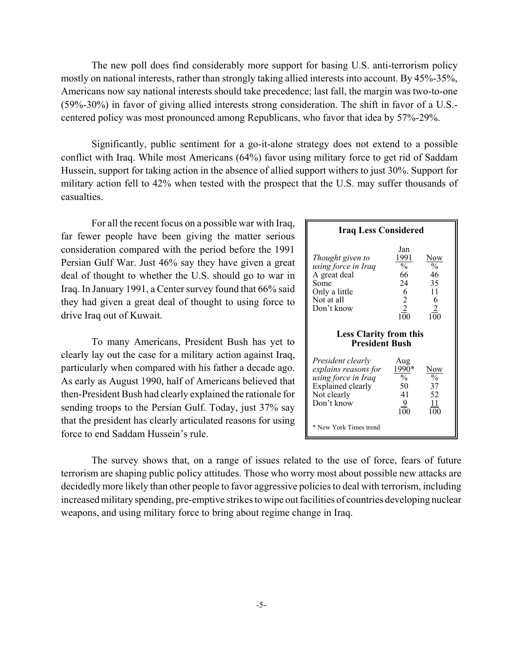The new poll does find considerably more support for basing U.S. anti-terrorism policy mostly on national interests, rather than strongly taking allied interests into account. By 45%-35%, Americans now say national interests should take precedence; last fall, the margin was two-to-one (59%-30%) in favor of giving allied interests strong consideration. The shift in favor of a U.S. centered policy was most pronounced among Republicans, who favor that idea by 57%-29%.

Significantly, public sentiment for a go-it-alone strategy does not extend to a possible conflict with Iraq. While most Americans (64%) favor using military force to get rid of Saddam Hussein, support for taking action in the absence of allied support withers to just 30%. Support for military action fell to 42% when tested with the prospect that the U.S. may suffer thousands of casualties.

For all the recent focus on a possible war with Iraq, far fewer people have been giving the matter serious consideration compared with the period before the 1991 Persian Gulf War. Just 46% say they have given a great deal of thought to whether the U.S. should go to war in Iraq. In January 1991, a Center survey found that 66% said they had given a great deal of thought to using force to drive Iraq out of Kuwait.

To many Americans, President Bush has yet to clearly lay out the case for a military action against Iraq, particularly when compared with his father a decade ago. As early as August 1990, half of Americans believed that then-President Bush had clearly explained the rationale for sending troops to the Persian Gulf. Today, just 37% say that the president has clearly articulated reasons for using force to end Saddam Hussein's rule.

| <b>Iraq Less Considered</b>                                                                                               |                                                                                    |                                                                |  |  |
|---------------------------------------------------------------------------------------------------------------------------|------------------------------------------------------------------------------------|----------------------------------------------------------------|--|--|
| Thought given to<br>using force in Iraq<br>A great deal<br>Some<br>Only a little<br>Not at all<br>Don't know              | Jan<br>1991<br>$\frac{1}{2}$<br>66<br>24<br>6<br>$\overline{2}$<br>$\frac{2}{100}$ | Now<br>$\frac{0}{0}$<br>46<br>35<br>11<br>6<br>$\frac{2}{100}$ |  |  |
| <b>Less Clarity from this</b><br><b>President Bush</b>                                                                    |                                                                                    |                                                                |  |  |
| President clearly<br>explains reasons for<br>using force in Iraq<br><b>Explained clearly</b><br>Not clearly<br>Don't know | Aug<br>1990*<br>$\frac{0}{0}$<br>50<br>41<br>9                                     | Now<br>$\frac{0}{0}$<br>37<br>52<br>11<br>100                  |  |  |
| * New York Times trend                                                                                                    |                                                                                    |                                                                |  |  |

The survey shows that, on a range of issues related to the use of force, fears of future terrorism are shaping public policy attitudes. Those who worry most about possible new attacks are decidedly more likely than other people to favor aggressive policies to deal with terrorism, including increased military spending, pre-emptive strikes to wipe out facilities of countries developing nuclear weapons, and using military force to bring about regime change in Iraq.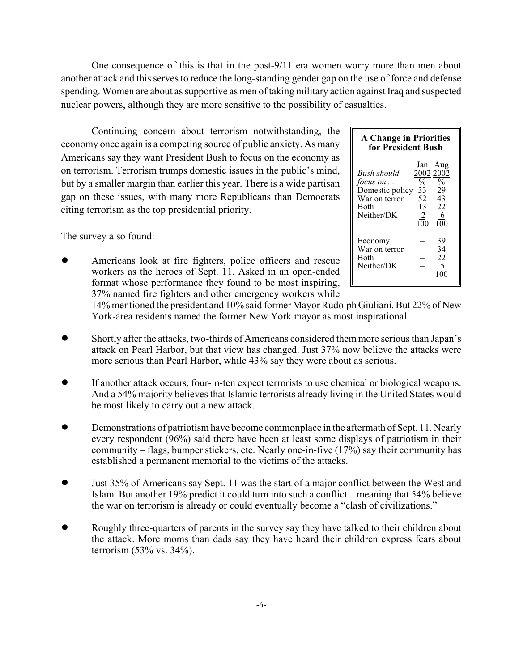One consequence of this is that in the post-9/11 era women worry more than men about another attack and this serves to reduce the long-standing gender gap on the use of force and defense spending. Women are about as supportive as men of taking military action against Iraq and suspected nuclear powers, although they are more sensitive to the possibility of casualties.

Continuing concern about terrorism notwithstanding, the economy once again is a competing source of public anxiety. As many Americans say they want President Bush to focus on the economy as on terrorism. Terrorism trumps domestic issues in the public's mind, but by a smaller margin than earlier this year. There is a wide partisan gap on these issues, with many more Republicans than Democrats citing terrorism as the top presidential priority.

The survey also found:

! Americans look at fire fighters, police officers and rescue workers as the heroes of Sept. 11. Asked in an open-ended format whose performance they found to be most inspiring, 37% named fire fighters and other emergency workers while

| <b>A Change in Priorities</b><br>for President Bush                                             |                                                                                                                          |  |  |  |
|-------------------------------------------------------------------------------------------------|--------------------------------------------------------------------------------------------------------------------------|--|--|--|
| Bush should<br><i>focus on</i><br>Domestic policy<br>War on terror<br><b>Both</b><br>Neither/DK | Jan Aug<br>2002 2002<br>$\overline{0}/_{0}$<br>$\frac{0}{0}$<br>29<br>33<br>52<br>43<br>22<br>13<br>6<br>2<br>100<br>100 |  |  |  |
| Economy<br>War on terror<br><b>Both</b><br>Neither/DK                                           | 39<br>34<br>22<br>5                                                                                                      |  |  |  |

14% mentioned the president and 10% said former Mayor Rudolph Giuliani. But 22% of New York-area residents named the former New York mayor as most inspirational.

- ! Shortly after the attacks, two-thirds of Americans considered them more serious than Japan's attack on Pearl Harbor, but that view has changed. Just 37% now believe the attacks were more serious than Pearl Harbor, while 43% say they were about as serious.
- ! If another attack occurs, four-in-ten expect terrorists to use chemical or biological weapons. And a 54% majority believes that Islamic terrorists already living in the United States would be most likely to carry out a new attack.
- ! Demonstrations of patriotism have become commonplace in the aftermath of Sept. 11. Nearly every respondent (96%) said there have been at least some displays of patriotism in their community – flags, bumper stickers, etc. Nearly one-in-five (17%) say their community has established a permanent memorial to the victims of the attacks.
- ! Just 35% of Americans say Sept. 11 was the start of a major conflict between the West and Islam. But another 19% predict it could turn into such a conflict – meaning that 54% believe the war on terrorism is already or could eventually become a "clash of civilizations."
- Roughly three-quarters of parents in the survey say they have talked to their children about the attack. More moms than dads say they have heard their children express fears about terrorism (53% vs. 34%).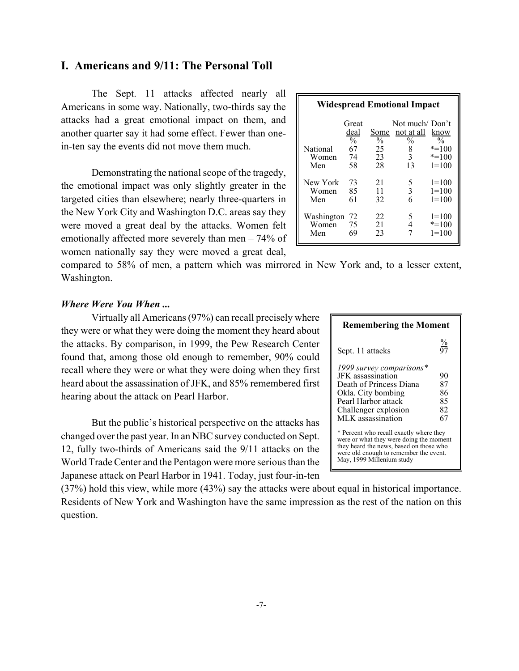# **I. Americans and 9/11: The Personal Toll**

The Sept. 11 attacks affected nearly all Americans in some way. Nationally, two-thirds say the attacks had a great emotional impact on them, and another quarter say it had some effect. Fewer than onein-ten say the events did not move them much.

Demonstrating the national scope of the tragedy, the emotional impact was only slightly greater in the targeted cities than elsewhere; nearly three-quarters in the New York City and Washington D.C. areas say they were moved a great deal by the attacks. Women felt emotionally affected more severely than men – 74% of women nationally say they were moved a great deal,

| <b>Widespread Emotional Impact</b> |                                |                       |                                               |                                     |
|------------------------------------|--------------------------------|-----------------------|-----------------------------------------------|-------------------------------------|
|                                    | Great<br>deal<br>$\frac{0}{0}$ | Some<br>$\frac{0}{0}$ | Not much/Don't<br>not at all<br>$\frac{0}{0}$ | know<br>$\%$                        |
| National<br>Women<br>Men           | 67<br>74<br>58                 | 25<br>23<br>28        | 8<br>$\mathcal{E}$<br>13                      | $* = 100$<br>$* = 100$<br>$1 = 100$ |
| New York<br>Women<br>Men           | 73<br>85<br>61                 | 21<br>11<br>32        | 5<br>3<br>6                                   | $1 = 100$<br>$1 = 100$<br>$1 = 100$ |
| Washington<br>Women<br>Men         | -72<br>75<br>69                | 22<br>21<br>23        | 5<br>4                                        | $1=100$<br>$* = 100$<br>$1 = 100$   |

compared to 58% of men, a pattern which was mirrored in New York and, to a lesser extent, Washington.

### *Where Were You When ...*

Virtually all Americans (97%) can recall precisely where they were or what they were doing the moment they heard about the attacks. By comparison, in 1999, the Pew Research Center found that, among those old enough to remember, 90% could recall where they were or what they were doing when they first heard about the assassination of JFK, and 85% remembered first hearing about the attack on Pearl Harbor.

But the public's historical perspective on the attacks has changed over the past year. In an NBC survey conducted on Sept. 12, fully two-thirds of Americans said the 9/11 attacks on the World Trade Center and the Pentagon were more serious than the Japanese attack on Pearl Harbor in 1941. Today, just four-in-ten

(37%) hold this view, while more (43%) say the attacks were about equal in historical importance. Residents of New York and Washington have the same impression as the rest of the nation on this question.

| <b>Remembering the Moment</b>                                                                                                                                                                        |                 |  |  |
|------------------------------------------------------------------------------------------------------------------------------------------------------------------------------------------------------|-----------------|--|--|
| Sept. 11 attacks                                                                                                                                                                                     | $\frac{\%}{97}$ |  |  |
| 1999 survey comparisons*                                                                                                                                                                             |                 |  |  |
| JFK assassination                                                                                                                                                                                    | 90              |  |  |
| Death of Princess Diana                                                                                                                                                                              | 87              |  |  |
| Okla. City bombing                                                                                                                                                                                   | 86              |  |  |
| Pearl Harbor attack                                                                                                                                                                                  | 85              |  |  |
| Challenger explosion                                                                                                                                                                                 | 82              |  |  |
| MLK assassination                                                                                                                                                                                    | 67              |  |  |
| * Percent who recall exactly where they<br>were or what they were doing the moment<br>they heard the news, based on those who<br>were old enough to remember the event.<br>May, 1999 Millenium study |                 |  |  |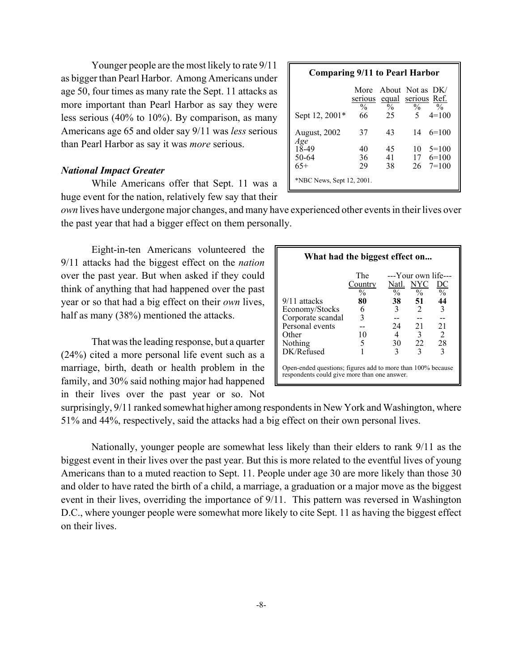Younger people are the most likely to rate 9/11 as bigger than Pearl Harbor. Among Americans under age 50, four times as many rate the Sept. 11 attacks as more important than Pearl Harbor as say they were less serious (40% to 10%). By comparison, as many Americans age 65 and older say 9/11 was *less* serious than Pearl Harbor as say it was *more* serious.

#### *National Impact Greater*

While Americans offer that Sept. 11 was a huge event for the nation, relatively few say that their

| <b>Comparing 9/11 to Pearl Harbor</b> |                                             |                                        |                              |                    |
|---------------------------------------|---------------------------------------------|----------------------------------------|------------------------------|--------------------|
|                                       | serious equal serious Ref.<br>$\frac{0}{0}$ | More About Not as DK/<br>$\frac{0}{0}$ | $\frac{0}{0}$<br>$5^{\circ}$ | $\frac{0}{0}$      |
| Sept 12, 2001*                        | 66                                          | 25                                     |                              | $4=100$            |
| <b>August, 2002</b><br>Age            | 37                                          | 43                                     |                              | $14 \quad 6 = 100$ |
| 18-49                                 | 40                                          | 45                                     | 10                           | $5=100$            |
| 50-64                                 | 36                                          | 41                                     |                              | $17 \quad 6 = 100$ |
| $65+$                                 | 29                                          | 38                                     |                              | $26 \quad 7 = 100$ |
| *NBC News, Sept 12, 2001.             |                                             |                                        |                              |                    |

*own* lives have undergone major changes, and many have experienced other events in their lives over the past year that had a bigger effect on them personally.

Eight-in-ten Americans volunteered the 9/11 attacks had the biggest effect on the *nation* over the past year. But when asked if they could think of anything that had happened over the past year or so that had a big effect on their *own* lives, half as many (38%) mentioned the attacks.

That was the leading response, but a quarter (24%) cited a more personal life event such as a marriage, birth, death or health problem in the family, and 30% said nothing major had happened in their lives over the past year or so. Not

| What had the biggest effect on                                                                              |                                 |                        |                                             |                                   |  |
|-------------------------------------------------------------------------------------------------------------|---------------------------------|------------------------|---------------------------------------------|-----------------------------------|--|
|                                                                                                             | The<br>Country<br>$\frac{0}{0}$ | Natl.<br>$\frac{0}{6}$ | ---Your own life---<br>NYC<br>$\frac{0}{6}$ | DC<br>$\overline{\mathfrak{0}}_0$ |  |
| 9/11 attacks                                                                                                | 80                              | 38                     | 51                                          | 44                                |  |
| Economy/Stocks                                                                                              | 6                               | 3                      | $\mathcal{D}_{\mathcal{L}}$                 | 3                                 |  |
| Corporate scandal                                                                                           | 3                               |                        |                                             |                                   |  |
| Personal events                                                                                             |                                 | 24                     | 21                                          | 21                                |  |
| Other                                                                                                       | 10                              | 4                      | 3                                           | $\mathcal{D}_{\mathcal{L}}$       |  |
| Nothing                                                                                                     | 5                               | 30                     | 22                                          | 28                                |  |
| DK/Refused                                                                                                  |                                 | 3                      | 3                                           | 3                                 |  |
| Open-ended questions; figures add to more than 100% because<br>respondents could give more than one answer. |                                 |                        |                                             |                                   |  |

surprisingly, 9/11 ranked somewhat higher among respondents in New York and Washington, where 51% and 44%, respectively, said the attacks had a big effect on their own personal lives.

Nationally, younger people are somewhat less likely than their elders to rank 9/11 as the biggest event in their lives over the past year. But this is more related to the eventful lives of young Americans than to a muted reaction to Sept. 11. People under age 30 are more likely than those 30 and older to have rated the birth of a child, a marriage, a graduation or a major move as the biggest event in their lives, overriding the importance of 9/11. This pattern was reversed in Washington D.C., where younger people were somewhat more likely to cite Sept. 11 as having the biggest effect on their lives.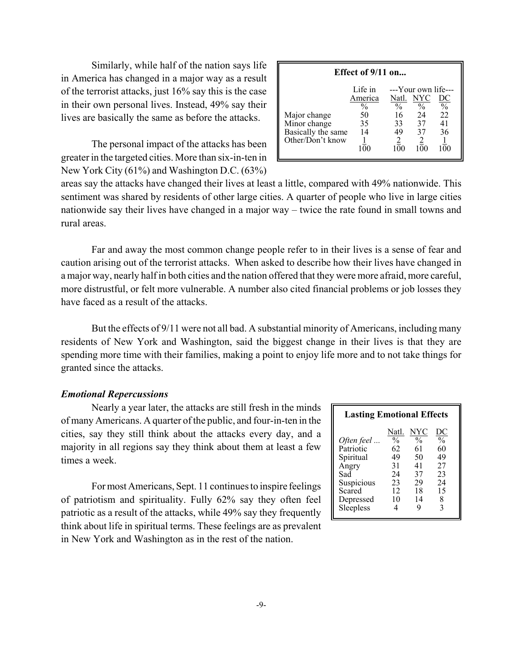Similarly, while half of the nation says life in America has changed in a major way as a result of the terrorist attacks, just 16% say this is the case in their own personal lives. Instead, 49% say their lives are basically the same as before the attacks.

The personal impact of the attacks has been greater in the targeted cities. More than six-in-ten in New York City (61%) and Washington D.C. (63%)

| Effect of 9/11 on                                                      |                                                              |                                               |                                                               |                                        |  |  |
|------------------------------------------------------------------------|--------------------------------------------------------------|-----------------------------------------------|---------------------------------------------------------------|----------------------------------------|--|--|
| Major change<br>Minor change<br>Basically the same<br>Other/Don't know | Life in<br>America<br>$\frac{0}{0}$<br>50<br>35<br>14<br>100 | Natl.<br>$\frac{0}{0}$<br>16<br>33<br>49<br>2 | ---Your own life---<br>NYC<br>$\frac{0}{0}$<br>24<br>37<br>37 | $rac{\text{DC}}{\%}$<br>22<br>41<br>36 |  |  |

areas say the attacks have changed their lives at least a little, compared with 49% nationwide. This sentiment was shared by residents of other large cities. A quarter of people who live in large cities nationwide say their lives have changed in a major way – twice the rate found in small towns and rural areas.

Far and away the most common change people refer to in their lives is a sense of fear and caution arising out of the terrorist attacks. When asked to describe how their lives have changed in a major way, nearly half in both cities and the nation offered that they were more afraid, more careful, more distrustful, or felt more vulnerable. A number also cited financial problems or job losses they have faced as a result of the attacks.

But the effects of 9/11 were not all bad. A substantial minority of Americans, including many residents of New York and Washington, said the biggest change in their lives is that they are spending more time with their families, making a point to enjoy life more and to not take things for granted since the attacks.

### *Emotional Repercussions*

Nearly a year later, the attacks are still fresh in the minds of many Americans. A quarter of the public, and four-in-ten in the cities, say they still think about the attacks every day, and a majority in all regions say they think about them at least a few times a week.

For most Americans, Sept. 11 continues to inspire feelings of patriotism and spirituality. Fully 62% say they often feel patriotic as a result of the attacks, while 49% say they frequently think about life in spiritual terms. These feelings are as prevalent in New York and Washington as in the rest of the nation.

| <b>Lasting Emotional Effects</b>                                                                       |                                                                       |                                                                     |                                                                          |  |  |  |
|--------------------------------------------------------------------------------------------------------|-----------------------------------------------------------------------|---------------------------------------------------------------------|--------------------------------------------------------------------------|--|--|--|
| Often feel<br>Patriotic<br>Spiritual<br>Angry<br>Sad<br>Suspicious<br>Scared<br>Depressed<br>Sleepless | Natl.<br>$\frac{0}{0}$<br>62<br>49<br>31<br>24<br>23<br>12<br>10<br>4 | NYC<br>$\frac{0}{0}$<br>61<br>50<br>41<br>37<br>29<br>18<br>14<br>g | <u>DC</u><br>$\frac{0}{0}$<br>60<br>49<br>27<br>23<br>24<br>15<br>8<br>3 |  |  |  |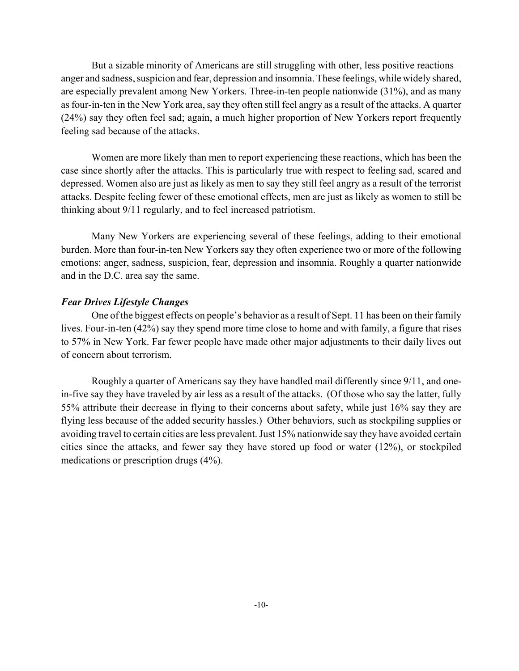But a sizable minority of Americans are still struggling with other, less positive reactions – anger and sadness, suspicion and fear, depression and insomnia. These feelings, while widely shared, are especially prevalent among New Yorkers. Three-in-ten people nationwide (31%), and as many as four-in-ten in the New York area, say they often still feel angry as a result of the attacks. A quarter (24%) say they often feel sad; again, a much higher proportion of New Yorkers report frequently feeling sad because of the attacks.

Women are more likely than men to report experiencing these reactions, which has been the case since shortly after the attacks. This is particularly true with respect to feeling sad, scared and depressed. Women also are just as likely as men to say they still feel angry as a result of the terrorist attacks. Despite feeling fewer of these emotional effects, men are just as likely as women to still be thinking about 9/11 regularly, and to feel increased patriotism.

Many New Yorkers are experiencing several of these feelings, adding to their emotional burden. More than four-in-ten New Yorkers say they often experience two or more of the following emotions: anger, sadness, suspicion, fear, depression and insomnia. Roughly a quarter nationwide and in the D.C. area say the same.

### *Fear Drives Lifestyle Changes*

One of the biggest effects on people's behavior as a result of Sept. 11 has been on their family lives. Four-in-ten (42%) say they spend more time close to home and with family, a figure that rises to 57% in New York. Far fewer people have made other major adjustments to their daily lives out of concern about terrorism.

Roughly a quarter of Americans say they have handled mail differently since 9/11, and onein-five say they have traveled by air less as a result of the attacks. (Of those who say the latter, fully 55% attribute their decrease in flying to their concerns about safety, while just 16% say they are flying less because of the added security hassles.) Other behaviors, such as stockpiling supplies or avoiding travel to certain cities are less prevalent. Just 15% nationwide say they have avoided certain cities since the attacks, and fewer say they have stored up food or water (12%), or stockpiled medications or prescription drugs (4%).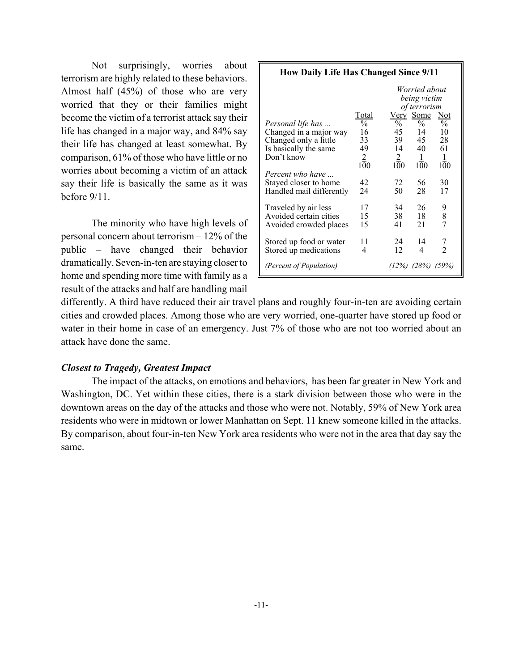Not surprisingly, worries about terrorism are highly related to these behaviors. Almost half (45%) of those who are very worried that they or their families might become the victim of a terrorist attack say their life has changed in a major way, and 84% say their life has changed at least somewhat. By comparison, 61% of those who have little or no worries about becoming a victim of an attack say their life is basically the same as it was before 9/11.

The minority who have high levels of personal concern about terrorism – 12% of the public – have changed their behavior dramatically. Seven-in-ten are staying closer to home and spending more time with family as a result of the attacks and half are handling mail

| <b>How Daily Life Has Changed Since 9/11</b>                                                         |                                          |                                             |                                                                                      |                                      |  |  |
|------------------------------------------------------------------------------------------------------|------------------------------------------|---------------------------------------------|--------------------------------------------------------------------------------------|--------------------------------------|--|--|
| <i>Personal life has</i><br>Changed in a major way<br>Changed only a little<br>Is basically the same | Total<br>$\frac{0}{0}$<br>16<br>33<br>49 | $\sqrt[0]{\phantom{.}}_0$<br>45<br>39<br>14 | Worried about<br>being victim<br>of terrorism<br>Very Some<br>$\%$<br>14<br>45<br>40 | <b>Not</b><br>$\%$<br>10<br>28<br>61 |  |  |
| Don't know<br>Percent who have<br>Stayed closer to home<br>Handled mail differently                  | $\frac{2}{100}$<br>42<br>24              | $\overline{2}$<br>100<br>72<br>50           | $\perp$<br>100<br>56<br>28                                                           | $\perp$<br>100<br>30<br>17           |  |  |
| Traveled by air less<br>Avoided certain cities<br>Avoided crowded places                             | 17<br>15<br>15                           | 34<br>38<br>41                              | 26<br>18<br>21                                                                       | 9<br>8<br>7                          |  |  |
| Stored up food or water<br>Stored up medications<br>(Percent of Population)                          | 11<br>4                                  | 24<br>12                                    | 14<br>4<br>$(12\%) (28\%) (59\%)$                                                    | $\frac{7}{2}$                        |  |  |

differently. A third have reduced their air travel plans and roughly four-in-ten are avoiding certain cities and crowded places. Among those who are very worried, one-quarter have stored up food or water in their home in case of an emergency. Just 7% of those who are not too worried about an attack have done the same.

### *Closest to Tragedy, Greatest Impact*

The impact of the attacks, on emotions and behaviors, has been far greater in New York and Washington, DC. Yet within these cities, there is a stark division between those who were in the downtown areas on the day of the attacks and those who were not. Notably, 59% of New York area residents who were in midtown or lower Manhattan on Sept. 11 knew someone killed in the attacks. By comparison, about four-in-ten New York area residents who were not in the area that day say the same.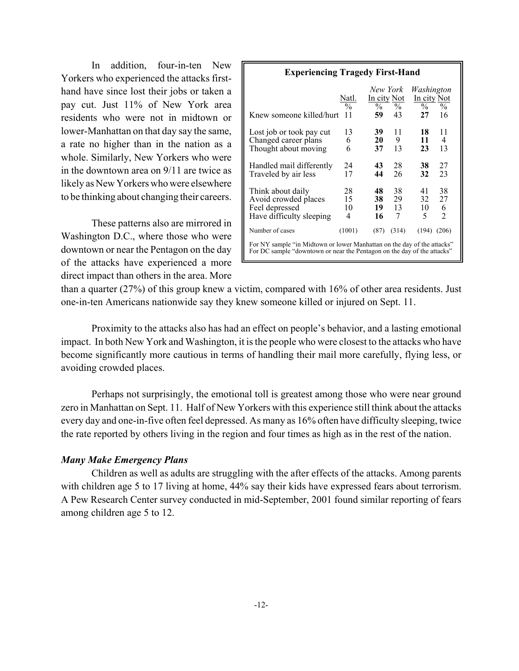In addition, four-in-ten New Yorkers who experienced the attacks firsthand have since lost their jobs or taken a pay cut. Just 11% of New York area residents who were not in midtown or lower-Manhattan on that day say the same, a rate no higher than in the nation as a whole. Similarly, New Yorkers who were in the downtown area on 9/11 are twice as likely as New Yorkers who were elsewhere to be thinking about changing their careers.

These patterns also are mirrored in Washington D.C., where those who were downtown or near the Pentagon on the day of the attacks have experienced a more direct impact than others in the area. More

| <b>Experiencing Tragedy First-Hand</b>                                                                                                             |                              |                                                |                     |                                                  |                                 |
|----------------------------------------------------------------------------------------------------------------------------------------------------|------------------------------|------------------------------------------------|---------------------|--------------------------------------------------|---------------------------------|
| Knew someone killed/hurt                                                                                                                           | Natl.<br>$\frac{0}{0}$<br>11 | New York<br>In city Not<br>$\frac{0}{0}$<br>59 | $\%$<br>43          | Washington<br>In city Not<br>$\frac{0}{0}$<br>27 | $\frac{0}{0}$<br>16             |
| Lost job or took pay cut<br>Changed career plans<br>Thought about moving                                                                           | 13<br>6<br>6                 | 39<br>20<br>37                                 | 11<br>9<br>13       | 18<br>11<br>23                                   | 11<br>4<br>13                   |
| Handled mail differently<br>Traveled by air less                                                                                                   | 24<br>17                     | 43<br>44                                       | 28<br>26            | 38<br>32                                         | 27<br>23                        |
| Think about daily<br>Avoid crowded places<br>Feel depressed<br>Have difficulty sleeping                                                            | 28<br>15<br>10<br>4          | 48<br>38<br>19<br>16                           | 38<br>29<br>13<br>7 | 41<br>32<br>10<br>5                              | 38<br>27<br>6<br>$\mathfrak{D}$ |
| Number of cases                                                                                                                                    | (1001)                       | (87)                                           | (314)               | (194)                                            | (206)                           |
| For NY sample "in Midtown or lower Manhattan on the day of the attacks"<br>For DC sample "downtown or near the Pentagon on the day of the attacks" |                              |                                                |                     |                                                  |                                 |

than a quarter (27%) of this group knew a victim, compared with 16% of other area residents. Just one-in-ten Americans nationwide say they knew someone killed or injured on Sept. 11.

Proximity to the attacks also has had an effect on people's behavior, and a lasting emotional impact. In both New York and Washington, it is the people who were closest to the attacks who have become significantly more cautious in terms of handling their mail more carefully, flying less, or avoiding crowded places.

Perhaps not surprisingly, the emotional toll is greatest among those who were near ground zero in Manhattan on Sept. 11. Half of New Yorkers with this experience still think about the attacks every day and one-in-five often feel depressed. As many as 16% often have difficulty sleeping, twice the rate reported by others living in the region and four times as high as in the rest of the nation.

# *Many Make Emergency Plans*

Children as well as adults are struggling with the after effects of the attacks. Among parents with children age 5 to 17 living at home, 44% say their kids have expressed fears about terrorism. A Pew Research Center survey conducted in mid-September, 2001 found similar reporting of fears among children age 5 to 12.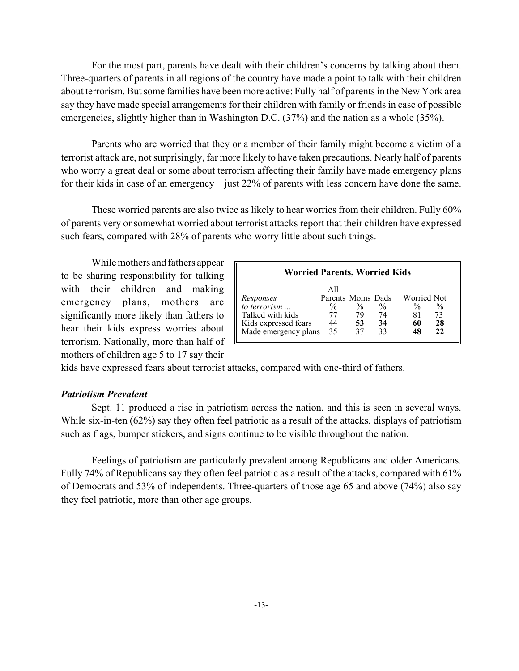For the most part, parents have dealt with their children's concerns by talking about them. Three-quarters of parents in all regions of the country have made a point to talk with their children about terrorism. But some families have been more active: Fully half of parents in the New York area say they have made special arrangements for their children with family or friends in case of possible emergencies, slightly higher than in Washington D.C. (37%) and the nation as a whole (35%).

Parents who are worried that they or a member of their family might become a victim of a terrorist attack are, not surprisingly, far more likely to have taken precautions. Nearly half of parents who worry a great deal or some about terrorism affecting their family have made emergency plans for their kids in case of an emergency – just 22% of parents with less concern have done the same.

These worried parents are also twice as likely to hear worries from their children. Fully 60% of parents very or somewhat worried about terrorist attacks report that their children have expressed such fears, compared with 28% of parents who worry little about such things.

While mothers and fathers appear to be sharing responsibility for talking with their children and making emergency plans, mothers are significantly more likely than fathers to hear their kids express worries about terrorism. Nationally, more than half of mothers of children age 5 to 17 say their

| <b>Worried Parents, Worried Kids</b>                                                          |                                                       |                                 |                                 |                                                                                   |  |  |
|-----------------------------------------------------------------------------------------------|-------------------------------------------------------|---------------------------------|---------------------------------|-----------------------------------------------------------------------------------|--|--|
| Responses<br>to terrorism<br>Talked with kids<br>Kids expressed fears<br>Made emergency plans | All<br>Parents Moms Dads<br>$\frac{0}{0}$<br>44<br>35 | $\frac{0}{0}$<br>79<br>53<br>37 | $\frac{0}{0}$<br>74<br>34<br>33 | Worried Not<br>$\frac{0}{0}$<br>$\frac{0}{0}$<br>73<br>81<br>28<br>60<br>22<br>48 |  |  |

kids have expressed fears about terrorist attacks, compared with one-third of fathers.

### *Patriotism Prevalent*

Sept. 11 produced a rise in patriotism across the nation, and this is seen in several ways. While six-in-ten (62%) say they often feel patriotic as a result of the attacks, displays of patriotism such as flags, bumper stickers, and signs continue to be visible throughout the nation.

Feelings of patriotism are particularly prevalent among Republicans and older Americans. Fully 74% of Republicans say they often feel patriotic as a result of the attacks, compared with 61% of Democrats and 53% of independents. Three-quarters of those age 65 and above (74%) also say they feel patriotic, more than other age groups.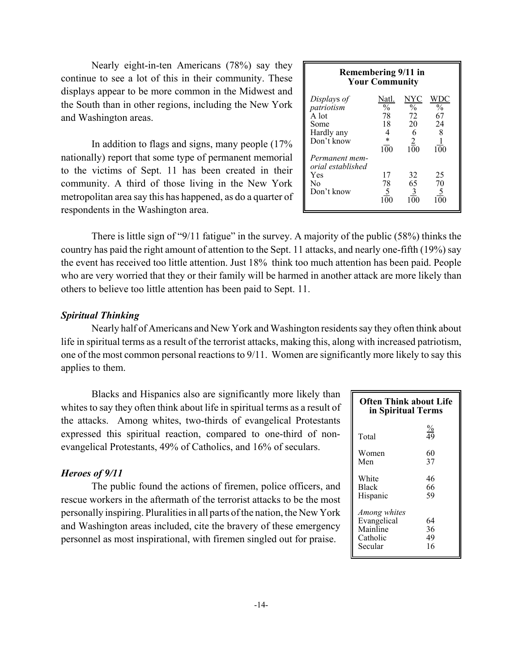Nearly eight-in-ten Americans (78%) say they continue to see a lot of this in their community. These displays appear to be more common in the Midwest and the South than in other regions, including the New York and Washington areas.

In addition to flags and signs, many people (17% nationally) report that some type of permanent memorial to the victims of Sept. 11 has been created in their community. A third of those living in the New York metropolitan area say this has happened, as do a quarter of respondents in the Washington area.

| Remembering 9/11 in<br><b>Your Community</b> |                          |                |                |  |  |  |  |
|----------------------------------------------|--------------------------|----------------|----------------|--|--|--|--|
| Displays of                                  | Natl.                    | NYC            | WD <u>C</u>    |  |  |  |  |
| patriotism                                   | $\overline{\frac{0}{6}}$ | $\frac{0}{0}$  | $\frac{0}{0}$  |  |  |  |  |
| $\overline{A}$ lot                           | 78                       | 72             | 67             |  |  |  |  |
| Some                                         | 18                       | 20             | 24             |  |  |  |  |
| Hardly any                                   |                          | 6              |                |  |  |  |  |
| Don't know                                   |                          | $\overline{2}$ |                |  |  |  |  |
|                                              | 100                      | 100            | 100            |  |  |  |  |
| Permanent mem-                               |                          |                |                |  |  |  |  |
| orial established                            |                          |                |                |  |  |  |  |
| Yes                                          | 17                       | 32             | 25             |  |  |  |  |
| No                                           | 78                       | 65             | 70             |  |  |  |  |
| Don't know                                   | 5                        | 3              | $\overline{5}$ |  |  |  |  |
|                                              |                          |                |                |  |  |  |  |
|                                              |                          |                |                |  |  |  |  |

There is little sign of "9/11 fatigue" in the survey. A majority of the public (58%) thinks the country has paid the right amount of attention to the Sept. 11 attacks, and nearly one-fifth (19%) say the event has received too little attention. Just 18% think too much attention has been paid. People who are very worried that they or their family will be harmed in another attack are more likely than others to believe too little attention has been paid to Sept. 11.

### *Spiritual Thinking*

Nearly half of Americans and New York and Washington residents say they often think about life in spiritual terms as a result of the terrorist attacks, making this, along with increased patriotism, one of the most common personal reactions to 9/11. Women are significantly more likely to say this applies to them.

Blacks and Hispanics also are significantly more likely than whites to say they often think about life in spiritual terms as a result of the attacks. Among whites, two-thirds of evangelical Protestants expressed this spiritual reaction, compared to one-third of nonevangelical Protestants, 49% of Catholics, and 16% of seculars.

### *Heroes of 9/11*

The public found the actions of firemen, police officers, and rescue workers in the aftermath of the terrorist attacks to be the most personally inspiring. Pluralities in all parts of the nation, the New York and Washington areas included, cite the bravery of these emergency personnel as most inspirational, with firemen singled out for praise.

| <b>Often Think about Life</b><br>in Spiritual Terms            |                      |  |  |  |  |
|----------------------------------------------------------------|----------------------|--|--|--|--|
| Total                                                          | $\frac{\%}{49}$      |  |  |  |  |
| Women<br>Men                                                   | 60<br>37             |  |  |  |  |
| White<br><b>Black</b><br>Hispanic                              | 46<br>66<br>59       |  |  |  |  |
| Among whites<br>Evangelical<br>Mainline<br>Catholic<br>Secular | 64<br>36<br>49<br>16 |  |  |  |  |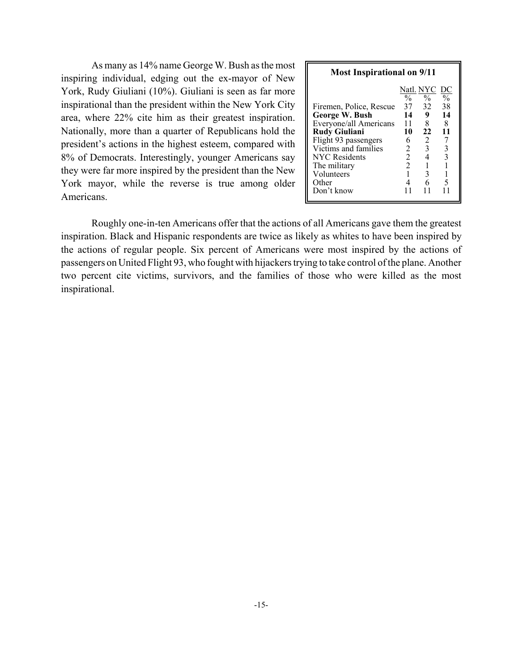As many as 14% name George W. Bush as the most inspiring individual, edging out the ex-mayor of New York, Rudy Giuliani (10%). Giuliani is seen as far more inspirational than the president within the New York City area, where 22% cite him as their greatest inspiration. Nationally, more than a quarter of Republicans hold the president's actions in the highest esteem, compared with 8% of Democrats. Interestingly, younger Americans say they were far more inspired by the president than the New York mayor, while the reverse is true among older Americans.

| <b>Most Inspirational on 9/11</b>        |                |                     |                     |  |  |  |  |
|------------------------------------------|----------------|---------------------|---------------------|--|--|--|--|
|                                          | $\frac{0}{0}$  | Natl. NYC  <br>$\%$ | DС<br>$\frac{0}{0}$ |  |  |  |  |
| Firemen, Police, Rescue                  | 37             | 32                  | 38                  |  |  |  |  |
| George W. Bush<br>Everyone/all Americans | 14<br>11       | 9<br>8              | 14<br>8             |  |  |  |  |
| <b>Rudy Giuliani</b>                     | 10             | 22                  | 11                  |  |  |  |  |
| Flight 93 passengers                     | 6              | 2                   |                     |  |  |  |  |
| Victims and families                     | 2              | 3                   | 3                   |  |  |  |  |
| <b>NYC</b> Residents                     | $\overline{2}$ | 4                   | 3                   |  |  |  |  |
| The military                             | $\overline{2}$ |                     |                     |  |  |  |  |
| Volunteers                               |                | 3                   |                     |  |  |  |  |
| Other                                    |                | 6                   | 5                   |  |  |  |  |
| Don't know                               |                |                     |                     |  |  |  |  |

Roughly one-in-ten Americans offer that the actions of all Americans gave them the greatest inspiration. Black and Hispanic respondents are twice as likely as whites to have been inspired by the actions of regular people. Six percent of Americans were most inspired by the actions of passengers on United Flight 93, who fought with hijackers trying to take control of the plane. Another two percent cite victims, survivors, and the families of those who were killed as the most inspirational.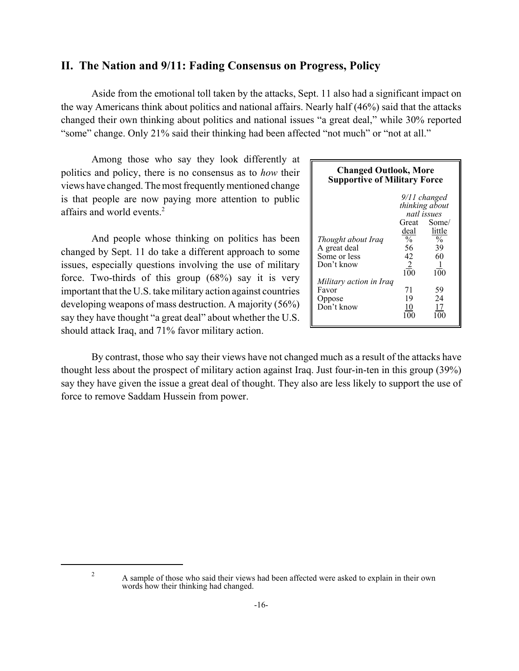# **II. The Nation and 9/11: Fading Consensus on Progress, Policy**

Aside from the emotional toll taken by the attacks, Sept. 11 also had a significant impact on the way Americans think about politics and national affairs. Nearly half (46%) said that the attacks changed their own thinking about politics and national issues "a great deal," while 30% reported "some" change. Only 21% said their thinking had been affected "not much" or "not at all."

Among those who say they look differently at politics and policy, there is no consensus as to *how* their views have changed. The most frequently mentioned change is that people are now paying more attention to public affairs and world events.2

And people whose thinking on politics has been changed by Sept. 11 do take a different approach to some issues, especially questions involving the use of military force. Two-thirds of this group (68%) say it is very important that the U.S. take military action against countries developing weapons of mass destruction. A majority (56%) say they have thought "a great deal" about whether the U.S. should attack Iraq, and 71% favor military action.

| <b>Changed Outlook, More</b><br><b>Supportive of Military Force</b> |                 |                |  |  |  |  |
|---------------------------------------------------------------------|-----------------|----------------|--|--|--|--|
| 9/11 changed                                                        |                 |                |  |  |  |  |
|                                                                     |                 | thinking about |  |  |  |  |
|                                                                     | natl issues     |                |  |  |  |  |
|                                                                     | Great Some/     |                |  |  |  |  |
|                                                                     | deal            | little         |  |  |  |  |
| Thought about Iraq                                                  | $\frac{0}{0}$   | $\frac{0}{6}$  |  |  |  |  |
| A great deal                                                        | 56              | 39             |  |  |  |  |
| Some or less                                                        | 42              | 60             |  |  |  |  |
| Don't know                                                          | $\underline{2}$ |                |  |  |  |  |
|                                                                     | 100             | 100            |  |  |  |  |
| Military action in Iraq                                             |                 |                |  |  |  |  |
| Favor                                                               | 71              | 59             |  |  |  |  |
| Oppose                                                              | 19              | 24             |  |  |  |  |
| Don't know                                                          | 10              | 17             |  |  |  |  |
|                                                                     | 1 O C           |                |  |  |  |  |

By contrast, those who say their views have not changed much as a result of the attacks have thought less about the prospect of military action against Iraq. Just four-in-ten in this group (39%) say they have given the issue a great deal of thought. They also are less likely to support the use of force to remove Saddam Hussein from power.

<sup>&</sup>lt;sup>2</sup> A sample of those who said their views had been affected were asked to explain in their own words how their thinking had changed.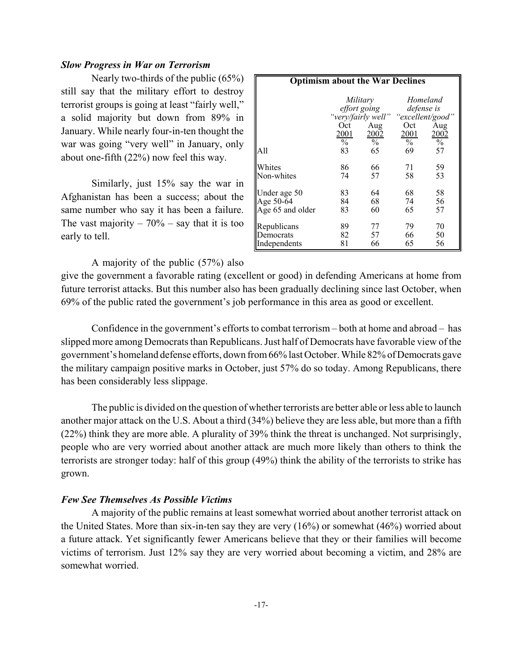### *Slow Progress in War on Terrorism*

Nearly two-thirds of the public (65%) still say that the military effort to destroy terrorist groups is going at least "fairly well," a solid majority but down from 89% in January. While nearly four-in-ten thought the war was going "very well" in January, only about one-fifth (22%) now feel this way.

Similarly, just 15% say the war in Afghanistan has been a success; about the same number who say it has been a failure. The vast majority  $-70\%$  – say that it is too early to tell.

| <b>Optimism about the War Declines</b> |                                    |                                                                                                       |                                                              |                                    |  |
|----------------------------------------|------------------------------------|-------------------------------------------------------------------------------------------------------|--------------------------------------------------------------|------------------------------------|--|
| All                                    | Oct<br>2001<br>$\frac{0}{0}$<br>83 | Military<br>effort going<br>"very/fairly well" "excellent/good"<br>Aug<br>2002<br>$\frac{0}{0}$<br>65 | Homeland<br>defense is<br>Oct<br>2001<br>$\frac{0}{0}$<br>69 | Aug<br>2002<br>$\frac{0}{0}$<br>57 |  |
| Whites                                 | 86                                 | 66                                                                                                    | 71                                                           | 59                                 |  |
| Non-whites                             | 74                                 | 57                                                                                                    | 58                                                           | 53                                 |  |
| Under age 50                           | 83                                 | 64                                                                                                    | 68                                                           | 58                                 |  |
| Age 50-64                              | 84                                 | 68                                                                                                    | 74                                                           | 56                                 |  |
| Age 65 and older                       | 83                                 | 60                                                                                                    | 65                                                           | 57                                 |  |
| Republicans                            | 89                                 | 77                                                                                                    | 79                                                           | 70                                 |  |
| Democrats                              | 82                                 | 57                                                                                                    | 66                                                           | 50                                 |  |
| Independents                           | 81                                 | 66                                                                                                    | 65                                                           | 56                                 |  |

### A majority of the public (57%) also

give the government a favorable rating (excellent or good) in defending Americans at home from future terrorist attacks. But this number also has been gradually declining since last October, when 69% of the public rated the government's job performance in this area as good or excellent.

Confidence in the government's efforts to combat terrorism – both at home and abroad – has slipped more among Democrats than Republicans. Just half of Democrats have favorable view of the government's homeland defense efforts, down from 66% last October. While 82% of Democrats gave the military campaign positive marks in October, just 57% do so today. Among Republicans, there has been considerably less slippage.

The public is divided on the question of whether terrorists are better able or less able to launch another major attack on the U.S. About a third (34%) believe they are less able, but more than a fifth (22%) think they are more able. A plurality of 39% think the threat is unchanged. Not surprisingly, people who are very worried about another attack are much more likely than others to think the terrorists are stronger today: half of this group (49%) think the ability of the terrorists to strike has grown.

### *Few See Themselves As Possible Victims*

A majority of the public remains at least somewhat worried about another terrorist attack on the United States. More than six-in-ten say they are very (16%) or somewhat (46%) worried about a future attack. Yet significantly fewer Americans believe that they or their families will become victims of terrorism. Just 12% say they are very worried about becoming a victim, and 28% are somewhat worried.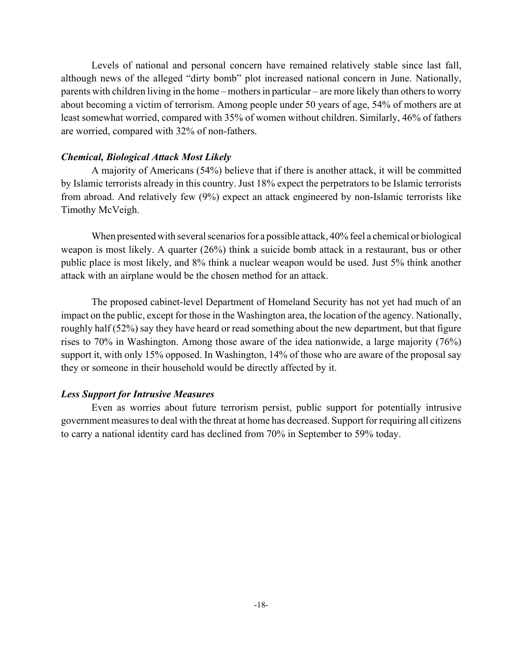Levels of national and personal concern have remained relatively stable since last fall, although news of the alleged "dirty bomb" plot increased national concern in June. Nationally, parents with children living in the home – mothers in particular – are more likely than others to worry about becoming a victim of terrorism. Among people under 50 years of age, 54% of mothers are at least somewhat worried, compared with 35% of women without children. Similarly, 46% of fathers are worried, compared with 32% of non-fathers.

# *Chemical, Biological Attack Most Likely*

A majority of Americans (54%) believe that if there is another attack, it will be committed by Islamic terrorists already in this country. Just 18% expect the perpetrators to be Islamic terrorists from abroad. And relatively few (9%) expect an attack engineered by non-Islamic terrorists like Timothy McVeigh.

When presented with several scenarios for a possible attack, 40% feel a chemical or biological weapon is most likely. A quarter (26%) think a suicide bomb attack in a restaurant, bus or other public place is most likely, and 8% think a nuclear weapon would be used. Just 5% think another attack with an airplane would be the chosen method for an attack.

The proposed cabinet-level Department of Homeland Security has not yet had much of an impact on the public, except for those in the Washington area, the location of the agency. Nationally, roughly half (52%) say they have heard or read something about the new department, but that figure rises to 70% in Washington. Among those aware of the idea nationwide, a large majority (76%) support it, with only 15% opposed. In Washington, 14% of those who are aware of the proposal say they or someone in their household would be directly affected by it.

### *Less Support for Intrusive Measures*

Even as worries about future terrorism persist, public support for potentially intrusive government measures to deal with the threat at home has decreased. Support for requiring all citizens to carry a national identity card has declined from 70% in September to 59% today.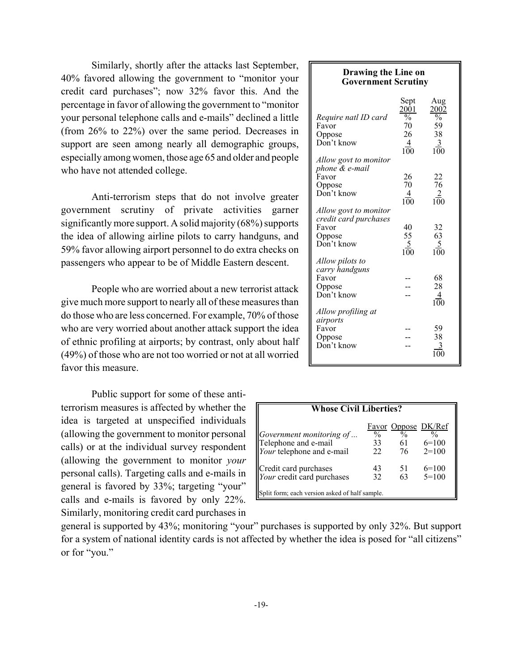Similarly, shortly after the attacks last September, 40% favored allowing the government to "monitor your credit card purchases"; now 32% favor this. And the percentage in favor of allowing the government to "monitor your personal telephone calls and e-mails" declined a little (from 26% to 22%) over the same period. Decreases in support are seen among nearly all demographic groups, especially among women, those age 65 and older and people who have not attended college.

Anti-terrorism steps that do not involve greater government scrutiny of private activities garner significantly more support. A solid majority (68%) supports the idea of allowing airline pilots to carry handguns, and 59% favor allowing airport personnel to do extra checks on passengers who appear to be of Middle Eastern descent.

People who are worried about a new terrorist attack give much more support to nearly all of these measures than do those who are less concerned. For example, 70% of those who are very worried about another attack support the idea of ethnic profiling at airports; by contrast, only about half (49%) of those who are not too worried or not at all worried favor this measure.

Public support for some of these antiterrorism measures is affected by whether the idea is targeted at unspecified individuals (allowing the government to monitor personal calls) or at the individual survey respondent (allowing the government to monitor *your* personal calls). Targeting calls and e-mails in general is favored by 33%; targeting "your" calls and e-mails is favored by only 22%. Similarly, monitoring credit card purchases in

| <b>Drawing the Line on</b><br><b>Government Scrutiny</b> |                          |                 |  |  |  |  |
|----------------------------------------------------------|--------------------------|-----------------|--|--|--|--|
|                                                          | Sept<br>2001             | Aug<br>2002     |  |  |  |  |
| Require natl ID card                                     | $\overline{\frac{0}{6}}$ | $\frac{1}{2}$   |  |  |  |  |
| Favor                                                    | 70                       | 59              |  |  |  |  |
| Oppose                                                   | 26                       | 38              |  |  |  |  |
| Don't know                                               | $\overline{4}$<br>100    | 3<br>100        |  |  |  |  |
| Allow govt to monitor                                    |                          |                 |  |  |  |  |
| phone & e-mail                                           |                          |                 |  |  |  |  |
| Favor                                                    | 26                       | 22              |  |  |  |  |
| Oppose                                                   | 70                       | 76              |  |  |  |  |
| Don't know                                               | $\frac{4}{100}$          | $\frac{2}{100}$ |  |  |  |  |
| Allow govt to monitor                                    |                          |                 |  |  |  |  |
| credit card purchases                                    |                          |                 |  |  |  |  |
| Favor                                                    | 40                       | 32              |  |  |  |  |
| Oppose                                                   | 55                       | 63              |  |  |  |  |
| Don't know                                               | $\frac{5}{100}$          | $\frac{5}{100}$ |  |  |  |  |
|                                                          |                          |                 |  |  |  |  |
| Allow pilots to                                          |                          |                 |  |  |  |  |
| carry handguns                                           |                          |                 |  |  |  |  |
| Favor                                                    |                          | 68              |  |  |  |  |
| Oppose                                                   |                          | 28              |  |  |  |  |
| Don't know                                               |                          | $\overline{4}$  |  |  |  |  |
|                                                          |                          | 100             |  |  |  |  |
| Allow profiling at                                       |                          |                 |  |  |  |  |
| airports                                                 |                          |                 |  |  |  |  |
| Favor                                                    |                          | 59              |  |  |  |  |
| Oppose                                                   |                          | 38              |  |  |  |  |
| Don't know                                               |                          |                 |  |  |  |  |
|                                                          |                          |                 |  |  |  |  |

| <b>Whose Civil Liberties?</b>                                                                         |                           |                           |                                           |  |  |  |
|-------------------------------------------------------------------------------------------------------|---------------------------|---------------------------|-------------------------------------------|--|--|--|
| Government monitoring of<br>Telephone and e-mail<br>Your telephone and e-mail                         | $\frac{0}{0}$<br>33<br>22 | $\frac{0}{0}$<br>61<br>76 | Favor Oppose DK/Ref<br>$6=100$<br>$2=100$ |  |  |  |
| Credit card purchases<br>Your credit card purchases<br>Split form; each version asked of half sample. | 43<br>32                  | 51<br>63                  | $6=100$<br>$5=100$                        |  |  |  |

general is supported by 43%; monitoring "your" purchases is supported by only 32%. But support for a system of national identity cards is not affected by whether the idea is posed for "all citizens" or for "you."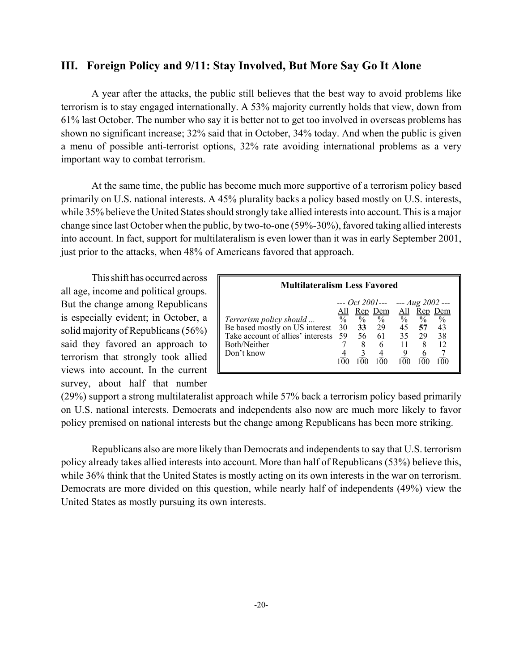# **III. Foreign Policy and 9/11: Stay Involved, But More Say Go It Alone**

A year after the attacks, the public still believes that the best way to avoid problems like terrorism is to stay engaged internationally. A 53% majority currently holds that view, down from 61% last October. The number who say it is better not to get too involved in overseas problems has shown no significant increase; 32% said that in October, 34% today. And when the public is given a menu of possible anti-terrorist options, 32% rate avoiding international problems as a very important way to combat terrorism.

At the same time, the public has become much more supportive of a terrorism policy based primarily on U.S. national interests. A 45% plurality backs a policy based mostly on U.S. interests, while 35% believe the United States should strongly take allied interests into account. This is a major change since last October when the public, by two-to-one (59%-30%), favored taking allied interests into account. In fact, support for multilateralism is even lower than it was in early September 2001, just prior to the attacks, when 48% of Americans favored that approach.

This shift has occurred across all age, income and political groups. But the change among Republicans is especially evident; in October, a solid majority of Republicans (56%) said they favored an approach to terrorism that strongly took allied views into account. In the current survey, about half that number

| <b>Multilateralism Less Favored</b> |                          |      |             |                          |               |               |  |  |  |  |
|-------------------------------------|--------------------------|------|-------------|--------------------------|---------------|---------------|--|--|--|--|
| --- Oct 2001--- --- $Aug 2002$ ---  |                          |      |             |                          |               |               |  |  |  |  |
|                                     | <u>All</u>               |      | Rep Dem All |                          | <u>Rep</u>    | Dem           |  |  |  |  |
| Terrorism policy should             | $\overline{\frac{0}{0}}$ | $\%$ | $\%$        | $\overline{\frac{0}{0}}$ | $\frac{0}{0}$ | $\frac{0}{0}$ |  |  |  |  |
| Be based mostly on US interest      | 30                       | 33   | 29          | 45                       | 57            | 43            |  |  |  |  |
| Take account of allies' interests   | 59                       | 56   | 61          | 35                       | 29            | 38            |  |  |  |  |
| Both/Neither                        |                          | 8    | 6           |                          | 8             | 12            |  |  |  |  |
| Don't know                          |                          |      |             |                          |               |               |  |  |  |  |
|                                     |                          |      |             |                          |               |               |  |  |  |  |

(29%) support a strong multilateralist approach while 57% back a terrorism policy based primarily on U.S. national interests. Democrats and independents also now are much more likely to favor policy premised on national interests but the change among Republicans has been more striking.

Republicans also are more likely than Democrats and independents to say that U.S. terrorism policy already takes allied interests into account. More than half of Republicans (53%) believe this, while 36% think that the United States is mostly acting on its own interests in the war on terrorism. Democrats are more divided on this question, while nearly half of independents (49%) view the United States as mostly pursuing its own interests.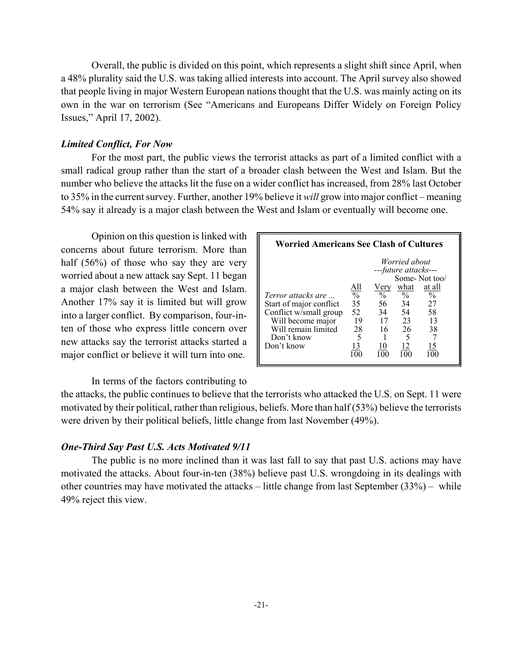Overall, the public is divided on this point, which represents a slight shift since April, when a 48% plurality said the U.S. was taking allied interests into account. The April survey also showed that people living in major Western European nations thought that the U.S. was mainly acting on its own in the war on terrorism (See "Americans and Europeans Differ Widely on Foreign Policy Issues," April 17, 2002).

### *Limited Conflict, For Now*

For the most part, the public views the terrorist attacks as part of a limited conflict with a small radical group rather than the start of a broader clash between the West and Islam. But the number who believe the attacks lit the fuse on a wider conflict has increased, from 28% last October to 35% in the current survey. Further, another 19% believe it *will* grow into major conflict – meaning 54% say it already is a major clash between the West and Islam or eventually will become one.

Opinion on this question is linked with concerns about future terrorism. More than half (56%) of those who say they are very worried about a new attack say Sept. 11 began a major clash between the West and Islam. Another 17% say it is limited but will grow into a larger conflict. By comparison, four-inten of those who express little concern over new attacks say the terrorist attacks started a major conflict or believe it will turn into one.

In terms of the factors contributing to

the attacks, the public continues to believe that the terrorists who attacked the U.S. on Sept. 11 were motivated by their political, rather than religious, beliefs. More than half (53%) believe the terrorists were driven by their political beliefs, little change from last November (49%).

### *One-Third Say Past U.S. Acts Motivated 9/11*

The public is no more inclined than it was last fall to say that past U.S. actions may have motivated the attacks. About four-in-ten (38%) believe past U.S. wrongdoing in its dealings with other countries may have motivated the attacks – little change from last September (33%) – while 49% reject this view.

| <b>Worried Americans See Clash of Cultures</b> |                                 |                       |                                       |                         |
|------------------------------------------------|---------------------------------|-----------------------|---------------------------------------|-------------------------|
|                                                |                                 |                       | Worried about<br>---future attacks--- |                         |
|                                                |                                 |                       |                                       | Some-Not too/           |
| <i>Terror attacks are</i>                      | All<br>$\overline{\frac{0}{6}}$ | Very<br>$\frac{0}{0}$ | what<br>$\frac{0}{0}$                 | at all<br>$\frac{0}{0}$ |
| Start of major conflict                        | 35                              | 56                    | 34                                    | 27                      |
| Conflict w/small group                         | 52                              | 34                    | 54                                    | 58                      |
| Will become major                              | 19                              | 17                    | 23                                    | 13                      |
| Will remain limited<br>Don't know              | 28<br>5                         | 16                    | 26                                    | 38                      |
| Don't know                                     | 13                              |                       | 12                                    | 15                      |
|                                                |                                 |                       |                                       |                         |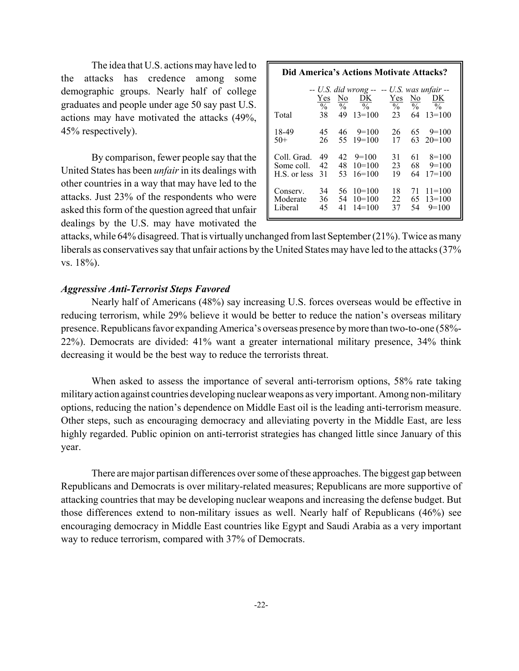The idea that U.S. actions may have led to the attacks has credence among some demographic groups. Nearly half of college graduates and people under age 50 say past U.S. actions may have motivated the attacks (49%, 45% respectively).

By comparison, fewer people say that the United States has been *unfair* in its dealings with other countries in a way that may have led to the attacks. Just 23% of the respondents who were asked this form of the question agreed that unfair dealings by the U.S. may have motivated the

| Did America's Actions Motivate Attacks? |                            |                           |                                                                                |                            |                           |                                 |  |  |  |
|-----------------------------------------|----------------------------|---------------------------|--------------------------------------------------------------------------------|----------------------------|---------------------------|---------------------------------|--|--|--|
| Total                                   | Yes<br>$\frac{0}{0}$<br>38 | No<br>$\frac{0}{0}$<br>49 | $-$ U.S. did wrong $ -$ U.S. was unfair $-$<br>DK<br>$\frac{0}{0}$<br>$13=100$ | Yes<br>$\frac{0}{0}$<br>23 | No<br>$\frac{0}{0}$<br>64 | DK<br>$\frac{0}{0}$<br>$13=100$ |  |  |  |
| 18-49                                   | 45                         | 46                        | $9=100$                                                                        | 26                         | 65                        | $9=100$                         |  |  |  |
| $50+$                                   | 26                         | 55                        | $19=100$                                                                       | 17                         | 63                        | $20=100$                        |  |  |  |
| Coll. Grad.                             | 49                         | 42                        | $9=100$                                                                        | 31                         | 61                        | $8=100$                         |  |  |  |
| Some coll.                              | 42                         | 48                        | $10=100$                                                                       | 23                         | 68                        | $9=100$                         |  |  |  |
| H.S. or less                            | 31                         | 53                        | $16=100$                                                                       | 19                         | 64                        | $17=100$                        |  |  |  |
| Conserv.                                | 34                         | 56                        | $10=100$                                                                       | 18                         | 71                        | $11 = 100$                      |  |  |  |
| Moderate                                | 36                         | 54                        | $10=100$                                                                       | 22                         | 65                        | $13=100$                        |  |  |  |
| Liberal                                 | 45                         | 41                        | $14=100$                                                                       | 37                         | 54                        | $9=100$                         |  |  |  |

attacks, while 64% disagreed. That is virtually unchanged from last September (21%). Twice as many liberals as conservatives say that unfair actions by the United States may have led to the attacks (37% vs. 18%).

### *Aggressive Anti-Terrorist Steps Favored*

Nearly half of Americans (48%) say increasing U.S. forces overseas would be effective in reducing terrorism, while 29% believe it would be better to reduce the nation's overseas military presence. Republicans favor expanding America's overseas presence by more than two-to-one (58%- 22%). Democrats are divided: 41% want a greater international military presence, 34% think decreasing it would be the best way to reduce the terrorists threat.

When asked to assess the importance of several anti-terrorism options, 58% rate taking military action against countries developing nuclear weapons as very important. Among non-military options, reducing the nation's dependence on Middle East oil is the leading anti-terrorism measure. Other steps, such as encouraging democracy and alleviating poverty in the Middle East, are less highly regarded. Public opinion on anti-terrorist strategies has changed little since January of this year.

There are major partisan differences over some of these approaches. The biggest gap between Republicans and Democrats is over military-related measures; Republicans are more supportive of attacking countries that may be developing nuclear weapons and increasing the defense budget. But those differences extend to non-military issues as well. Nearly half of Republicans (46%) see encouraging democracy in Middle East countries like Egypt and Saudi Arabia as a very important way to reduce terrorism, compared with 37% of Democrats.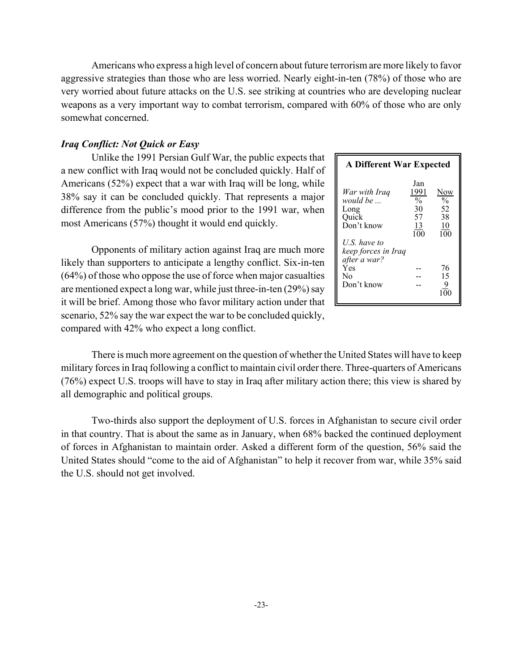Americans who express a high level of concern about future terrorism are more likely to favor aggressive strategies than those who are less worried. Nearly eight-in-ten (78%) of those who are very worried about future attacks on the U.S. see striking at countries who are developing nuclear weapons as a very important way to combat terrorism, compared with 60% of those who are only somewhat concerned.

### *Iraq Conflict: Not Quick or Easy*

Unlike the 1991 Persian Gulf War, the public expects that a new conflict with Iraq would not be concluded quickly. Half of Americans (52%) expect that a war with Iraq will be long, while 38% say it can be concluded quickly. That represents a major difference from the public's mood prior to the 1991 war, when most Americans (57%) thought it would end quickly.

Opponents of military action against Iraq are much more likely than supporters to anticipate a lengthy conflict. Six-in-ten (64%) of those who oppose the use of force when major casualties are mentioned expect a long war, while just three-in-ten (29%) say it will be brief. Among those who favor military action under that scenario, 52% say the war expect the war to be concluded quickly, compared with 42% who expect a long conflict.

| <b>A Different War Expected</b>                                                                                                                        |                                                                  |                                                                              |
|--------------------------------------------------------------------------------------------------------------------------------------------------------|------------------------------------------------------------------|------------------------------------------------------------------------------|
| War with Iraa<br>would be<br>Long<br>Quick<br>Don't know<br>U.S. have to<br>keep forces in Iraq<br>after a war?<br>Yes<br>N <sub>0</sub><br>Don't know | Jan<br>1991<br>$\overline{\frac{0}{6}}$<br>30<br>57<br>13<br>100 | Now<br>$\overline{\mathcal{O}'_0}$<br>52<br>38<br>10<br>100<br>76<br>15<br>9 |

There is much more agreement on the question of whether the United States will have to keep military forces in Iraq following a conflict to maintain civil order there. Three-quarters of Americans (76%) expect U.S. troops will have to stay in Iraq after military action there; this view is shared by all demographic and political groups.

Two-thirds also support the deployment of U.S. forces in Afghanistan to secure civil order in that country. That is about the same as in January, when 68% backed the continued deployment of forces in Afghanistan to maintain order. Asked a different form of the question, 56% said the United States should "come to the aid of Afghanistan" to help it recover from war, while 35% said the U.S. should not get involved.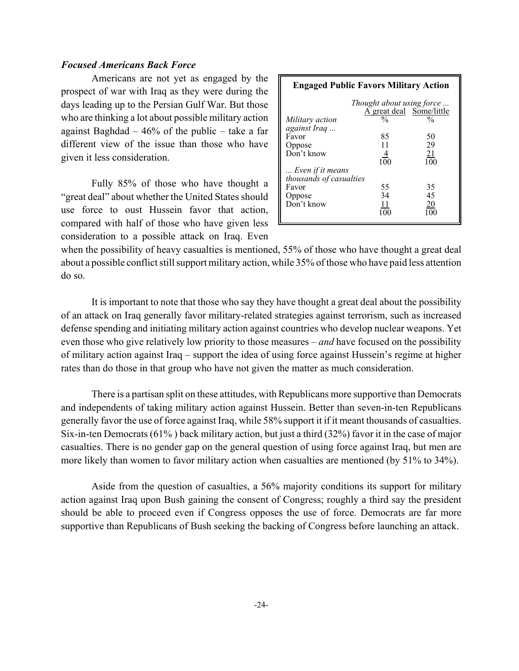# *Focused Americans Back Force*

Americans are not yet as engaged by the prospect of war with Iraq as they were during the days leading up to the Persian Gulf War. But those who are thinking a lot about possible military action against Baghdad  $-46\%$  of the public – take a far different view of the issue than those who have given it less consideration.

Fully 85% of those who have thought a "great deal" about whether the United States should use force to oust Hussein favor that action, compared with half of those who have given less consideration to a possible attack on Iraq. Even

| <b>Engaged Public Favors Military Action</b> |                                                       |                  |  |  |  |  |  |  |  |
|----------------------------------------------|-------------------------------------------------------|------------------|--|--|--|--|--|--|--|
|                                              | Thought about using force<br>A great deal Some/little |                  |  |  |  |  |  |  |  |
| Military action                              | %                                                     | $\frac{0}{0}$    |  |  |  |  |  |  |  |
| against Iraq                                 |                                                       |                  |  |  |  |  |  |  |  |
| Favor                                        | 85                                                    | 50               |  |  |  |  |  |  |  |
| Oppose                                       | 11                                                    | 29               |  |  |  |  |  |  |  |
| Don't know                                   | $\overline{4}$                                        | $\frac{21}{100}$ |  |  |  |  |  |  |  |
|                                              | $1\overline{0}0$                                      |                  |  |  |  |  |  |  |  |
| Even if it means                             |                                                       |                  |  |  |  |  |  |  |  |
| thousands of casualties                      |                                                       |                  |  |  |  |  |  |  |  |
| Favor                                        | 55                                                    | 35               |  |  |  |  |  |  |  |
| Oppose                                       | 34                                                    | 45               |  |  |  |  |  |  |  |
| Don't know                                   | 11                                                    | $\frac{20}{2}$   |  |  |  |  |  |  |  |
|                                              | 100                                                   |                  |  |  |  |  |  |  |  |

when the possibility of heavy casualties is mentioned, 55% of those who have thought a great deal about a possible conflict still support military action, while 35% of those who have paid less attention do so.

It is important to note that those who say they have thought a great deal about the possibility of an attack on Iraq generally favor military-related strategies against terrorism, such as increased defense spending and initiating military action against countries who develop nuclear weapons. Yet even those who give relatively low priority to those measures – *and* have focused on the possibility of military action against Iraq – support the idea of using force against Hussein's regime at higher rates than do those in that group who have not given the matter as much consideration.

There is a partisan split on these attitudes, with Republicans more supportive than Democrats and independents of taking military action against Hussein. Better than seven-in-ten Republicans generally favor the use of force against Iraq, while 58% support it if it meant thousands of casualties. Six-in-ten Democrats (61% ) back military action, but just a third (32%) favor it in the case of major casualties. There is no gender gap on the general question of using force against Iraq, but men are more likely than women to favor military action when casualties are mentioned (by 51% to 34%).

Aside from the question of casualties, a 56% majority conditions its support for military action against Iraq upon Bush gaining the consent of Congress; roughly a third say the president should be able to proceed even if Congress opposes the use of force. Democrats are far more supportive than Republicans of Bush seeking the backing of Congress before launching an attack.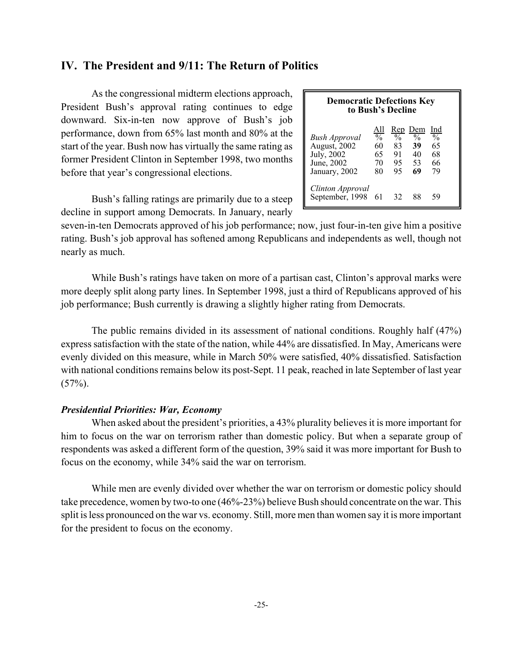# **IV. The President and 9/11: The Return of Politics**

As the congressional midterm elections approach, President Bush's approval rating continues to edge downward. Six-in-ten now approve of Bush's job performance, down from 65% last month and 80% at the start of the year. Bush now has virtually the same rating as former President Clinton in September 1998, two months before that year's congressional elections.

Bush's falling ratings are primarily due to a steep decline in support among Democrats. In January, nearly

| <b>Democratic Defections Key</b><br>to Bush's Decline                      |                                                     |                                       |                                                  |                                              |
|----------------------------------------------------------------------------|-----------------------------------------------------|---------------------------------------|--------------------------------------------------|----------------------------------------------|
| Bush Approval<br>August, 2002<br>July, 2002<br>June, 2002<br>January, 2002 | <u>All</u><br>$\frac{0}{0}$<br>60<br>65<br>70<br>80 | $\frac{0}{0}$<br>83<br>91<br>95<br>95 | Rep Dem<br>$\frac{0}{0}$<br>39<br>40<br>53<br>69 | Ind<br>$\frac{0}{0}$<br>65<br>68<br>66<br>79 |
| Clinton Approval<br>September, 1998 61                                     |                                                     | 32                                    | 88                                               | 59                                           |

seven-in-ten Democrats approved of his job performance; now, just four-in-ten give him a positive rating. Bush's job approval has softened among Republicans and independents as well, though not nearly as much.

While Bush's ratings have taken on more of a partisan cast, Clinton's approval marks were more deeply split along party lines. In September 1998, just a third of Republicans approved of his job performance; Bush currently is drawing a slightly higher rating from Democrats.

The public remains divided in its assessment of national conditions. Roughly half (47%) express satisfaction with the state of the nation, while 44% are dissatisfied. In May, Americans were evenly divided on this measure, while in March 50% were satisfied, 40% dissatisfied. Satisfaction with national conditions remains below its post-Sept. 11 peak, reached in late September of last year  $(57\%)$ .

### *Presidential Priorities: War, Economy*

When asked about the president's priorities, a 43% plurality believes it is more important for him to focus on the war on terrorism rather than domestic policy. But when a separate group of respondents was asked a different form of the question, 39% said it was more important for Bush to focus on the economy, while 34% said the war on terrorism.

While men are evenly divided over whether the war on terrorism or domestic policy should take precedence, women by two-to one (46%-23%) believe Bush should concentrate on the war. This split is less pronounced on the war vs. economy. Still, more men than women say it is more important for the president to focus on the economy.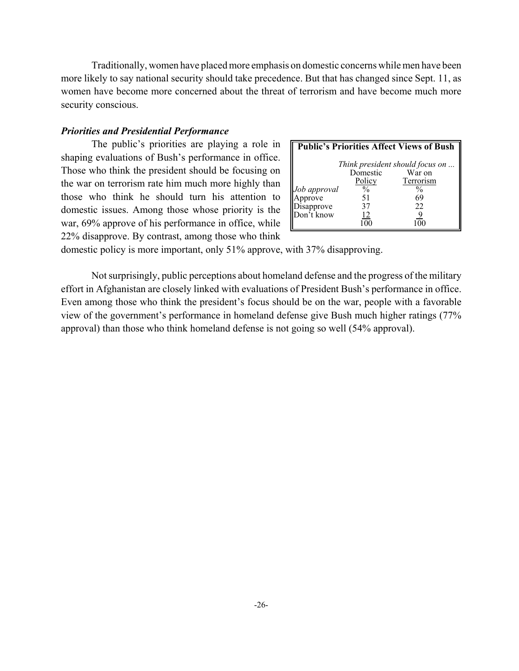Traditionally, women have placed more emphasis on domestic concerns while men have been more likely to say national security should take precedence. But that has changed since Sept. 11, as women have become more concerned about the threat of terrorism and have become much more security conscious.

### *Priorities and Presidential Performance*

The public's priorities are playing a role in shaping evaluations of Bush's performance in office. Those who think the president should be focusing on the war on terrorism rate him much more highly than those who think he should turn his attention to domestic issues. Among those whose priority is the war, 69% approve of his performance in office, while 22% disapprove. By contrast, among those who think

|              |               | <b>Public's Priorities Affect Views of Bush</b> |
|--------------|---------------|-------------------------------------------------|
|              |               | Think president should focus on                 |
|              | Domestic      | War on                                          |
|              | Policy        | Terrorism                                       |
| Job approval | $\frac{0}{0}$ | %                                               |
| Approve      | 51            | 69                                              |
| Disapprove   | 37            | 22                                              |
| Don't know   | 12            | 9                                               |
|              |               |                                                 |

domestic policy is more important, only 51% approve, with 37% disapproving.

Not surprisingly, public perceptions about homeland defense and the progress of the military effort in Afghanistan are closely linked with evaluations of President Bush's performance in office. Even among those who think the president's focus should be on the war, people with a favorable view of the government's performance in homeland defense give Bush much higher ratings (77% approval) than those who think homeland defense is not going so well (54% approval).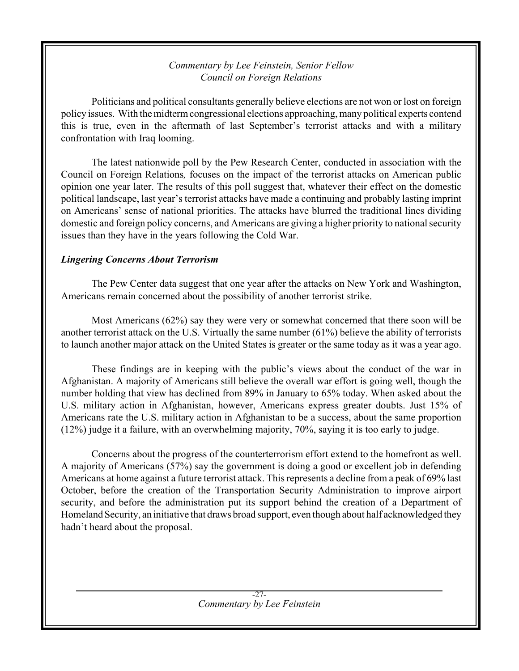# *Commentary by Lee Feinstein, Senior Fellow Council on Foreign Relations*

Politicians and political consultants generally believe elections are not won or lost on foreign policy issues. With the midterm congressional elections approaching, many political experts contend this is true, even in the aftermath of last September's terrorist attacks and with a military confrontation with Iraq looming.

The latest nationwide poll by the Pew Research Center, conducted in association with the Council on Foreign Relations*,* focuses on the impact of the terrorist attacks on American public opinion one year later. The results of this poll suggest that, whatever their effect on the domestic political landscape, last year's terrorist attacks have made a continuing and probably lasting imprint on Americans' sense of national priorities. The attacks have blurred the traditional lines dividing domestic and foreign policy concerns, and Americans are giving a higher priority to national security issues than they have in the years following the Cold War.

# *Lingering Concerns About Terrorism*

The Pew Center data suggest that one year after the attacks on New York and Washington, Americans remain concerned about the possibility of another terrorist strike.

Most Americans (62%) say they were very or somewhat concerned that there soon will be another terrorist attack on the U.S. Virtually the same number (61%) believe the ability of terrorists to launch another major attack on the United States is greater or the same today as it was a year ago.

These findings are in keeping with the public's views about the conduct of the war in Afghanistan. A majority of Americans still believe the overall war effort is going well, though the number holding that view has declined from 89% in January to 65% today. When asked about the U.S. military action in Afghanistan, however, Americans express greater doubts. Just 15% of Americans rate the U.S. military action in Afghanistan to be a success, about the same proportion (12%) judge it a failure, with an overwhelming majority, 70%, saying it is too early to judge.

Concerns about the progress of the counterterrorism effort extend to the homefront as well. A majority of Americans (57%) say the government is doing a good or excellent job in defending Americans at home against a future terrorist attack. This represents a decline from a peak of 69% last October, before the creation of the Transportation Security Administration to improve airport security, and before the administration put its support behind the creation of a Department of Homeland Security, an initiative that draws broad support, even though about half acknowledged they hadn't heard about the proposal.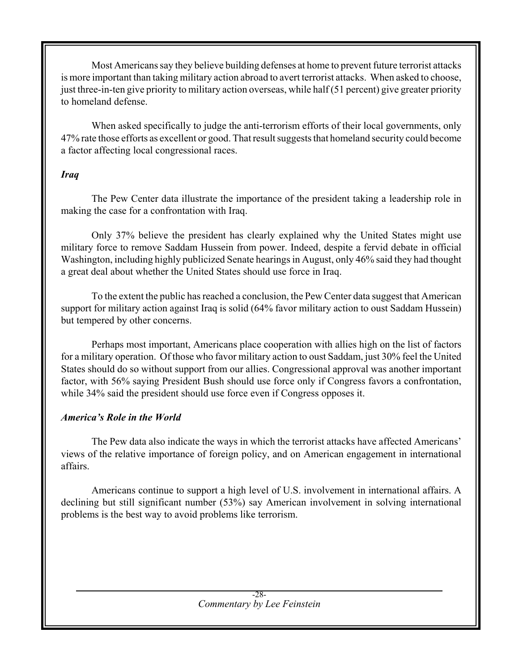Most Americans say they believe building defenses at home to prevent future terrorist attacks is more important than taking military action abroad to avert terrorist attacks. When asked to choose, just three-in-ten give priority to military action overseas, while half (51 percent) give greater priority to homeland defense.

When asked specifically to judge the anti-terrorism efforts of their local governments, only 47% rate those efforts as excellent or good. That result suggests that homeland security could become a factor affecting local congressional races.

# *Iraq*

The Pew Center data illustrate the importance of the president taking a leadership role in making the case for a confrontation with Iraq.

Only 37% believe the president has clearly explained why the United States might use military force to remove Saddam Hussein from power. Indeed, despite a fervid debate in official Washington, including highly publicized Senate hearings in August, only 46% said they had thought a great deal about whether the United States should use force in Iraq.

To the extent the public has reached a conclusion, the Pew Center data suggest that American support for military action against Iraq is solid (64% favor military action to oust Saddam Hussein) but tempered by other concerns.

Perhaps most important, Americans place cooperation with allies high on the list of factors for a military operation. Of those who favor military action to oust Saddam, just 30% feel the United States should do so without support from our allies. Congressional approval was another important factor, with 56% saying President Bush should use force only if Congress favors a confrontation, while 34% said the president should use force even if Congress opposes it.

# *America's Role in the World*

The Pew data also indicate the ways in which the terrorist attacks have affected Americans' views of the relative importance of foreign policy, and on American engagement in international affairs.

Americans continue to support a high level of U.S. involvement in international affairs. A declining but still significant number (53%) say American involvement in solving international problems is the best way to avoid problems like terrorism.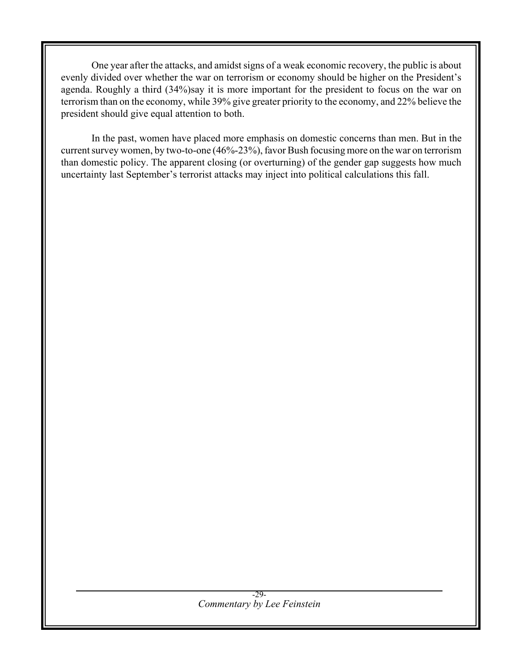One year after the attacks, and amidst signs of a weak economic recovery, the public is about evenly divided over whether the war on terrorism or economy should be higher on the President's agenda. Roughly a third (34%)say it is more important for the president to focus on the war on terrorism than on the economy, while 39% give greater priority to the economy, and 22% believe the president should give equal attention to both.

In the past, women have placed more emphasis on domestic concerns than men. But in the current survey women, by two-to-one (46%-23%), favor Bush focusing more on the war on terrorism than domestic policy. The apparent closing (or overturning) of the gender gap suggests how much uncertainty last September's terrorist attacks may inject into political calculations this fall.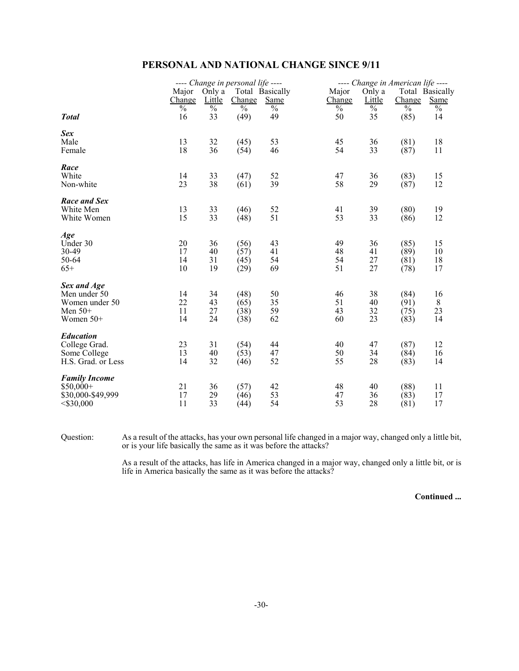# **PERSONAL AND NATIONAL CHANGE SINCE 9/11**

|                                   |                                |                     | ---- Change in personal life ----  |                     |                     |                     | ---- Change in American life ----  |                 |
|-----------------------------------|--------------------------------|---------------------|------------------------------------|---------------------|---------------------|---------------------|------------------------------------|-----------------|
|                                   | Major                          | Only a              |                                    | Total Basically     | Major               | Only a              |                                    | Total Basically |
|                                   | Change                         | Little              | Change<br>$\overline{\frac{0}{0}}$ | Same                | Change              | Little              | Change<br>$\overline{\frac{0}{0}}$ | Same            |
| <b>Total</b>                      | $\overline{\frac{0}{0}}$<br>16 | $\frac{0}{0}$<br>33 | (49)                               | $\frac{0}{0}$<br>49 | $\frac{0}{0}$<br>50 | $\frac{0}{0}$<br>35 | (85)                               | $\%$<br>14      |
| Sex<br>Male                       | 13                             | 32                  | (45)                               | 53                  | 45                  | 36                  | (81)                               | 18              |
| Female                            | 18                             | 36                  | (54)                               | 46                  | 54                  | 33                  | (87)                               | 11              |
| Race<br>White                     |                                |                     |                                    |                     |                     |                     |                                    |                 |
| Non-white                         | 14<br>23                       | 33<br>38            | (47)<br>(61)                       | 52<br>39            | 47<br>58            | 36<br>29            | (83)<br>(87)                       | 15<br>12        |
| Race and Sex                      |                                |                     |                                    |                     |                     |                     |                                    |                 |
| White Men<br>White Women          | 13<br>15                       | 33<br>33            | (46)<br>(48)                       | 52<br>51            | 41<br>53            | 39<br>33            | (80)<br>(86)                       | 19<br>12        |
| Age                               |                                |                     |                                    |                     |                     |                     |                                    |                 |
| Under 30<br>30-49                 | 20<br>17                       | 36<br>40            | (56)<br>(57)                       | 43<br>41            | 49<br>48            | 36<br>41            | (85)<br>(89)                       | 15<br>10        |
| 50-64                             | 14                             | 31                  | (45)                               | 54                  | 54                  | 27                  | (81)                               | 18              |
| $65+$                             | 10                             | 19                  | (29)                               | 69                  | 51                  | 27                  | (78)                               | 17              |
| Sex and Age<br>Men under 50       | 14                             | 34                  | (48)                               | 50                  | 46                  | 38                  | (84)                               | 16              |
| Women under 50                    | 22                             | 43                  | (65)                               | 35                  | 51                  | 40                  | (91)                               | $8\,$           |
| Men $50+$                         | 11                             | 27                  | (38)                               | 59                  | 43                  | 32                  | (75)                               | 23              |
| Women $50+$                       | 14                             | 24                  | (38)                               | 62                  | 60                  | 23                  | (83)                               | 14              |
| <b>Education</b><br>College Grad. | 23                             | 31                  | (54)                               | 44                  | 40                  | 47                  | (87)                               | 12              |
| Some College                      | 13                             | 40                  | (53)                               | 47                  | 50                  | 34                  | (84)                               | 16              |
| H.S. Grad. or Less                | 14                             | 32                  | (46)                               | 52                  | 55                  | 28                  | (83)                               | 14              |
| <b>Family Income</b>              |                                |                     |                                    |                     |                     |                     |                                    |                 |
| $$50,000+$<br>\$30,000-\$49,999   | 21<br>17                       | 36<br>29            | (57)<br>(46)                       | 42<br>53            | 48<br>47            | 40<br>36            | (88)<br>(83)                       | 11<br>17        |
| $<$ \$30,000                      | 11                             | 33                  | (44)                               | 54                  | 53                  | 28                  | (81)                               | 17              |

Question: As a result of the attacks, has your own personal life changed in a major way, changed only a little bit, or is your life basically the same as it was before the attacks?

> As a result of the attacks, has life in America changed in a major way, changed only a little bit, or is life in America basically the same as it was before the attacks?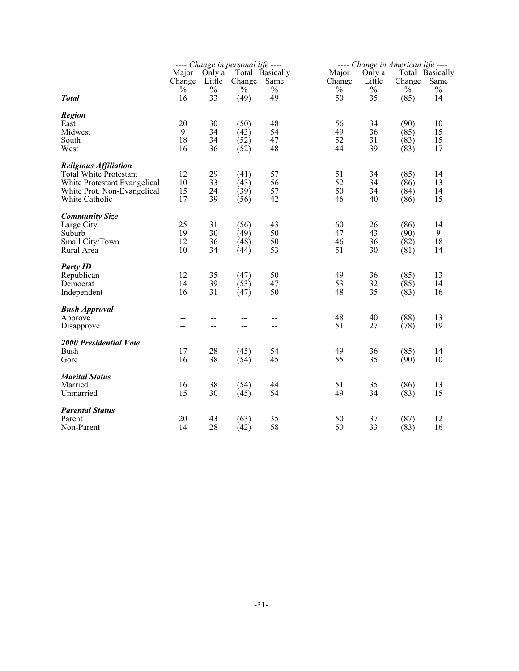|                               |                          |                          | ---- Change in personal life ---- |                          |               |                          | ---- Change in American life ---- |                 |
|-------------------------------|--------------------------|--------------------------|-----------------------------------|--------------------------|---------------|--------------------------|-----------------------------------|-----------------|
|                               | Major                    | Only a                   |                                   | Total Basically          | Major         | Only a                   |                                   | Total Basically |
|                               | Change                   | <b>Little</b>            | Change                            | <b>Same</b>              | Change        | Little                   | Change                            | <b>Same</b>     |
|                               | $\overline{\frac{0}{0}}$ | $\overline{\frac{0}{0}}$ | $\overline{\frac{0}{0}}$          | $\frac{0}{0}$            | $\frac{0}{0}$ | $\overline{\frac{0}{0}}$ | $\frac{0}{0}$                     | $\frac{0}{0}$   |
| <b>Total</b>                  | 16                       | 33                       | (49)                              | 49                       | 50            | 35                       | (85)                              | 14              |
|                               |                          |                          |                                   |                          |               |                          |                                   |                 |
| <b>Region</b><br>East         | 20                       | 30                       | (50)                              | 48                       | 56            | 34                       | (90)                              | 10              |
| Midwest                       | 9                        | 34                       | (43)                              | 54                       | 49            | 36                       | (85)                              | 15              |
| South                         | 18                       | 34                       | (52)                              | 47                       | 52            | 31                       | (83)                              | 15              |
| West                          | 16                       | 36                       |                                   | 48                       | 44            | 39                       | (83)                              | 17              |
|                               |                          |                          | (52)                              |                          |               |                          |                                   |                 |
| <b>Religious Affiliation</b>  |                          |                          |                                   |                          |               |                          |                                   |                 |
| <b>Total White Protestant</b> | 12                       | 29                       | (41)                              | 57                       | 51            | 34                       | (85)                              | 14              |
| White Protestant Evangelical  | 10                       | 33                       | (43)                              | 56                       | 52            | 34                       | (86)                              | 13              |
| White Prot. Non-Evangelical   | 15                       | 24                       | (39)                              | 57                       | 50            | 34                       | (84)                              | 14              |
| White Catholic                | 17                       | 39                       | (56)                              | 42                       | 46            | 40                       | (86)                              | 15              |
|                               |                          |                          |                                   |                          |               |                          |                                   |                 |
| <b>Community Size</b>         |                          |                          |                                   |                          |               |                          |                                   |                 |
| Large City                    | 25                       | 31                       | (56)                              | 43                       | 60            | 26                       | (86)                              | 14              |
| Suburb                        | 19                       | 30                       | (49)                              | 50                       | 47            | 43                       | (90)                              | 9               |
| Small City/Town               | 12                       | 36                       | (48)                              | 50                       | 46            | 36                       | (82)                              | 18              |
| Rural Area                    | 10                       | 34                       | (44)                              | 53                       | 51            | 30                       | (81)                              | 14              |
|                               |                          |                          |                                   |                          |               |                          |                                   |                 |
| <b>Party ID</b>               |                          |                          |                                   |                          |               |                          |                                   |                 |
| Republican                    | 12                       | 35                       | (47)                              | 50                       | 49            | 36                       | (85)                              | 13              |
| Democrat                      | 14                       | 39                       | (53)                              | 47                       | 53            | 32                       | (85)                              | 14              |
| Independent                   | 16                       | 31                       | (47)                              | 50                       | 48            | 35                       | (83)                              | 16              |
| <b>Bush Approval</b>          |                          |                          |                                   |                          |               |                          |                                   |                 |
| Approve                       | $-$                      | --                       | $-$                               | $-$                      | 48            | 40                       | (88)                              | 13              |
| Disapprove                    | --                       | --                       | $-$                               | $\overline{\phantom{a}}$ | 51            | 27                       | (78)                              | 19              |
|                               |                          |                          |                                   |                          |               |                          |                                   |                 |
| 2000 Presidential Vote        |                          |                          |                                   |                          |               |                          |                                   |                 |
| <b>Bush</b>                   | 17                       | 28                       | (45)                              | 54                       | 49            | 36                       | (85)                              | 14              |
| Gore                          | 16                       | 38                       | (54)                              | 45                       | 55            | 35                       | (90)                              | 10              |
|                               |                          |                          |                                   |                          |               |                          |                                   |                 |
| <b>Marital Status</b>         |                          |                          |                                   |                          |               |                          |                                   |                 |
| Married                       | 16                       | 38                       | (54)                              | 44                       | 51            | 35                       | (86)                              | 13              |
| Unmarried                     | 15                       | 30                       | (45)                              | 54                       | 49            | 34                       | (83)                              | 15              |
| <b>Parental Status</b>        |                          |                          |                                   |                          |               |                          |                                   |                 |
| Parent                        | 20                       |                          |                                   |                          |               |                          |                                   |                 |
|                               | 14                       | 43<br>28                 | (63)                              | 35<br>58                 | 50<br>50      | 37<br>33                 | (87)                              | 12<br>16        |
| Non-Parent                    |                          |                          | (42)                              |                          |               |                          | (83)                              |                 |
|                               |                          |                          |                                   |                          |               |                          |                                   |                 |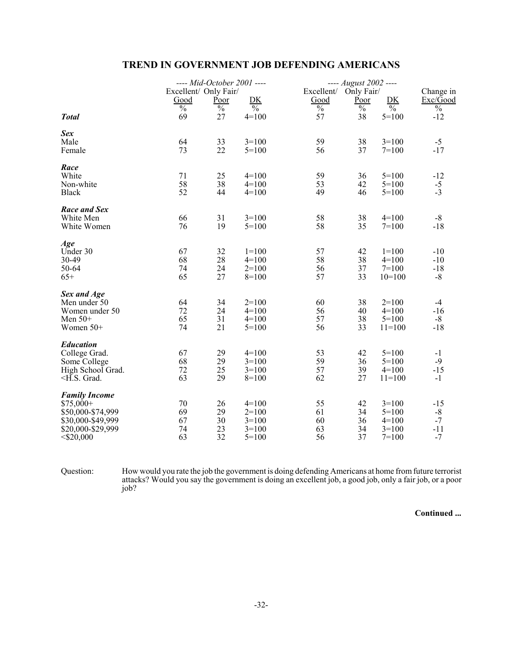# **TREND IN GOVERNMENT JOB DEFENDING AMERICANS**

|                      |                               | ---- Mid-October 2001 ---- |               |                          | ---- August 2002 ----         |                          |                       |
|----------------------|-------------------------------|----------------------------|---------------|--------------------------|-------------------------------|--------------------------|-----------------------|
|                      | Excellent/ Only Fair/<br>Good | Poor                       | DK            | Good                     | Excellent/ Only Fair/<br>Poor | DK                       | Change in<br>Exc/Good |
|                      | $\overline{\frac{0}{0}}$      | $\frac{0}{0}$              | $\frac{0}{0}$ | $\overline{\frac{0}{0}}$ | $\frac{0}{0}$                 | $\overline{\frac{0}{0}}$ | $\frac{0}{0}$         |
| <b>Total</b>         | 69                            | 27                         | $4=100$       | 57                       | 38                            | $5 = 100$                | $-12$                 |
| Sex                  |                               |                            |               |                          |                               |                          |                       |
| Male                 | 64                            | 33                         | $3=100$       | 59                       | 38                            | $3=100$                  | $-5$                  |
| Female               | 73                            | 22                         | $5 = 100$     | 56                       | 37                            | $7=100$                  | $-17$                 |
| Race                 |                               |                            |               |                          |                               |                          |                       |
| White                | 71                            | 25                         | $4=100$       | 59                       | 36                            | $5 = 100$                | $-12$                 |
| Non-white            | 58                            | 38                         | $4=100$       | 53                       | 42                            | $5 = 100$                | $-5$                  |
| <b>Black</b>         | 52                            | 44                         | $4=100$       | 49                       | 46                            | $5=100$                  | $-3$                  |
| Race and Sex         |                               |                            |               |                          |                               |                          |                       |
| White Men            | 66                            | 31                         | $3=100$       | 58                       | 38                            | $4=100$                  | $-8$                  |
| White Women          | 76                            | 19                         | $5 = 100$     | 58                       | 35                            | $7=100$                  | $-18$                 |
| Age                  |                               |                            |               |                          |                               |                          |                       |
| Under 30             | 67                            | 32                         | $1=100$       | 57                       | 42                            | $1=100$                  | $-10$                 |
| 30-49                | 68                            | 28                         | $4=100$       | 58                       | 38                            | $4=100$                  | $-10$                 |
| 50-64                | 74                            | 24                         | $2=100$       | 56                       | 37                            | $7=100$                  | $-18$                 |
| $65+$                | 65                            | 27                         | $8=100$       | 57                       | 33                            | $10=100$                 | $-8$                  |
| Sex and Age          |                               |                            |               |                          |                               |                          |                       |
| Men under 50         | 64                            | 34                         | $2=100$       | 60                       | 38                            | $2=100$                  | $-4$                  |
| Women under 50       | 72                            | 24                         | $4=100$       | 56                       | 40                            | $4=100$                  | $-16$                 |
| Men $50+$            | 65                            | 31                         | $4=100$       | 57                       | 38                            | $5=100$                  | $-8$                  |
| Women $50+$          | 74                            | 21                         | $5=100$       | 56                       | 33                            | $11=100$                 | $-18$                 |
| <b>Education</b>     |                               |                            |               |                          |                               |                          |                       |
| College Grad.        | 67                            | 29                         | $4=100$       | 53                       | 42                            | $5 = 100$                | $-1$                  |
| Some College         | 68                            | 29                         | $3=100$       | 59                       | 36                            | $5 = 100$                | $-9$                  |
| High School Grad.    | 72                            | 25                         | $3=100$       | 57                       | 39                            | $4=100$                  | $-15$                 |
| $\leq$ H.S. Grad.    | 63                            | 29                         | $8=100$       | 62                       | 27                            | $11=100$                 | $-1$                  |
| <b>Family Income</b> |                               |                            |               |                          |                               |                          |                       |
| $$75,000+$           | 70                            | 26                         | $4=100$       | 55                       | 42                            | $3=100$                  | $-15$                 |
| \$50,000-\$74,999    | 69                            | 29                         | $2=100$       | 61                       | 34                            | $5=100$                  | $-8$                  |
| \$30,000-\$49,999    | 67                            | 30                         | $3=100$       | 60                       | 36                            | $4=100$                  | $-7$                  |
| \$20,000-\$29,999    | 74<br>63                      | 23<br>32                   | $3=100$       | 63                       | 34                            | $3=100$                  | $-11$                 |
| $<$ \$20,000         |                               |                            | $5=100$       | 56                       | 37                            | $7=100$                  | $-7$                  |

Question: How would you rate the job the government is doing defending Americans at home from future terrorist attacks? Would you say the government is doing an excellent job, a good job, only a fair job, or a poor job?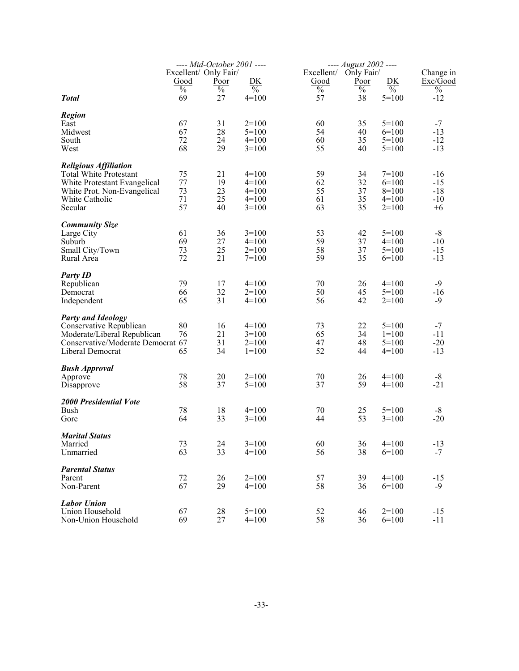|                                                               |                                | ---- Mid-October 2001 ----<br>Excellent/ Only Fair/ |                          | Excellent/ | ---- August 2002 ----<br>Only Fair/ |                          | Change in              |
|---------------------------------------------------------------|--------------------------------|-----------------------------------------------------|--------------------------|------------|-------------------------------------|--------------------------|------------------------|
|                                                               | Good                           | <u>Poor</u>                                         | DK                       | Good       | <u>Poor</u>                         | DK                       | Exc/Good               |
| <b>Total</b>                                                  | $\overline{\frac{0}{0}}$<br>69 | $\overline{\frac{0}{0}}$<br>27                      | $\frac{0}{0}$<br>$4=100$ | $\%$<br>57 | $\%$<br>38                          | $\frac{0}{0}$<br>$5=100$ | $\frac{0}{0}$<br>$-12$ |
| <b>Region</b>                                                 |                                |                                                     |                          |            |                                     |                          |                        |
| East                                                          | 67                             | 31                                                  | $2=100$                  | 60         | 35                                  | $5=100$                  | $-7$                   |
| Midwest                                                       | 67                             | 28                                                  | $5=100$                  | 54         | 40                                  | $6=100$                  | $-13$                  |
| South<br>West                                                 | 72<br>68                       | 24<br>29                                            | $4=100$<br>$3=100$       | 60<br>55   | 35<br>40                            | $5=100$<br>$5=100$       | $-12$<br>$-13$         |
|                                                               |                                |                                                     |                          |            |                                     |                          |                        |
| <b>Religious Affiliation</b><br><b>Total White Protestant</b> | 75                             | 21                                                  | $4=100$                  | 59         | 34                                  | $7=100$                  | $-16$                  |
| White Protestant Evangelical                                  | 77                             | 19                                                  | $4=100$                  | 62         | 32                                  | $6=100$                  | $-15$                  |
| White Prot. Non-Evangelical                                   | 73                             | 23                                                  | $4=100$                  | 55         | 37                                  | $8=100$                  | $-18$                  |
| White Catholic                                                | 71                             | 25                                                  | $4=100$                  | 61         | 35                                  | $4=100$                  | $-10$                  |
| Secular                                                       | 57                             | 40                                                  | $3=100$                  | 63         | 35                                  | $2=100$                  | $+6$                   |
| <b>Community Size</b>                                         |                                |                                                     |                          |            |                                     |                          |                        |
| Large City                                                    | 61                             | 36                                                  | $3=100$                  | 53         | 42                                  | $5=100$                  | $-8$                   |
| Suburb                                                        | 69                             | 27                                                  | $4=100$                  | 59         | 37                                  | $4=100$                  | $-10$                  |
| Small City/Town                                               | 73                             | 25                                                  | $2=100$                  | 58         | 37                                  | $5=100$                  | $-15$                  |
| Rural Area                                                    | 72                             | 21                                                  | $7=100$                  | 59         | 35                                  | $6=100$                  | $-13$                  |
| <b>Party ID</b>                                               |                                |                                                     |                          |            |                                     |                          |                        |
| Republican                                                    | 79                             | 17                                                  | $4=100$                  | 70         | 26                                  | $4=100$                  | $-9$                   |
| Democrat                                                      | 66                             | 32                                                  | $2=100$                  | 50         | 45                                  | $5=100$                  | $-16$                  |
| Independent                                                   | 65                             | 31                                                  | $4=100$                  | 56         | 42                                  | $2=100$                  | $-9$                   |
| <b>Party and Ideology</b>                                     |                                |                                                     |                          |            |                                     |                          |                        |
| Conservative Republican                                       | 80                             | 16                                                  | $4=100$                  | 73         | 22                                  | $5=100$                  | $-7$                   |
| Moderate/Liberal Republican                                   | 76                             | 21                                                  | $3=100$                  | 65         | 34                                  | $1=100$                  | $-11$                  |
| Conservative/Moderate Democrat 67                             |                                | 31                                                  | $2=100$                  | 47         | 48                                  | $5=100$                  | $-20$                  |
| Liberal Democrat                                              | 65                             | 34                                                  | $1=100$                  | 52         | 44                                  | $4=100$                  | $-13$                  |
| <b>Bush Approval</b>                                          |                                |                                                     |                          |            |                                     |                          |                        |
| Approve                                                       | 78                             | 20                                                  | $2=100$                  | 70         | 26                                  | $4=100$                  | $-8$                   |
| Disapprove                                                    | 58                             | 37                                                  | $5=100$                  | 37         | 59                                  | $4=100$                  | $-21$                  |
| <b>2000 Presidential Vote</b>                                 |                                |                                                     |                          |            |                                     |                          |                        |
| Bush                                                          | 78                             | 18                                                  | $4=100$                  | 70         | 25                                  | $5=100$                  | $-8$                   |
| Gore                                                          | 64                             | 33                                                  | $3=100$                  | 44         | 53                                  | $3=100$                  | $-20$                  |
| <b>Marital Status</b>                                         |                                |                                                     |                          |            |                                     |                          |                        |
| Married                                                       | 73                             | 24                                                  | $3=100$                  | 60         | 36                                  | $4=100$                  | $-13$                  |
| Unmarried                                                     | 63                             | 33                                                  | $4=100$                  | 56         | 38                                  | $6=100$                  | $-7$                   |
| <b>Parental Status</b>                                        |                                |                                                     |                          |            |                                     |                          |                        |
| Parent                                                        | 72                             | 26                                                  | $2=100$                  | 57         | 39                                  | $4=100$                  | $-15$                  |
| Non-Parent                                                    | 67                             | 29                                                  | $4=100$                  | 58         | 36                                  | $6=100$                  | $-9$                   |
| <b>Labor Union</b>                                            |                                |                                                     |                          |            |                                     |                          |                        |
| Union Household                                               | 67                             | 28                                                  | $5 = 100$                | 52         | 46                                  | $2=100$                  | $-15$                  |
| Non-Union Household                                           | 69                             | 27                                                  | $4=100$                  | 58         | 36                                  | $6=100$                  | $-11$                  |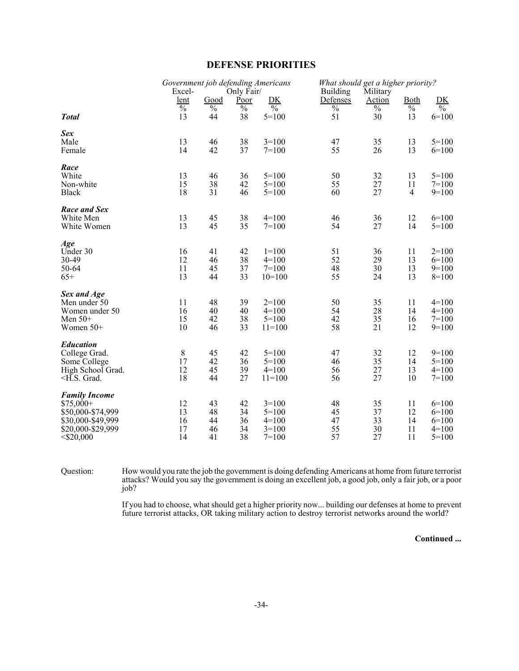### **DEFENSE PRIORITIES**

|                                                                                                                   | Government job defending Americans<br>Excel- |                                | Only Fair/                     |                                                     | <b>Building</b>                | What should get a higher priority?<br>Military |                            |                                                     |
|-------------------------------------------------------------------------------------------------------------------|----------------------------------------------|--------------------------------|--------------------------------|-----------------------------------------------------|--------------------------------|------------------------------------------------|----------------------------|-----------------------------------------------------|
|                                                                                                                   | lent                                         | Good                           | Poor                           | DK                                                  | Defenses                       | Action                                         | Both                       | DK                                                  |
| <b>Total</b>                                                                                                      | $\frac{0}{0}$<br>13                          | $\overline{\frac{0}{0}}$<br>44 | $\overline{\frac{0}{0}}$<br>38 | $\frac{0}{0}$<br>$5=100$                            | $\overline{\frac{0}{0}}$<br>51 | $\overline{\frac{0}{0}}$<br>30                 | $\frac{0}{6}$<br>13        | $\frac{0}{0}$<br>$6=100$                            |
| Sex<br>Male<br>Female                                                                                             | 13<br>14                                     | 46<br>42                       | 38<br>37                       | $3=100$<br>$7 = 100$                                | 47<br>55                       | 35<br>26                                       | 13<br>13                   | $5=100$<br>$6=100$                                  |
| Race<br>White<br>Non-white<br><b>Black</b>                                                                        | 13<br>15<br>18                               | 46<br>38<br>31                 | 36<br>42<br>46                 | $5=100$<br>$5=100$<br>$5=100$                       | 50<br>55<br>60                 | 32<br>27<br>27                                 | 13<br>11<br>4              | $5=100$<br>$7 = 100$<br>$9=100$                     |
| Race and Sex<br>White Men<br>White Women                                                                          | 13<br>13                                     | 45<br>45                       | 38<br>35                       | $4=100$<br>$7 = 100$                                | 46<br>54                       | 36<br>27                                       | 12<br>14                   | $6=100$<br>$5=100$                                  |
| Age<br>Under 30<br>30-49<br>50-64<br>$65+$                                                                        | 16<br>12<br>11<br>13                         | 41<br>46<br>45<br>44           | 42<br>38<br>37<br>33           | $1=100$<br>$4=100$<br>$7 = 100$<br>$10=100$         | 51<br>52<br>48<br>55           | 36<br>29<br>30<br>24                           | 11<br>13<br>13<br>13       | $2=100$<br>$6=100$<br>$9=100$<br>$8=100$            |
| Sex and Age<br>Men under 50<br>Women under 50<br>Men $50+$<br>Women 50+                                           | 11<br>16<br>15<br>10                         | 48<br>40<br>42<br>46           | 39<br>40<br>38<br>33           | $2=100$<br>$4=100$<br>$5 = 100$<br>$11=100$         | 50<br>54<br>42<br>58           | 35<br>28<br>35<br>21                           | 11<br>14<br>16<br>12       | $4=100$<br>$4=100$<br>$7=100$<br>$9=100$            |
| <b>Education</b><br>College Grad.<br>Some College<br>High School Grad.<br>$\leq$ H.S. Grad.                       | 8<br>17<br>12<br>18                          | 45<br>42<br>45<br>44           | 42<br>36<br>39<br>27           | $5 = 100$<br>$5 = 100$<br>$4=100$<br>$11 = 100$     | 47<br>46<br>56<br>56           | 32<br>35<br>27<br>27                           | 12<br>14<br>13<br>10       | $9=100$<br>$5=100$<br>$4=100$<br>$7 = 100$          |
| <b>Family Income</b><br>$$75,000+$<br>\$50,000-\$74,999<br>\$30,000-\$49,999<br>\$20,000-\$29,999<br>$<$ \$20,000 | 12<br>13<br>16<br>17<br>14                   | 43<br>48<br>44<br>46<br>41     | 42<br>34<br>36<br>34<br>38     | $3=100$<br>$5=100$<br>$4=100$<br>$3=100$<br>$7=100$ | 48<br>45<br>47<br>55<br>57     | 35<br>37<br>33<br>30<br>27                     | 11<br>12<br>14<br>11<br>11 | $6=100$<br>$6=100$<br>$6=100$<br>$4=100$<br>$5=100$ |

Question: How would you rate the job the government is doing defending Americans at home from future terrorist attacks? Would you say the government is doing an excellent job, a good job, only a fair job, or a poor job?

> If you had to choose, what should get a higher priority now... building our defenses at home to prevent future terrorist attacks, OR taking military action to destroy terrorist networks around the world?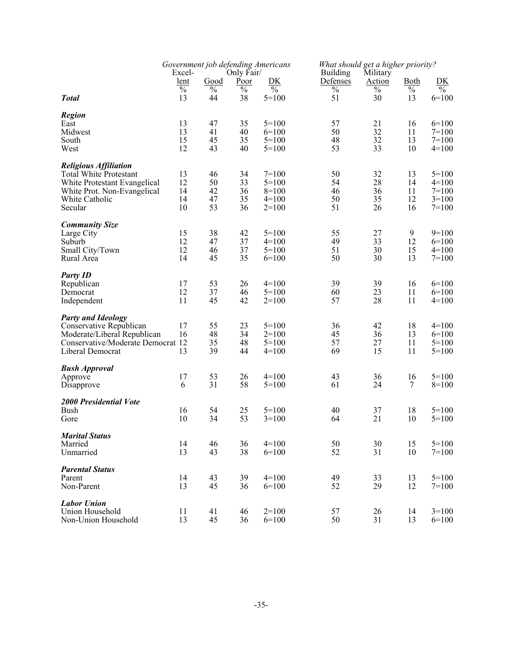|                                                      | Government job defending Americans<br>Excel-<br>Only Fair/ |                       |              | What should get a higher priority?<br><b>Building</b><br>Military |                  |                       |                              |                                |
|------------------------------------------------------|------------------------------------------------------------|-----------------------|--------------|-------------------------------------------------------------------|------------------|-----------------------|------------------------------|--------------------------------|
|                                                      | <u>lent</u><br>$\overline{\frac{0}{0}}$                    | Good<br>$\frac{0}{0}$ | Poor<br>$\%$ | DK<br>$\%$                                                        | Defenses<br>$\%$ | <b>Action</b><br>$\%$ | <u>Both</u><br>$\frac{0}{0}$ | DK<br>$\overline{\frac{0}{0}}$ |
| <b>Total</b>                                         | 13                                                         | 44                    | 38           | $5=100$                                                           | 51               | 30                    | 13                           | $6=100$                        |
| <b>Region</b>                                        |                                                            |                       |              |                                                                   |                  |                       |                              |                                |
| East                                                 | 13                                                         | 47                    | 35           | $5=100$                                                           | 57               | 21                    | 16                           | $6=100$                        |
| Midwest<br>South                                     | 13<br>15                                                   | 41<br>45              | 40<br>35     | $6=100$<br>$5=100$                                                | 50<br>48         | 32<br>32              | 11<br>13                     | $7=100$<br>$7=100$             |
| West                                                 | 12                                                         | 43                    | 40           | $5=100$                                                           | 53               | 33                    | 10                           | $4=100$                        |
| <b>Religious Affiliation</b>                         |                                                            |                       |              |                                                                   |                  |                       |                              |                                |
| <b>Total White Protestant</b>                        | 13                                                         | 46                    | 34           | $7=100$                                                           | 50               | 32                    | 13                           | $5 = 100$                      |
| White Protestant Evangelical                         | 12                                                         | 50                    | 33           | $5=100$                                                           | 54               | 28                    | 14                           | $4=100$                        |
| White Prot. Non-Evangelical                          | 14<br>14                                                   | 42<br>47              | 36<br>35     | $8=100$<br>$4=100$                                                | 46<br>50         | 36<br>35              | 11<br>12                     | $7=100$<br>$3=100$             |
| White Catholic<br>Secular                            | 10                                                         | 53                    | 36           | $2=100$                                                           | 51               | 26                    | 16                           | $7=100$                        |
| <b>Community Size</b>                                |                                                            |                       |              |                                                                   |                  |                       |                              |                                |
| Large City                                           | 15                                                         | 38                    | 42           | $5=100$                                                           | 55               | 27                    | 9                            | $9=100$                        |
| Suburb                                               | 12                                                         | 47                    | 37           | $4=100$                                                           | 49               | 33                    | 12                           | $6=100$                        |
| Small City/Town                                      | 12                                                         | 46                    | 37           | $5=100$                                                           | 51               | 30                    | 15                           | $4=100$                        |
| Rural Area                                           | 14                                                         | 45                    | 35           | $6=100$                                                           | 50               | 30                    | 13                           | $7=100$                        |
| <b>Party ID</b>                                      |                                                            |                       |              |                                                                   |                  |                       |                              |                                |
| Republican                                           | 17                                                         | 53                    | 26           | $4=100$                                                           | 39               | 39                    | 16                           | $6=100$                        |
| Democrat<br>Independent                              | 12<br>11                                                   | 37<br>45              | 46<br>42     | $5=100$<br>$2=100$                                                | 60<br>57         | 23<br>28              | 11<br>11                     | $6=100$<br>$4=100$             |
|                                                      |                                                            |                       |              |                                                                   |                  |                       |                              |                                |
| <b>Party and Ideology</b><br>Conservative Republican | 17                                                         | 55                    | 23           | $5=100$                                                           | 36               | 42                    | 18                           | $4=100$                        |
| Moderate/Liberal Republican                          | 16                                                         | 48                    | 34           | $2=100$                                                           | 45               | 36                    | 13                           | $6=100$                        |
| Conservative/Moderate Democrat 12                    |                                                            | 35                    | 48           | $5=100$                                                           | 57               | 27                    | 11                           | $5=100$                        |
| Liberal Democrat                                     | 13                                                         | 39                    | 44           | $4=100$                                                           | 69               | 15                    | 11                           | $5=100$                        |
| <b>Bush Approval</b>                                 |                                                            |                       |              |                                                                   |                  |                       |                              |                                |
| Approve                                              | 17                                                         | 53                    | 26           | $4=100$                                                           | 43               | 36                    | 16                           | $5=100$                        |
| Disapprove                                           | 6                                                          | 31                    | 58           | $5=100$                                                           | 61               | 24                    | 7                            | $8=100$                        |
| <b>2000 Presidential Vote</b>                        |                                                            |                       |              |                                                                   |                  |                       |                              |                                |
| Bush                                                 | 16<br>10                                                   | 54<br>34              | 25<br>53     | $5=100$                                                           | 40<br>64         | 37<br>21              | 18<br>10                     | $5=100$                        |
| Gore                                                 |                                                            |                       |              | $3=100$                                                           |                  |                       |                              | $5=100$                        |
| <b>Marital Status</b>                                |                                                            |                       |              |                                                                   |                  |                       |                              |                                |
| Married<br>Unmarried                                 | 14<br>13                                                   | 46<br>43              | 36<br>38     | $4=100$<br>$6=100$                                                | 50<br>52         | 30<br>31              | 15<br>10                     | $5 = 100$<br>$7=100$           |
|                                                      |                                                            |                       |              |                                                                   |                  |                       |                              |                                |
| <b>Parental Status</b>                               |                                                            |                       |              |                                                                   |                  |                       |                              |                                |
| Parent<br>Non-Parent                                 | 14<br>13                                                   | 43<br>45              | 39<br>36     | $4=100$<br>$6=100$                                                | 49<br>52         | 33<br>29              | 13<br>12                     | $5 = 100$<br>$7=100$           |
|                                                      |                                                            |                       |              |                                                                   |                  |                       |                              |                                |
| <b>Labor Union</b><br>Union Household                | 11                                                         | 41                    | 46           | $2=100$                                                           | 57               | 26                    | 14                           | $3=100$                        |
| Non-Union Household                                  | 13                                                         | 45                    | 36           | $6=100$                                                           | 50               | 31                    | 13                           | $6=100$                        |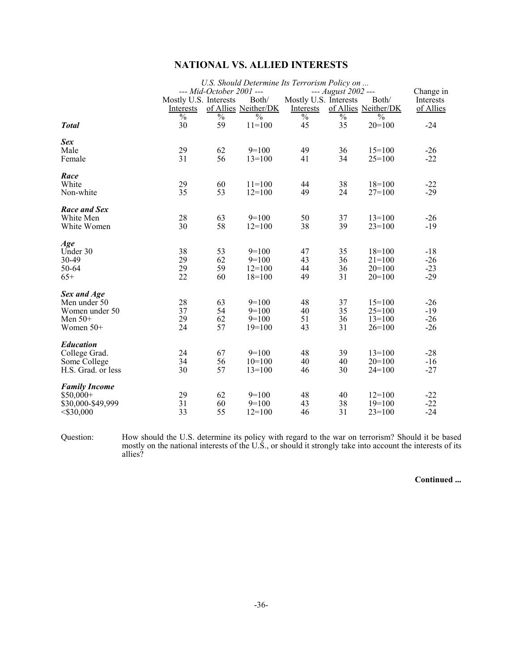# **NATIONAL VS. ALLIED INTERESTS**

|                      |                       |                          | U.S. Should Determine Its Terrorism Policy on |                       |                     |                      |           |
|----------------------|-----------------------|--------------------------|-----------------------------------------------|-----------------------|---------------------|----------------------|-----------|
|                      |                       | --- Mid-October 2001 --- |                                               |                       | --- August 2002 --- |                      | Change in |
|                      | Mostly U.S. Interests |                          | Both/                                         | Mostly U.S. Interests |                     | Both/                | Interests |
|                      | Interests             |                          | of Allies Neither/DK                          | Interests             |                     | of Allies Neither/DK | of Allies |
|                      | $\%$                  | $\%$                     | $\frac{0}{0}$                                 | $\frac{0}{0}$         | $\%$                | $\frac{0}{0}$        |           |
| <b>Total</b>         | 30                    | 59                       | $11=100$                                      | 45                    | 35                  | $20=100$             | $-24$     |
| Sex                  |                       |                          |                                               |                       |                     |                      |           |
| Male                 | 29                    | 62                       | $9=100$                                       | 49                    | 36                  | $15=100$             | $-26$     |
| Female               | 31                    | 56                       | $13=100$                                      | 41                    | 34                  | $25=100$             | $-22$     |
| Race                 |                       |                          |                                               |                       |                     |                      |           |
| White                | 29                    | 60                       | $11=100$                                      | 44                    | 38                  | $18=100$             | $-22$     |
| Non-white            | 35                    | 53                       | $12=100$                                      | 49                    | 24                  | $27=100$             | $-29$     |
| Race and Sex         |                       |                          |                                               |                       |                     |                      |           |
| White Men            | 28                    | 63                       | $9=100$                                       | 50                    | 37                  | $13 = 100$           | $-26$     |
| White Women          | 30                    | 58                       | $12 = 100$                                    | 38                    | 39                  | $23=100$             | $-19$     |
| Age                  |                       |                          |                                               |                       |                     |                      |           |
| Under 30             | 38                    | 53                       | $9=100$                                       | 47                    | 35                  | $18=100$             | $-18$     |
| 30-49                | 29                    | 62                       | $9=100$                                       | 43                    | 36                  | $21 = 100$           | $-26$     |
| 50-64                | 29                    | 59                       | $12 = 100$                                    | 44                    | 36                  | $20=100$             | $-23$     |
| $65+$                | 22                    | 60                       | $18=100$                                      | 49                    | 31                  | $20=100$             | $-29$     |
| Sex and Age          |                       |                          |                                               |                       |                     |                      |           |
| Men under 50         | 28                    | 63                       | $9=100$                                       | 48                    | 37                  | $15=100$             | $-26$     |
| Women under 50       | 37                    | 54                       | $9=100$                                       | 40                    | 35                  | $25=100$             | $-19$     |
| Men $50+$            | 29                    | 62                       | $9=100$                                       | 51                    | 36                  | $13=100$             | $-26$     |
| Women $50+$          | 24                    | 57                       | $19=100$                                      | 43                    | 31                  | $26=100$             | $-26$     |
| <b>Education</b>     |                       |                          |                                               |                       |                     |                      |           |
| College Grad.        | 24                    | 67                       | $9=100$                                       | 48                    | 39                  | $13=100$             | $-28$     |
| Some College         | 34                    | 56                       | $10=100$                                      | 40                    | 40                  | $20=100$             | $-16$     |
| H.S. Grad. or less   | 30                    | 57                       | $13 = 100$                                    | 46                    | 30                  | $24=100$             | $-27$     |
| <b>Family Income</b> |                       |                          |                                               |                       |                     |                      |           |
| $$50,000+$           | 29                    | 62                       | $9=100$                                       | 48                    | 40                  | $12 = 100$           | $-22$     |
| \$30,000-\$49,999    | 31                    | 60                       | $9=100$                                       | 43                    | 38                  | $19=100$             | $-22$     |
| $<$ \$30,000         | 33                    | 55                       | $12 = 100$                                    | 46                    | 31                  | $23 = 100$           | $-24$     |
|                      |                       |                          |                                               |                       |                     |                      |           |

Question: How should the U.S. determine its policy with regard to the war on terrorism? Should it be based mostly on the national interests of the U.S., or should it strongly take into account the interests of its allies?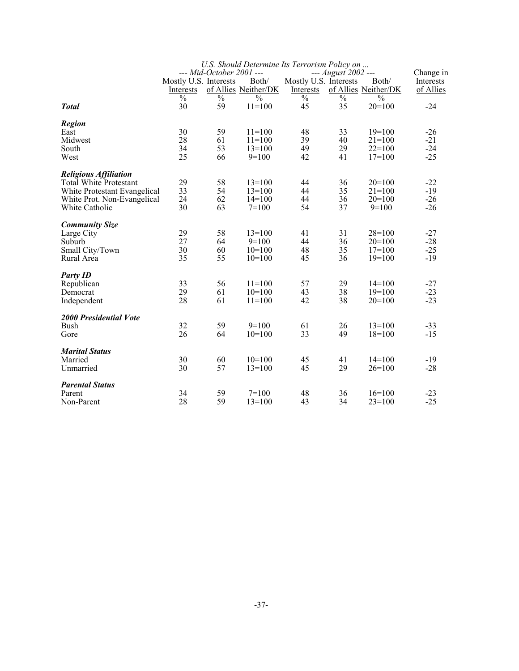|                               |                       |                          | U.S. Should Determine Its Terrorism Policy on |                       |                     |                      |           |
|-------------------------------|-----------------------|--------------------------|-----------------------------------------------|-----------------------|---------------------|----------------------|-----------|
|                               |                       | --- Mid-October 2001 --- |                                               |                       | --- August 2002 --- |                      | Change in |
|                               | Mostly U.S. Interests |                          | Both/                                         | Mostly U.S. Interests |                     | Both/                | Interests |
|                               | Interests             |                          | of Allies Neither/DK                          | Interests             |                     | of Allies Neither/DK | of Allies |
|                               | $\frac{0}{0}$         | $\frac{0}{0}$            | $\frac{0}{0}$                                 | $\%$                  | $\%$                | $\frac{0}{0}$        |           |
| <b>Total</b>                  | 30                    | 59                       | $11 = 100$                                    | 45                    | 35                  | $20=100$             | $-24$     |
| <b>Region</b>                 |                       |                          |                                               |                       |                     |                      |           |
| East                          | 30                    | 59                       | $11 = 100$                                    | 48                    | 33                  | $19=100$             | $-26$     |
| Midwest                       | 28                    | 61                       | $11=100$                                      | 39                    | 40                  | $21 = 100$           | $-21$     |
| South                         | 34                    | 53                       | $13=100$                                      | 49                    | 29                  | $22=100$             | $-24$     |
| West                          | 25                    | 66                       | $9=100$                                       | 42                    | 41                  | $17=100$             | $-25$     |
| <b>Religious Affiliation</b>  |                       |                          |                                               |                       |                     |                      |           |
| <b>Total White Protestant</b> | 29                    | 58                       | $13=100$                                      | 44                    | 36                  | $20=100$             | $-22$     |
| White Protestant Evangelical  | 33                    | 54                       | $13=100$                                      | 44                    | 35                  | $21 = 100$           | $-19$     |
| White Prot. Non-Evangelical   | 24                    | 62                       | $14=100$                                      | 44                    | 36                  | $20=100$             | $-26$     |
| White Catholic                | 30                    | 63                       | $7=100$                                       | 54                    | 37                  | $9=100$              | $-26$     |
| <b>Community Size</b>         |                       |                          |                                               |                       |                     |                      |           |
| Large City                    | 29                    | 58                       | $13=100$                                      | 41                    | 31                  | $28=100$             | $-27$     |
| Suburb                        | 27                    | 64                       | $9=100$                                       | 44                    | 36                  | $20=100$             | $-28$     |
| Small City/Town               | 30                    | 60                       | $10=100$                                      | 48                    | 35                  | $17=100$             | $-25$     |
| Rural Area                    | 35                    | 55                       | $10=100$                                      | 45                    | 36                  | $19=100$             | $-19$     |
| <b>Party ID</b>               |                       |                          |                                               |                       |                     |                      |           |
| Republican                    | 33                    | 56                       | $11=100$                                      | 57                    | 29                  | $14=100$             | $-27$     |
| Democrat                      | 29                    | 61                       | $10=100$                                      | 43                    | 38                  | $19=100$             | $-23$     |
| Independent                   | 28                    | 61                       | $11=100$                                      | 42                    | 38                  | $20=100$             | $-23$     |
| 2000 Presidential Vote        |                       |                          |                                               |                       |                     |                      |           |
| Bush                          | 32                    | 59                       | $9=100$                                       | 61                    | 26                  | $13=100$             | $-33$     |
| Gore                          | 26                    | 64                       | $10=100$                                      | 33                    | 49                  | $18=100$             | $-15$     |
| <b>Marital Status</b>         |                       |                          |                                               |                       |                     |                      |           |
| Married                       | 30                    | 60                       | $10=100$                                      | 45                    | 41                  | $14=100$             | $-19$     |
| Unmarried                     | 30                    | 57                       | $13=100$                                      | 45                    | 29                  | $26=100$             | $-28$     |
| <b>Parental Status</b>        |                       |                          |                                               |                       |                     |                      |           |
| Parent                        | 34                    | 59                       | $7=100$                                       | 48                    | 36                  | $16=100$             | $-23$     |
| Non-Parent                    | 28                    | 59                       | $13=100$                                      | 43                    | 34                  | $23 = 100$           | $-25$     |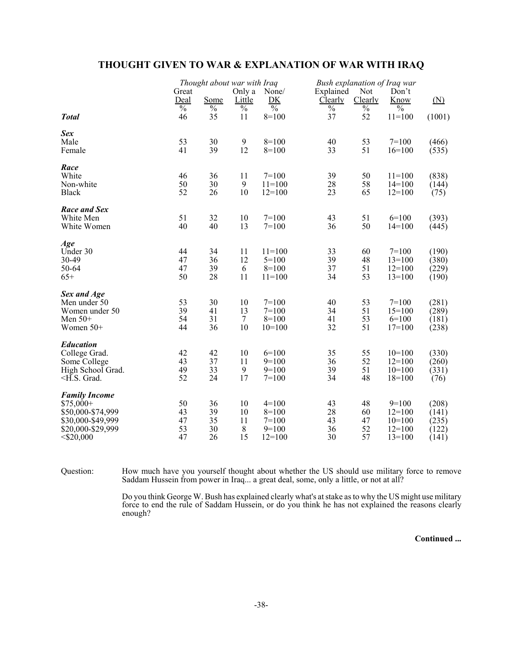# **THOUGHT GIVEN TO WAR & EXPLANATION OF WAR WITH IRAQ**

|                                                                                                                                                            |                       | Thought about war with Iraq |                |                                | Bush explanation of Iraq war |                 |                       |                   |
|------------------------------------------------------------------------------------------------------------------------------------------------------------|-----------------------|-----------------------------|----------------|--------------------------------|------------------------------|-----------------|-----------------------|-------------------|
|                                                                                                                                                            | Great                 |                             | Only a         | None/                          | Explained                    | Not             | Don't                 |                   |
|                                                                                                                                                            | Deal<br>$\frac{0}{6}$ | Some<br>$\%$                | Little<br>$\%$ | DK<br>$\overline{\frac{0}{0}}$ | Clearly<br>$\%$              | Clearly<br>$\%$ | Know<br>$\frac{0}{0}$ | $(\underline{N})$ |
| <b>Total</b>                                                                                                                                               | 46                    | 35                          | 11             | $8=100$                        | 37                           | 52              | $11=100$              | (1001)            |
| Sex                                                                                                                                                        |                       |                             |                |                                |                              |                 |                       |                   |
| Male                                                                                                                                                       | 53                    | 30                          | 9              | $8=100$                        | 40                           | 53              | $7=100$               | (466)             |
| Female                                                                                                                                                     | 41                    | 39                          | 12             | $8=100$                        | 33                           | 51              | $16=100$              | (535)             |
| Race                                                                                                                                                       |                       |                             |                |                                |                              |                 |                       |                   |
| White                                                                                                                                                      | 46                    | 36                          | 11             | $7=100$                        | 39                           | 50              | $11=100$              | (838)             |
| Non-white                                                                                                                                                  | 50                    | 30                          | 9              | $11=100$                       | 28                           | 58              | $14=100$              | (144)             |
| <b>Black</b>                                                                                                                                               | 52                    | 26                          | 10             | $12=100$                       | 23                           | 65              | $12=100$              | (75)              |
| Race and Sex                                                                                                                                               |                       |                             |                |                                |                              |                 |                       |                   |
| White Men                                                                                                                                                  | 51                    | 32                          | 10             | $7 = 100$                      | 43                           | 51              | $6=100$               | (393)             |
| White Women                                                                                                                                                | 40                    | 40                          | 13             | $7 = 100$                      | 36                           | 50              | $14=100$              | (445)             |
| Age                                                                                                                                                        |                       |                             |                |                                |                              |                 |                       |                   |
| Under 30                                                                                                                                                   | 44                    | 34                          | 11             | $11 = 100$                     | 33                           | 60              | $7=100$               | (190)             |
| 30-49                                                                                                                                                      | 47                    | 36                          | 12             | $5=100$                        | 39                           | 48              | $13=100$              | (380)             |
| 50-64                                                                                                                                                      | 47                    | 39                          | 6              | $8=100$                        | 37                           | 51              | $12=100$              | (229)             |
| $65+$                                                                                                                                                      | 50                    | 28                          | 11             | $11=100$                       | 34                           | 53              | $13=100$              | (190)             |
| Sex and Age                                                                                                                                                |                       |                             |                |                                |                              |                 |                       |                   |
| Men under 50                                                                                                                                               | 53                    | 30                          | 10             | $7 = 100$                      | 40                           | 53              | $7=100$               | (281)             |
| Women under 50                                                                                                                                             | 39                    | 41                          | 13             | $7=100$                        | 34                           | 51              | $15=100$              | (289)             |
| Men $50+$                                                                                                                                                  | 54                    | 31                          | $\tau$         | $8=100$                        | 41                           | 53              | $6=100$               | (181)             |
| Women $50+$                                                                                                                                                | 44                    | 36                          | 10             | $10=100$                       | 32                           | 51              | $17 = 100$            | (238)             |
| <b>Education</b>                                                                                                                                           |                       |                             |                |                                |                              |                 |                       |                   |
| College Grad.                                                                                                                                              | 42                    | 42                          | 10             | $6=100$                        | 35                           | 55              | $10=100$              | (330)             |
| Some College                                                                                                                                               | 43                    | 37                          | 11             | $9=100$                        | 36                           | 52              | $12=100$              | (260)             |
| High School Grad.                                                                                                                                          | 49                    | 33                          | 9              | $9=100$                        | 39                           | 51              | $10=100$              | (331)             |
| <h.s. grad.<="" td=""><td>52</td><td>24</td><td>17</td><td><math>7 = 100</math></td><td>34</td><td>48</td><td><math>18=100</math></td><td>(76)</td></h.s.> | 52                    | 24                          | 17             | $7 = 100$                      | 34                           | 48              | $18=100$              | (76)              |
| <b>Family Income</b>                                                                                                                                       |                       |                             |                |                                |                              |                 |                       |                   |
| $$75,000+$                                                                                                                                                 | 50                    | 36                          | 10             | $4=100$                        | 43                           | 48              | $9=100$               | (208)             |
| \$50,000-\$74,999                                                                                                                                          | 43                    | 39                          | 10             | $8=100$                        | 28                           | 60              | $12=100$              | (141)             |
| \$30,000-\$49,999                                                                                                                                          | 47                    | 35                          | 11             | $7 = 100$                      | 43                           | 47              | $10=100$              | (235)             |
| \$20,000-\$29,999                                                                                                                                          | 53<br>47              | 30<br>26                    | $\,8\,$<br>15  | $9=100$                        | 36<br>30                     | 52<br>57        | $12=100$              | (122)             |
| $<$ \$20,000                                                                                                                                               |                       |                             |                | $12=100$                       |                              |                 | $13=100$              | (141)             |

Question: How much have you yourself thought about whether the US should use military force to remove Saddam Hussein from power in Iraq... a great deal, some, only a little, or not at all?

> Do you think George W. Bush has explained clearly what's at stake as to why the US might use military force to end the rule of Saddam Hussein, or do you think he has not explained the reasons clearly enough?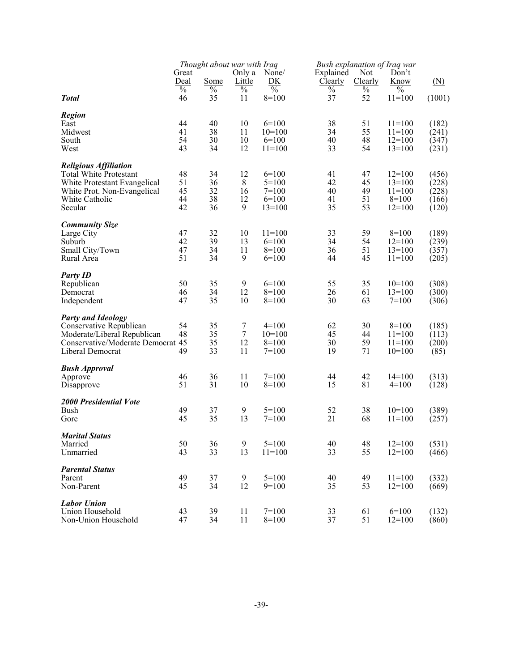|                                   |               | Thought about war with Iraq |                  |               |           | <b>Bush explanation of Iraq war</b> |            |                   |
|-----------------------------------|---------------|-----------------------------|------------------|---------------|-----------|-------------------------------------|------------|-------------------|
|                                   | Great         |                             | Only a           | None/         | Explained | Not                                 | Don't      |                   |
|                                   | Deal          | Some                        | Little           | DK            | Clearly   | Clearly                             | Know       | $(\underline{N})$ |
|                                   | $\frac{0}{0}$ | $\%$                        | $\frac{0}{0}$    | $\frac{0}{0}$ | $\%$      | $\frac{0}{0}$                       | $\%$       |                   |
| <b>Total</b>                      | 46            | 35                          | 11               | $8=100$       | 37        | 52                                  | $11=100$   | (1001)            |
| <b>Region</b>                     |               |                             |                  |               |           |                                     |            |                   |
| East                              | 44            | 40                          | 10               | $6=100$       | 38        | 51                                  | $11=100$   | (182)             |
| Midwest                           | 41            | 38                          | 11               | $10=100$      | 34        | 55                                  | $11=100$   | (241)             |
| South                             | 54            | 30                          | 10               | $6=100$       | 40        | 48                                  | $12=100$   | (347)             |
| West                              | 43            | 34                          | 12               | $11=100$      | 33        | 54                                  | $13=100$   | (231)             |
| <b>Religious Affiliation</b>      |               |                             |                  |               |           |                                     |            |                   |
| <b>Total White Protestant</b>     | 48            | 34<br>36                    | 12<br>8          | $6=100$       | 41<br>42  | 47                                  | $12=100$   | (456)<br>(228)    |
| White Protestant Evangelical      | 51            | 32                          |                  | $5=100$       |           | 45                                  | $13=100$   |                   |
| White Prot. Non-Evangelical       | 45<br>44      | 38                          | 16<br>12         | $7=100$       | 40        | 49                                  | $11=100$   | (228)             |
| White Catholic                    | 42            | 36                          | 9                | $6=100$       | 41<br>35  | 51<br>53                            | $8=100$    | (166)             |
| Secular                           |               |                             |                  | $13=100$      |           |                                     | $12=100$   | (120)             |
| <b>Community Size</b>             |               |                             |                  |               |           |                                     |            |                   |
| Large City                        | 47            | 32                          | 10               | $11=100$      | 33        | 59                                  | $8=100$    | (189)             |
| Suburb                            | 42            | 39                          | 13               | $6=100$       | 34        | 54                                  | $12=100$   | (239)             |
| Small City/Town                   | 47<br>51      | 34<br>34                    | 11<br>9          | $8=100$       | 36<br>44  | 51                                  | $13=100$   | (357)             |
| Rural Area                        |               |                             |                  | $6=100$       |           | 45                                  | $11 = 100$ | (205)             |
| <b>Party ID</b>                   |               |                             |                  |               |           |                                     |            |                   |
| Republican                        | 50            | 35                          | $\boldsymbol{9}$ | $6=100$       | 55        | 35                                  | $10=100$   | (308)             |
| Democrat                          | 46            | 34                          | 12               | $8=100$       | 26        | 61                                  | $13=100$   | (300)             |
| Independent                       | 47            | 35                          | 10               | $8=100$       | 30        | 63                                  | $7=100$    | (306)             |
| <b>Party and Ideology</b>         |               |                             |                  |               |           |                                     |            |                   |
| Conservative Republican           | 54            | 35                          | 7                | $4=100$       | 62        | 30                                  | $8=100$    | (185)             |
| Moderate/Liberal Republican       | 48            | 35                          | $\tau$           | $10=100$      | 45        | 44                                  | $11 = 100$ | (113)             |
| Conservative/Moderate Democrat 45 |               | 35                          | 12               | $8=100$       | 30        | 59                                  | $11=100$   | (200)             |
| Liberal Democrat                  | 49            | 33                          | 11               | $7=100$       | 19        | 71                                  | $10=100$   | (85)              |
| <b>Bush Approval</b>              |               |                             |                  |               |           |                                     |            |                   |
| Approve                           | 46            | 36                          | 11               | $7=100$       | 44        | 42                                  | $14=100$   | (313)             |
| Disapprove                        | 51            | 31                          | 10               | $8=100$       | 15        | 81                                  | $4=100$    | (128)             |
| <b>2000 Presidential Vote</b>     |               |                             |                  |               |           |                                     |            |                   |
| Bush                              | 49            | 37                          | 9                | $5=100$       | 52        | 38                                  | $10=100$   | (389)             |
| Gore                              | 45            | 35                          | 13               | $7=100$       | 21        | 68                                  | $11=100$   | (257)             |
| <b>Marital Status</b>             |               |                             |                  |               |           |                                     |            |                   |
| Married                           | 50            | 36                          | $\boldsymbol{9}$ | $5 = 100$     | 40        | 48                                  | $12=100$   | (531)             |
| Unmarried                         | 43            | 33                          | 13               | $11=100$      | 33        | 55                                  | $12=100$   | (466)             |
| <b>Parental Status</b>            |               |                             |                  |               |           |                                     |            |                   |
| Parent                            | 49            | 37                          | 9                | $5=100$       | 40        | 49                                  | $11 = 100$ | (332)             |
| Non-Parent                        | 45            | 34                          | 12               | $9=100$       | 35        | 53                                  | $12=100$   | (669)             |
| <b>Labor Union</b>                |               |                             |                  |               |           |                                     |            |                   |
| Union Household                   | 43            | 39                          | 11               | $7=100$       | 33        | 61                                  | $6=100$    | (132)             |
| Non-Union Household               | 47            | 34                          | 11               | $8=100$       | 37        | 51                                  | $12=100$   | (860)             |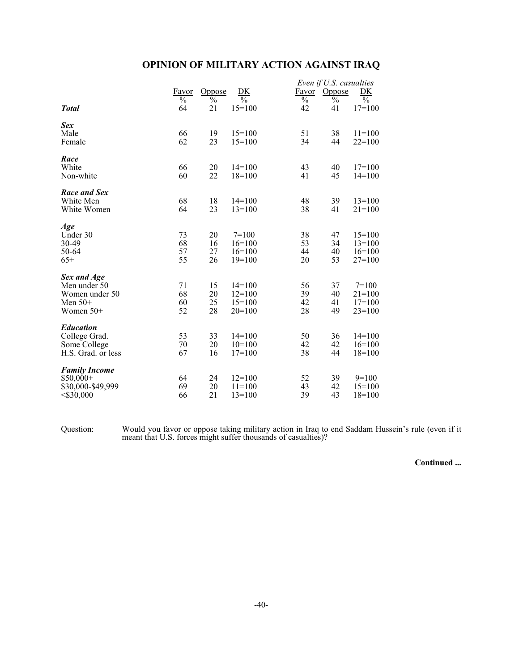# **OPINION OF MILITARY ACTION AGAINST IRAQ**

|                                                                         |                          |                          |                                              |                          | Even if U.S. casualties |                                               |
|-------------------------------------------------------------------------|--------------------------|--------------------------|----------------------------------------------|--------------------------|-------------------------|-----------------------------------------------|
|                                                                         | Favor                    | <b>Oppose</b>            | DK                                           | Favor                    | Oppose                  | DK                                            |
|                                                                         | $\overline{\frac{0}{0}}$ | $\overline{\frac{0}{6}}$ | $\frac{0}{0}$                                | $\overline{\frac{0}{0}}$ | $\frac{6}{6}$           | $\frac{0}{0}$                                 |
| <b>Total</b>                                                            | 64                       | 21                       | $15=100$                                     | 42                       | 41                      | $17=100$                                      |
| Sex<br>Male                                                             | 66                       | 19                       | $15=100$                                     | 51                       | 38                      | $11 = 100$                                    |
| Female                                                                  | 62                       | 23                       | $15=100$                                     | 34                       | 44                      | $22 = 100$                                    |
| Race<br>White<br>Non-white                                              | 66<br>60                 | $20\,$<br>22             | $14=100$<br>$18=100$                         | 43<br>41                 | 40<br>45                | $17=100$<br>$14=100$                          |
| Race and Sex<br>White Men<br>White Women                                | 68<br>64                 | 18<br>23                 | $14=100$<br>$13=100$                         | 48<br>38                 | 39<br>41                | $13 = 100$<br>$21 = 100$                      |
| Age<br>Under 30<br>30-49<br>50-64<br>$65+$                              | 73<br>68<br>57<br>55     | 20<br>16<br>27<br>26     | $7=100$<br>$16=100$<br>$16=100$<br>$19=100$  | 38<br>53<br>44<br>20     | 47<br>34<br>40<br>53    | $15=100$<br>$13=100$<br>$16=100$<br>$27=100$  |
| Sex and Age<br>Men under 50<br>Women under 50<br>Men $50+$<br>Women 50+ | 71<br>68<br>60<br>52     | 15<br>20<br>25<br>28     | $14=100$<br>$12=100$<br>$15=100$<br>$20=100$ | 56<br>39<br>42<br>28     | 37<br>40<br>41<br>49    | $7=100$<br>$21 = 100$<br>$17=100$<br>$23=100$ |
| <b>Education</b><br>College Grad.<br>Some College<br>H.S. Grad. or less | 53<br>70<br>67           | 33<br>20<br>16           | $14=100$<br>$10=100$<br>$17=100$             | 50<br>42<br>38           | 36<br>42<br>44          | $14=100$<br>$16=100$<br>$18=100$              |
| <b>Family Income</b><br>$$50,000+$<br>\$30,000-\$49,999<br>$<$ \$30,000 | 64<br>69<br>66           | 24<br>20<br>21           | $12=100$<br>$11 = 100$<br>$13=100$           | 52<br>43<br>39           | 39<br>42<br>43          | $9=100$<br>$15=100$<br>$18=100$               |

Question: Would you favor or oppose taking military action in Iraq to end Saddam Hussein's rule (even if it meant that U.S. forces might suffer thousands of casualties)?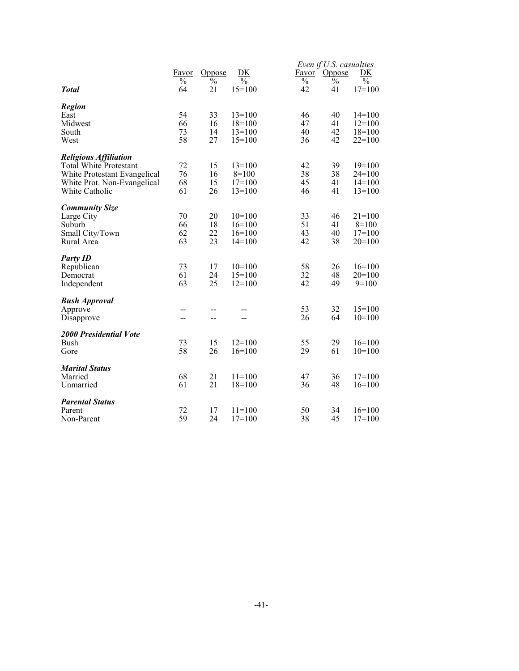|                                                             |               |               |                     |                          | Even if U.S. casualties |                      |
|-------------------------------------------------------------|---------------|---------------|---------------------|--------------------------|-------------------------|----------------------|
|                                                             | Favor         | <b>Oppose</b> | DK                  | Favor                    | Oppose                  | DK                   |
|                                                             | $\frac{0}{0}$ | $\frac{0}{0}$ | $\frac{0}{0}$       | $\overline{\frac{0}{0}}$ | $\bar{\mathcal{O}}_0$   | $\frac{0}{0}$        |
| <b>Total</b>                                                | 64            | 21            | $15=100$            | 42                       | 41                      | $17=100$             |
| <b>Region</b>                                               |               |               |                     |                          |                         |                      |
| East                                                        | 54            | 33            | $13=100$            | 46                       | 40                      | $14=100$             |
| Midwest                                                     | 66            | 16            | $18=100$            | 47                       | 41                      | $12=100$             |
| South                                                       | 73            | 14            | $13 = 100$          | 40                       | 42                      | $18=100$             |
| West                                                        | 58            | 27            | $15=100$            | 36                       | 42                      | $22=100$             |
|                                                             |               |               |                     |                          |                         |                      |
| <b>Religious Affiliation</b>                                |               |               |                     |                          |                         |                      |
| <b>Total White Protestant</b>                               | 72<br>76      | 15<br>16      | $13 = 100$          | 42<br>38                 | 39<br>38                | $19=100$<br>$24=100$ |
| White Protestant Evangelical<br>White Prot. Non-Evangelical | 68            | 15            | $8=100$<br>$17=100$ | 45                       | 41                      | $14=100$             |
| White Catholic                                              | 61            | 26            | $13=100$            | 46                       | 41                      | $13=100$             |
|                                                             |               |               |                     |                          |                         |                      |
| <b>Community Size</b>                                       |               |               |                     |                          |                         |                      |
| Large City                                                  | 70            | 20            | $10=100$            | 33                       | 46                      | $21=100$             |
| Suburb                                                      | 66            | 18            | $16=100$            | 51                       | 41                      | $8=100$              |
| Small City/Town                                             | 62            | 22            | $16=100$            | 43                       | 40                      | $17=100$             |
| Rural Area                                                  | 63            | 23            | $14=100$            | 42                       | 38                      | $20=100$             |
| <b>Party ID</b>                                             |               |               |                     |                          |                         |                      |
| Republican                                                  | 73            | 17            | $10=100$            | 58                       | 26                      | $16=100$             |
| Democrat                                                    | 61            | 24            | $15=100$            | 32                       | 48                      | $20=100$             |
| Independent                                                 | 63            | 25            | $12 = 100$          | 42                       | 49                      | $9=100$              |
|                                                             |               |               |                     |                          |                         |                      |
| <b>Bush Approval</b>                                        |               |               |                     |                          |                         |                      |
| Approve                                                     |               |               |                     | 53                       | 32                      | $15=100$             |
| Disapprove                                                  | --            | --            |                     | 26                       | 64                      | $10=100$             |
| 2000 Presidential Vote                                      |               |               |                     |                          |                         |                      |
| <b>Bush</b>                                                 | 73            | 15            | $12=100$            | 55                       | 29                      | $16=100$             |
| Gore                                                        | 58            | 26            | $16=100$            | 29                       | 61                      | $10=100$             |
|                                                             |               |               |                     |                          |                         |                      |
| <b>Marital Status</b>                                       |               |               |                     |                          |                         |                      |
| Married                                                     | 68            | 21            | $11=100$            | 47                       | 36                      | $17=100$             |
| Unmarried                                                   | 61            | 21            | $18=100$            | 36                       | 48                      | $16=100$             |
| <b>Parental Status</b>                                      |               |               |                     |                          |                         |                      |
| Parent                                                      | 72            | 17            | $11 = 100$          | 50                       | 34                      | $16=100$             |
| Non-Parent                                                  | 59            | 24            | $17=100$            | 38                       | 45                      | $17=100$             |
|                                                             |               |               |                     |                          |                         |                      |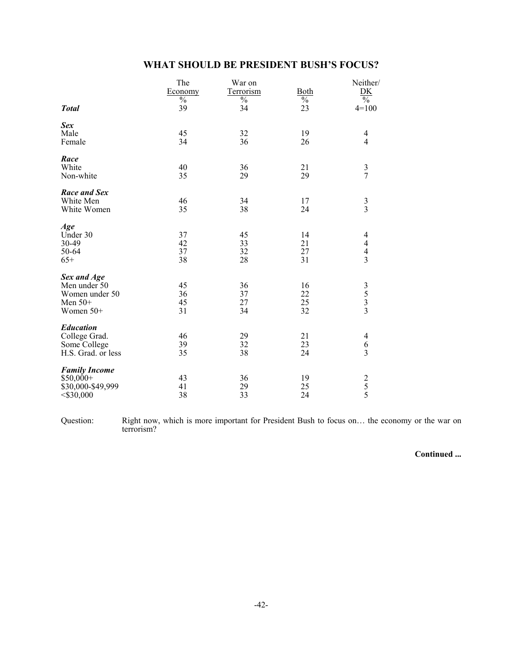| WHAT SHOULD BE PRESIDENT BUSH'S FOCUS? |  |  |  |
|----------------------------------------|--|--|--|
|----------------------------------------|--|--|--|

| <b>Total</b>                                                            | The<br>Economy<br>$\%$<br>39 | War on<br><b>Terrorism</b><br>$\%$<br>34 | <b>Both</b><br>$\%$<br>23 | Neither/<br>D <sub>K</sub><br>$\frac{0}{0}$<br>$4=100$ |
|-------------------------------------------------------------------------|------------------------------|------------------------------------------|---------------------------|--------------------------------------------------------|
| <b>Sex</b><br>Male<br>Female                                            | 45<br>34                     | 32<br>36                                 | 19<br>26                  | $\overline{4}$<br>$\overline{4}$                       |
| Race<br>White<br>Non-white                                              | 40<br>35                     | 36<br>29                                 | 21<br>29                  | $\frac{3}{7}$                                          |
| <b>Race and Sex</b><br>White Men<br>White Women                         | 46<br>35                     | 34<br>38                                 | 17<br>24                  | $\frac{3}{3}$                                          |
| Age<br>Under 30<br>30-49<br>50-64<br>$65+$                              | 37<br>42<br>37<br>38         | 45<br>33<br>32<br>28                     | 14<br>21<br>27<br>31      | 4<br>$\begin{array}{c} 4 \\ 4 \\ 3 \end{array}$        |
| Sex and Age<br>Men under 50<br>Women under 50<br>Men $50+$<br>Women 50+ | 45<br>36<br>45<br>31         | 36<br>37<br>27<br>34                     | 16<br>22<br>25<br>32      | $\begin{array}{c} 3 \\ 5 \\ 3 \\ 3 \end{array}$        |
| <b>Education</b><br>College Grad.<br>Some College<br>H.S. Grad. or less | 46<br>39<br>35               | 29<br>32<br>38                           | 21<br>23<br>24            | $\overline{4}$<br>$\boldsymbol{6}$<br>$\overline{3}$   |
| <b>Family Income</b><br>$$50,000+$<br>\$30,000-\$49,999<br>$<$ \$30,000 | 43<br>41<br>38               | 36<br>29<br>33                           | 19<br>25<br>24            | $\begin{array}{c} 2 \\ 5 \\ 5 \end{array}$             |

Question: Right now, which is more important for President Bush to focus on… the economy or the war on terrorism?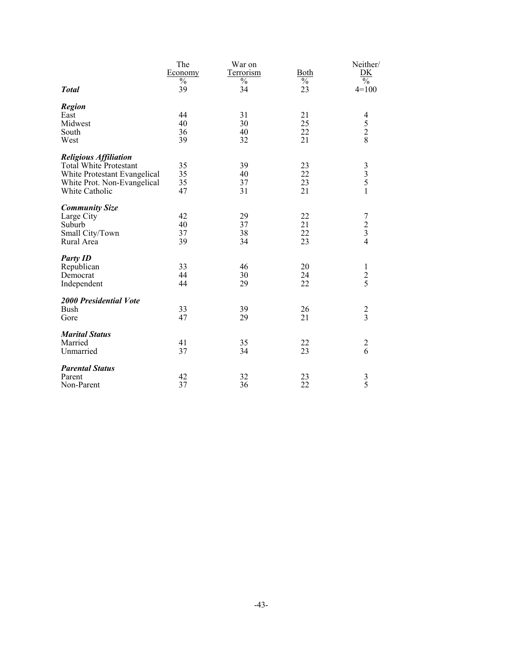|                              | The<br>Economy      | War on<br><b>Terrorism</b> | <b>Both</b>         | Neither/<br>$\frac{\rm DK}{\%}$                 |
|------------------------------|---------------------|----------------------------|---------------------|-------------------------------------------------|
| <b>Total</b>                 | $\frac{0}{0}$<br>39 | $\frac{0}{0}$<br>34        | $\frac{0}{0}$<br>23 | $4=100$                                         |
| <b>Region</b>                |                     |                            |                     |                                                 |
| East                         | 44                  | 31                         | 21                  |                                                 |
| Midwest                      | 40                  | 30                         | 25                  | $\begin{array}{c} 4 \\ 5 \\ 2 \\ 8 \end{array}$ |
| South                        | 36                  | 40                         | 22                  |                                                 |
| West                         | 39                  | 32                         | 21                  |                                                 |
| <b>Religious Affiliation</b> |                     |                            |                     |                                                 |
| Total White Protestant       | 35                  | 39                         | 23                  |                                                 |
| White Protestant Evangelical | 35                  | 40                         | 22                  | $\begin{array}{c} 3 \\ 3 \\ 5 \end{array}$      |
| White Prot. Non-Evangelical  | 35                  | 37                         | 23                  |                                                 |
| White Catholic               | 47                  | 31                         | 21                  | $\mathbf{1}$                                    |
| <b>Community Size</b>        |                     |                            |                     |                                                 |
| Large City                   | 42                  | 29                         | 22                  |                                                 |
| Suburb                       | 40                  | 37                         | 21                  | $\begin{array}{c} 7 \\ 2 \\ 3 \\ 4 \end{array}$ |
| Small City/Town              | 37                  | 38                         | 22                  |                                                 |
| Rural Area                   | 39                  | 34                         | 23                  |                                                 |
| <b>Party ID</b>              |                     |                            |                     |                                                 |
| Republican                   | 33                  | 46                         | 20                  | $\mathbf{1}$                                    |
| Democrat                     | 44                  | 30                         | 24                  | $rac{2}{5}$                                     |
| Independent                  | 44                  | 29                         | 22                  |                                                 |
| 2000 Presidential Vote       |                     |                            |                     |                                                 |
| Bush                         | 33                  | 39                         | 26                  | $\frac{2}{3}$                                   |
| Gore                         | 47                  | 29                         | 21                  |                                                 |
| <b>Marital Status</b>        |                     |                            |                     |                                                 |
| Married                      | 41                  | 35                         | 22                  |                                                 |
| Unmarried                    | 37                  | 34                         | 23                  | $\frac{2}{6}$                                   |
| <b>Parental Status</b>       |                     |                            |                     |                                                 |
| Parent                       | 42                  | 32                         | 23                  |                                                 |
| Non-Parent                   | 37                  | 36                         | 22                  | $\frac{3}{5}$                                   |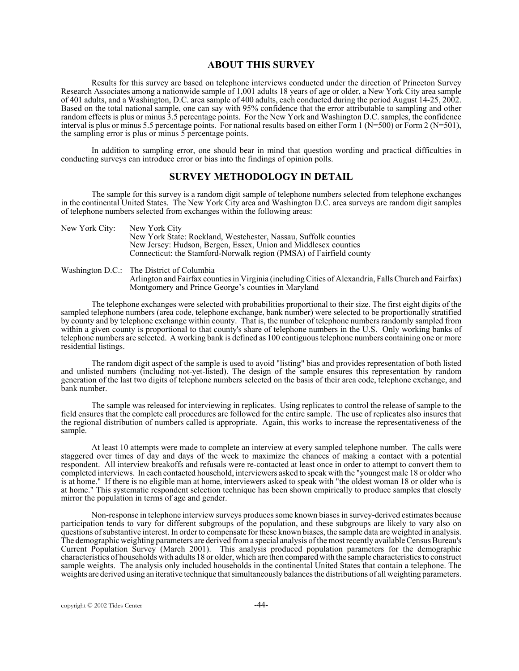#### **ABOUT THIS SURVEY**

Results for this survey are based on telephone interviews conducted under the direction of Princeton Survey Research Associates among a nationwide sample of 1,001 adults 18 years of age or older, a New York City area sample of 401 adults, and a Washington, D.C. area sample of 400 adults, each conducted during the period August 14-25, 2002. Based on the total national sample, one can say with 95% confidence that the error attributable to sampling and other random effects is plus or minus 3.5 percentage points. For the New York and Washington D.C. samples, the confidence interval is plus or minus 5.5 percentage points. For national results based on either Form 1 (N=500) or Form 2 (N=501), the sampling error is plus or minus 5 percentage points.

In addition to sampling error, one should bear in mind that question wording and practical difficulties in conducting surveys can introduce error or bias into the findings of opinion polls.

#### **SURVEY METHODOLOGY IN DETAIL**

The sample for this survey is a random digit sample of telephone numbers selected from telephone exchanges in the continental United States. The New York City area and Washington D.C. area surveys are random digit samples of telephone numbers selected from exchanges within the following areas:

| New York City: | New York City                                                       |
|----------------|---------------------------------------------------------------------|
|                | New York State: Rockland, Westchester, Nassau, Suffolk counties     |
|                | New Jersey: Hudson, Bergen, Essex, Union and Middlesex counties     |
|                | Connecticut: the Stamford-Norwalk region (PMSA) of Fairfield county |
|                |                                                                     |

Washington D.C.: The District of Columbia Arlington and Fairfax counties in Virginia (including Cities of Alexandria, Falls Church and Fairfax) Montgomery and Prince George's counties in Maryland

The telephone exchanges were selected with probabilities proportional to their size. The first eight digits of the sampled telephone numbers (area code, telephone exchange, bank number) were selected to be proportionally stratified by county and by telephone exchange within county. That is, the number of telephone numbers randomly sampled from within a given county is proportional to that county's share of telephone numbers in the U.S. Only working banks of telephone numbers are selected. A working bank is defined as 100 contiguous telephone numbers containing one or more residential listings.

The random digit aspect of the sample is used to avoid "listing" bias and provides representation of both listed and unlisted numbers (including not-yet-listed). The design of the sample ensures this representation by random generation of the last two digits of telephone numbers selected on the basis of their area code, telephone exchange, and bank number.

The sample was released for interviewing in replicates. Using replicates to control the release of sample to the field ensures that the complete call procedures are followed for the entire sample. The use of replicates also insures that the regional distribution of numbers called is appropriate. Again, this works to increase the representativeness of the sample.

At least 10 attempts were made to complete an interview at every sampled telephone number. The calls were staggered over times of day and days of the week to maximize the chances of making a contact with a potential respondent. All interview breakoffs and refusals were re-contacted at least once in order to attempt to convert them to completed interviews. In each contacted household, interviewers asked to speak with the "youngest male 18 or older who is at home." If there is no eligible man at home, interviewers asked to speak with "the oldest woman 18 or older who is at home." This systematic respondent selection technique has been shown empirically to produce samples that closely mirror the population in terms of age and gender.

Non-response in telephone interview surveys produces some known biases in survey-derived estimates because participation tends to vary for different subgroups of the population, and these subgroups are likely to vary also on questions of substantive interest. In order to compensate for these known biases, the sample data are weighted in analysis. The demographic weighting parameters are derived from a special analysis of the most recently available Census Bureau's Current Population Survey (March 2001). This analysis produced population parameters for the demographic characteristics of households with adults 18 or older, which are then compared with the sample characteristics to construct sample weights. The analysis only included households in the continental United States that contain a telephone. The weights are derived using an iterative technique that simultaneously balances the distributions of all weighting parameters.

copyright © 2002 Tides Center -44-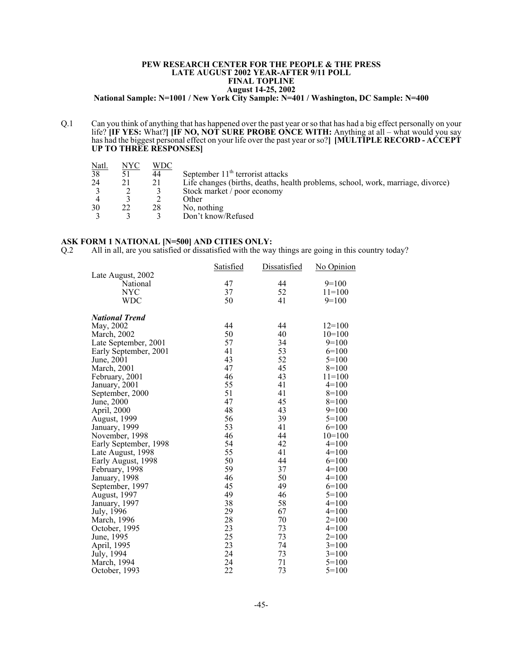#### **PEW RESEARCH CENTER FOR THE PEOPLE & THE PRESS LATE AUGUST 2002 YEAR-AFTER 9/11 POLL FINAL TOPLINE August 14-25, 2002**

**National Sample: N=1001 / New York City Sample: N=401 / Washington, DC Sample: N=400**

Q.1 Can you think of anything that has happened over the past year or so that has had a big effect personally on your life? **[IF YES:** What?**] [IF NO, NOT SURE PROBE ONCE WITH:** Anything at all – what would you say has had the biggest personal effect on your life over the past year or so?**] [MULTIPLE RECORD - ACCEPT UP TO THREE RESPONSES]**

| NYC | WDC |                                                                                 |
|-----|-----|---------------------------------------------------------------------------------|
|     | 44  | September $11th$ terrorist attacks                                              |
|     | 21  | Life changes (births, deaths, health problems, school, work, marriage, divorce) |
|     |     | Stock market / poor economy                                                     |
|     |     | Other                                                                           |
|     | 28  | No, nothing                                                                     |
|     |     | Don't know/Refused                                                              |
|     |     |                                                                                 |

#### **ASK FORM 1 NATIONAL [N=500] AND CITIES ONLY:**

Q.2 All in all, are you satisfied or dissatisfied with the way things are going in this country today?

|                       | <b>Satisfied</b> | Dissatisfied | <u>No Opinion</u> |
|-----------------------|------------------|--------------|-------------------|
| Late August, 2002     |                  |              |                   |
| National              | 47               | 44           | $9=100$           |
| NYC                   | 37               | 52           | $11=100$          |
| WDC                   | 50               | 41           | $9=100$           |
| <b>National Trend</b> |                  |              |                   |
| May, 2002             | 44               | 44           | $12=100$          |
| March, 2002           | 50               | 40           | $10=100$          |
| Late September, 2001  | 57               | 34           | $9=100$           |
| Early September, 2001 | 41               | 53           | $6=100$           |
| June, 2001            | 43               | 52           | $5=100$           |
| March, 2001           | 47               | 45           | $8=100$           |
| February, 2001        | 46               | 43           | $11 = 100$        |
| January, 2001         | 55               | 41           | $4=100$           |
| September, 2000       | 51               | 41           | $8=100$           |
| June, 2000            | 47               | 45           | $8=100$           |
| April, 2000           | 48               | 43           | $9=100$           |
| <b>August, 1999</b>   | 56               | 39           | $5=100$           |
| January, 1999         | 53               | 41           | $6=100$           |
| November, 1998        | 46               | 44           | $10=100$          |
| Early September, 1998 | 54               | 42           | $4=100$           |
| Late August, 1998     | 55               | 41           | $4=100$           |
| Early August, 1998    | 50               | 44           | $6=100$           |
| February, 1998        | 59               | 37           | $4=100$           |
| January, 1998         | 46               | 50           | $4=100$           |
| September, 1997       | 45               | 49           | $6=100$           |
| August, 1997          | 49               | 46           | $5=100$           |
| January, 1997         | 38               | 58           | $4=100$           |
| July, 1996            | 29               | 67           | $4=100$           |
| March, 1996           | 28               | 70           | $2=100$           |
| October, 1995         | 23               | 73           | $4=100$           |
| June, 1995            | 25               | 73           | $2=100$           |
| April, 1995           | 23               | 74           | $3=100$           |
| July, 1994            | 24               | 73           | $3=100$           |
| March, 1994           | 24               | 71           | $5=100$           |
| October, 1993         | 22               | 73           | $5=100$           |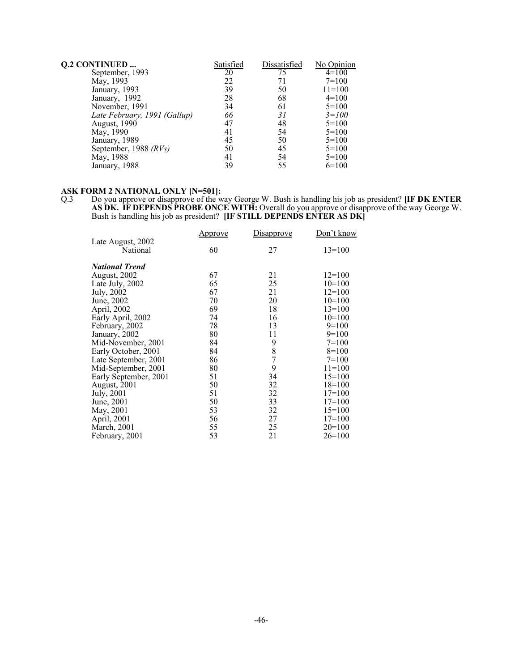| <b>Q.2 CONTINUED </b>        | Satisfied | Dissatisfied | No Opinion |
|------------------------------|-----------|--------------|------------|
| September, 1993              | 20        | 75           | $4=100$    |
| May, 1993                    | 22        | 71           | $7=100$    |
| January, 1993                | 39        | 50           | $11 = 100$ |
| January, 1992                | 28        | 68           | $4=100$    |
| November, 1991               | 34        | 61           | $5=100$    |
| Late February, 1991 (Gallup) | 66        | 31           | $3 = 100$  |
| <b>August</b> , 1990         | 47        | 48           | $5=100$    |
| May, 1990                    | 41        | 54           | $5=100$    |
| January, 1989                | 45        | 50           | $5=100$    |
| September, 1988 (RVs)        | 50        | 45           | $5=100$    |
| May, 1988                    | 41        | 54           | $5=100$    |
| January, 1988                | 39        | 55           | $6=100$    |

#### **ASK FORM 2 NATIONAL ONLY [N=501]:**

Q.3 Do you approve or disapprove of the way George W. Bush is handling his job as president? **[IF DK ENTER AS DK. IF DEPENDS PROBE ONCE WITH:** Overall do you approve or disapprove of the way George W. Bush is handling his job as president? **[IF STILL DEPENDS ENTER AS DK]** 

|                       | <u>Approve</u> | Disapprove    | Don't know |
|-----------------------|----------------|---------------|------------|
| Late August, 2002     |                |               |            |
| National              | 60             | 27            | $13=100$   |
| National Trend        |                |               |            |
| August, 2002          | 67             | 21            | $12=100$   |
| Late July, 2002       | 65             | 25            | $10=100$   |
| July, 2002            | 67             | 21            | $12=100$   |
| June, 2002            | 70             | 20            | $10=100$   |
| April, 2002           | 69             | 18            | $13 = 100$ |
| Early April, 2002     | 74             | 16            | $10=100$   |
| February, 2002        | 78             | 13            | $9=100$    |
| January, 2002         | 80             | 11            | $9=100$    |
| Mid-November, 2001    | 84             | 9             | $7=100$    |
| Early October, 2001   | 84             | $\frac{8}{7}$ | $8=100$    |
| Late September, 2001  | 86             |               | $7=100$    |
| Mid-September, 2001   | 80             | 9             | $11 = 100$ |
| Early September, 2001 | 51             | 34            | $15=100$   |
| August, 2001          | 50             | 32            | $18=100$   |
| July, 2001            | 51             | 32            | $17 = 100$ |
| June, 2001            | 50             | 33            | $17 = 100$ |
| May, 2001             | 53             | 32            | $15=100$   |
| April, 2001           | 56             | 27            | $17 = 100$ |
| March, 2001           | 55             | 25            | $20=100$   |
| February, 2001        | 53             | 21            | $26=100$   |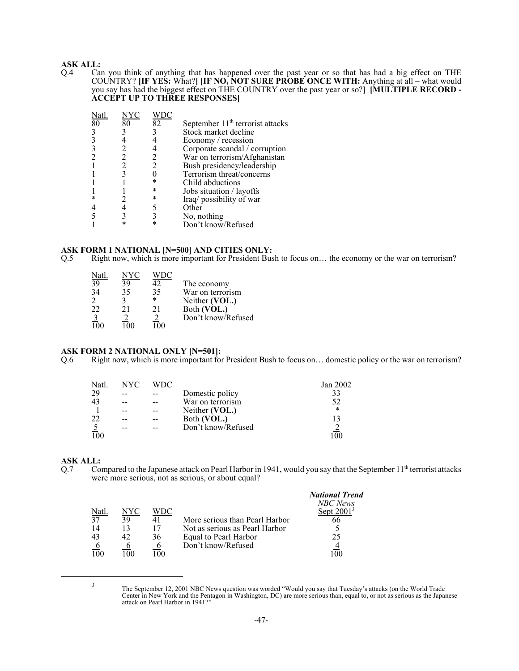# **ASK ALL:**<br>Q.4 Ca

Q.4 Can you think of anything that has happened over the past year or so that has had a big effect on THE COUNTRY? **[IF YES:** What?**] [IF NO, NOT SURE PROBE ONCE WITH:** Anything at all – what would you say has had the biggest effect on THE COUNTRY over the past year or so?**] [MULTIPLE RECORD - ACCEPT UP TO THREE RESPONSES]**

| Natl. | NYC |    |                                              |
|-------|-----|----|----------------------------------------------|
| 80    | 80  | 82 | September 11 <sup>th</sup> terrorist attacks |
| 3     |     |    | Stock market decline                         |
|       |     |    | Economy / recession                          |
|       |     |    | Corporate scandal / corruption               |
|       |     |    | War on terrorism/Afghanistan                 |
|       |     |    | Bush presidency/leadership                   |
|       |     |    | Terrorism threat/concerns                    |
|       |     |    | Child abductions                             |
|       |     |    | Jobs situation / layoffs                     |
| *     |     |    | Iraq/possibility of war                      |
|       |     |    | Other                                        |
|       |     |    | No, nothing                                  |
|       |     |    | Don't know/Refused                           |

# **ASK FORM 1 NATIONAL [N=500] AND CITIES ONLY:**<br>Q.5 Right now, which is more important for President Bus

Right now, which is more important for President Bush to focus on... the economy or the war on terrorism?

| Natl             | NYC        |        |                    |
|------------------|------------|--------|--------------------|
| 39               | 39         | 42     | The economy        |
| 34               | 35         | 35     | War on terrorism   |
| $\overline{2}$   |            | $\ast$ | Neither (VOL.)     |
| 22               | 21         | 21     | Both (VOL.)        |
|                  |            |        | Don't know/Refused |
| $\overline{100}$ | $^{\circ}$ |        |                    |

#### **ASK FORM 2 NATIONAL ONLY [N=501]:**

Q.6 Right now, which is more important for President Bush to focus on… domestic policy or the war on terrorism?

| Natl     | NYC | WDC |                    | tan 2002 |
|----------|-----|-----|--------------------|----------|
| 29       |     |     | Domestic policy    | 33       |
| 43       |     |     | War on terrorism   | 52       |
|          |     |     | Neither (VOL.)     | $\star$  |
| 22       | --  |     | Both (VOL.)        |          |
| <u>5</u> |     |     | Don't know/Refused |          |
|          |     |     |                    |          |

# **ASK ALL:**<br>Q.7 Co.

Compared to the Japanese attack on Pearl Harbor in 1941, would you say that the September  $11<sup>th</sup>$  terrorist attacks were more serious, not as serious, or about equal?

|                          |     |     |                                | <b>National Trend</b><br>NBC News |
|--------------------------|-----|-----|--------------------------------|-----------------------------------|
| $\frac{\text{Natl}}{37}$ | NYC | WDC |                                | Sept $20013$                      |
|                          | 39  |     | More serious than Pearl Harbor | 66                                |
| 14                       |     | 17  | Not as serious as Pearl Harbor |                                   |
| 43                       | 42  | 36  | Equal to Pearl Harbor          | 25                                |
|                          |     |     | Don't know/Refused             |                                   |
| 100                      |     |     |                                |                                   |

<sup>3</sup> The September 12, 2001 NBC News question was worded "Would you say that Tuesday's attacks (on the World Trade Center in New York and the Pentagon in Washington, DC) are more serious than, equal to, or not as serious as the Japanese attack on Pearl Harbor in 1941?"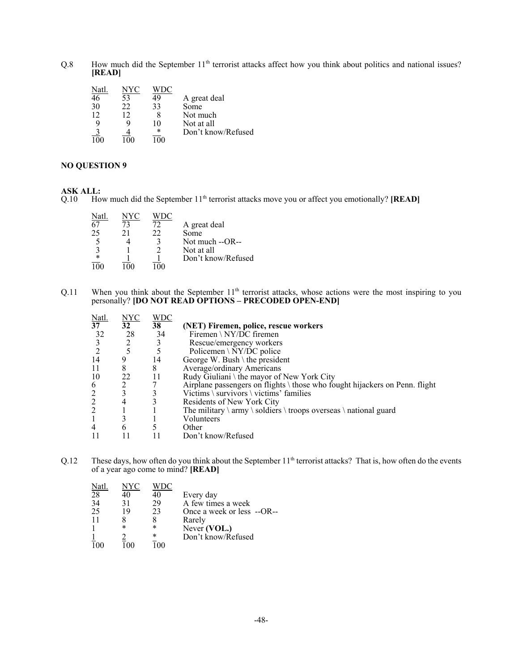Q.8 How much did the September 11<sup>th</sup> terrorist attacks affect how you think about politics and national issues? **[READ]**

| NYC |    |                    |
|-----|----|--------------------|
| 53  | 49 | A great deal       |
| 22  | 33 | Some               |
| 12  |    | Not much           |
|     | 10 | Not at all         |
|     | *  | Don't know/Refused |
| ഥ   | 00 |                    |
|     |    |                    |

#### **NO QUESTION 9**

### **ASK ALL:**

Q.10 How much did the September 11<sup>th</sup> terrorist attacks move you or affect you emotionally? **[READ]** 

| Natl.  | NYC |    |                    |
|--------|-----|----|--------------------|
| 67     | 73  | 72 | A great deal       |
| 25     | 21  | 22 | Some               |
|        |     | 2  | Not much --OR--    |
| 3      |     |    | Not at all         |
| $\ast$ |     |    | Don't know/Refused |
|        |     |    |                    |

 $Q.11$  When you think about the September  $11<sup>th</sup>$  terrorist attacks, whose actions were the most inspiring to you personally? **[DO NOT READ OPTIONS – PRECODED OPEN-END]**

| Natl.           | <u>NYC</u>      | WDC |                                                                                                   |
|-----------------|-----------------|-----|---------------------------------------------------------------------------------------------------|
| $3\overline{7}$ | 32 <sup>2</sup> | 38  | (NET) Firemen, police, rescue workers                                                             |
| 32              | 28              | 34  | Firemen \ NY/DC firemen                                                                           |
|                 | 2               | 3   | Rescue/emergency workers                                                                          |
|                 | 5               |     | Policemen \ $\overline{NY/DC}$ police                                                             |
| 14              |                 | 14  | George W. Bush \ the president                                                                    |
| 11              | 8               | 8   | Average/ordinary Americans                                                                        |
| 10              | 22              | 11  | Rudy Giuliani \ the mayor of New York City                                                        |
| 6               |                 |     | Airplane passengers on flights \ those who fought hijackers on Penn. flight                       |
| $\overline{2}$  | 3               |     | Victims \survivors \ victims' families                                                            |
| $\frac{2}{2}$   | 4               | 3   | Residents of New York City                                                                        |
|                 |                 |     | The military $\langle$ army $\langle$ soldiers $\langle$ troops overseas $\langle$ national guard |
|                 |                 |     | Volunteers                                                                                        |
| $\overline{4}$  | 6               |     | Other                                                                                             |
|                 |                 |     | Don't know/Refused                                                                                |

Q.12 These days, how often do you think about the September  $11<sup>th</sup>$  terrorist attacks? That is, how often do the events of a year ago come to mind? **[READ]**

| Natl. | NYC    |        |                            |
|-------|--------|--------|----------------------------|
| 28    | 40     | 40     | Every day                  |
| 34    | 31     | 29     | A few times a week         |
| 25    | 19     | 23     | Once a week or less --OR-- |
| 11    |        |        | Rarely                     |
|       | $\ast$ | *      | Never (VOL.)               |
|       |        | $\ast$ | Don't know/Refused         |
|       |        |        |                            |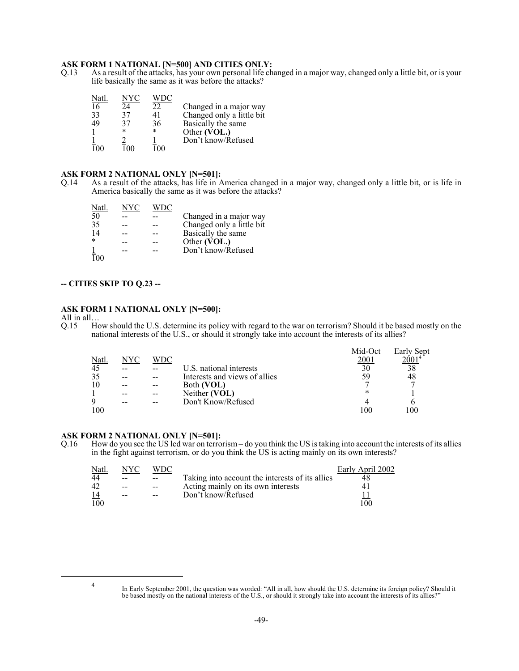# **ASK FORM 1 NATIONAL [N=500] AND CITIES ONLY:**<br>Q.13 As a result of the attacks, has your own personal life ch

As a result of the attacks, has your own personal life changed in a major way, changed only a little bit, or is your life basically the same as it was before the attacks?

| Natl. | VУC |     |                           |
|-------|-----|-----|---------------------------|
| 16    | 24  | 22  | Changed in a major way    |
| 33    | 37  | 41  | Changed only a little bit |
| 49    | 37  | 36  | Basically the same        |
|       | *   | *   | Other (VOL.)              |
|       |     |     | Don't know/Refused        |
| 100   |     | 100 |                           |

#### **ASK FORM 2 NATIONAL ONLY [N=501]:**

Q.14 As a result of the attacks, has life in America changed in a major way, changed only a little bit, or is life in America basically the same as it was before the attacks?

| Natl.  | NYC |                           |
|--------|-----|---------------------------|
| 50     |     | Changed in a major way    |
| 35     |     | Changed only a little bit |
| 14     |     | Basically the same        |
| $\ast$ |     | Other (VOL.)              |
|        |     | Don't know/Refused        |
|        |     |                           |

#### **-- CITIES SKIP TO Q.23 --**

#### **ASK FORM 1 NATIONAL ONLY [N=500]:**

All in all...<br>Q.15  $\qquad$  Ho How should the U.S. determine its policy with regard to the war on terrorism? Should it be based mostly on the national interests of the U.S., or should it strongly take into account the interests of its allies?

|      |      |     |                               | Mid-Oct | Early Sept |
|------|------|-----|-------------------------------|---------|------------|
| Natl | NYC. | WDC |                               | 2001    |            |
| 45   |      |     | U.S. national interests       | 30      | 38         |
| 35   |      |     | Interests and views of allies | 59      | 48         |
| 10   |      |     | Both (VOL)                    |         |            |
|      |      |     | Neither (VOL)                 |         |            |
| 9    |      |     | Don't Know/Refused            |         |            |
| 100  |      |     |                               |         |            |

# **ASK FORM 2 NATIONAL ONLY [N=501]:**<br>0.16 How do you see the US led war on terror

How do you see the US led war on terrorism – do you think the US is taking into account the interests of its allies in the fight against terrorism, or do you think the US is acting mainly on its own interests?

| Natl. | NYC   |       |                                                 | Early April 2002 |
|-------|-------|-------|-------------------------------------------------|------------------|
| 44    | --    |       | Taking into account the interests of its allies |                  |
| 42    |       |       | Acting mainly on its own interests              |                  |
| 14    | $- -$ | $- -$ | Don't know/Refused                              |                  |
| 100   |       |       |                                                 | 100              |

<sup>4</sup> In Early September 2001, the question was worded: "All in all, how should the U.S. determine its foreign policy? Should it be based mostly on the national interests of the U.S., or should it strongly take into account the interests of its allies?"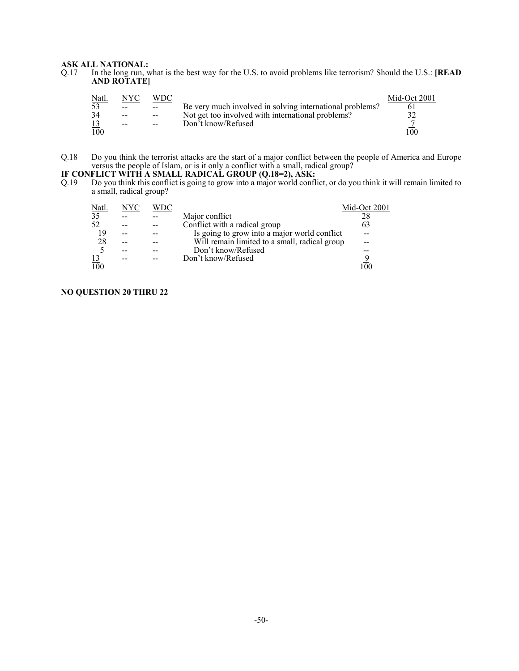# **ASK ALL NATIONAL:**<br>Q.17 In the long run, w

In the long run, what is the best way for the U.S. to avoid problems like terrorism? Should the U.S.: **[READ AND ROTATE]**

| <u>Natl.</u> | NYC | WDC   |                                                          | Mid-Oct 2001 |
|--------------|-----|-------|----------------------------------------------------------|--------------|
| 53           | $-$ | $- -$ | Be very much involved in solving international problems? |              |
| 34           | $-$ | $ -$  | Not get too involved with international problems?        |              |
|              | $-$ | $- -$ | Don't know/Refused                                       |              |
| 100          |     |       |                                                          | 100          |

Q.18 Do you think the terrorist attacks are the start of a major conflict between the people of America and Europe versus the people of Islam, or is it only a conflict with a small, radical group?

#### **IF CONFLICT WITH A SMALL RADICAL GROUP (Q.18=2), ASK:**

Q.19 Do you think this conflict is going to grow into a major world conflict, or do you think it will remain limited to a small, radical group?

| <u>Natl.</u>    | NYC | WDC |                                               | Mid-Oct 2001 |
|-----------------|-----|-----|-----------------------------------------------|--------------|
| $\overline{35}$ |     |     | Major conflict                                | 28           |
| 52              |     |     | Conflict with a radical group                 | 63           |
| 19              |     |     | Is going to grow into a major world conflict  |              |
| 28              |     |     | Will remain limited to a small, radical group |              |
|                 |     |     | Don't know/Refused                            |              |
| <u>13</u>       |     |     | Don't know/Refused                            |              |
| 100             |     |     |                                               |              |

#### **NO QUESTION 20 THRU 22**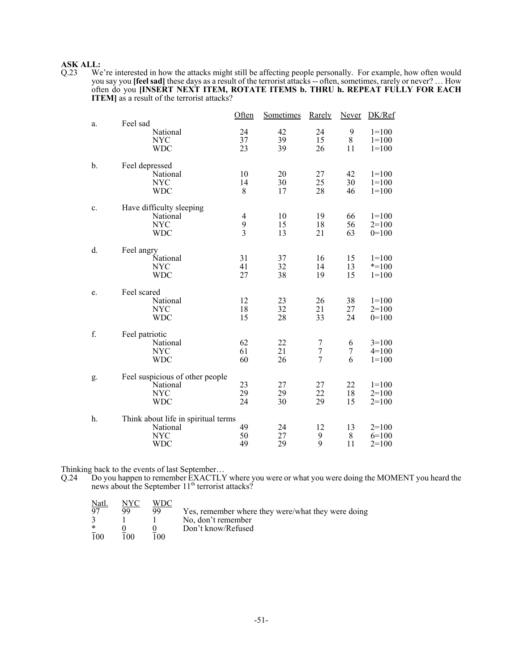# **ASK ALL:**<br>Q.23 We

Q.23 We're interested in how the attacks might still be affecting people personally. For example, how often would you say you **[feel sad]** these days as a result of the terrorist attacks -- often, sometimes, rarely or never? … How often do you **[INSERT NEXT ITEM, ROTATE ITEMS b. THRU h. REPEAT FULLY FOR EACH ITEM]** as a result of the terrorist attacks?

|    | Feel sad                                                                    | Often                           | Sometimes      | Rarely                                  | <b>Never</b>   | DK/Ref                            |
|----|-----------------------------------------------------------------------------|---------------------------------|----------------|-----------------------------------------|----------------|-----------------------------------|
| a. | National<br><b>NYC</b><br><b>WDC</b>                                        | 24<br>37<br>23                  | 42<br>39<br>39 | 24<br>15<br>26                          | 9<br>8<br>11   | $1 = 100$<br>$1 = 100$<br>$1=100$ |
| b. | Feel depressed<br>National<br><b>NYC</b><br><b>WDC</b>                      | 10<br>14<br>8                   | 20<br>30<br>17 | 27<br>25<br>28                          | 42<br>30<br>46 | $1=100$<br>$1 = 100$<br>$1=100$   |
| c. | Have difficulty sleeping<br>National<br><b>NYC</b><br><b>WDC</b>            | $\overline{4}$<br>$\frac{9}{3}$ | 10<br>15<br>13 | 19<br>18<br>21                          | 66<br>56<br>63 | $1=100$<br>$2=100$<br>$0=100$     |
| d. | Feel angry<br>National<br><b>NYC</b><br><b>WDC</b>                          | 31<br>41<br>27                  | 37<br>32<br>38 | 16<br>14<br>19                          | 15<br>13<br>15 | $1=100$<br>$* = 100$<br>$1 = 100$ |
| e. | Feel scared<br>National<br><b>NYC</b><br><b>WDC</b>                         | 12<br>18<br>15                  | 23<br>32<br>28 | 26<br>21<br>33                          | 38<br>27<br>24 | $1=100$<br>$2=100$<br>$0=100$     |
| f. | Feel patriotic<br>National<br><b>NYC</b><br><b>WDC</b>                      | 62<br>61<br>60                  | 22<br>21<br>26 | 7<br>$\boldsymbol{7}$<br>$\overline{7}$ | 6<br>7<br>6    | $3=100$<br>$4=100$<br>$1=100$     |
| g. | Feel suspicious of other people<br>National<br><b>NYC</b><br><b>WDC</b>     | 23<br>29<br>24                  | 27<br>29<br>30 | 27<br>22<br>29                          | 22<br>18<br>15 | $1 = 100$<br>$2=100$<br>$2=100$   |
| h. | Think about life in spiritual terms<br>National<br><b>NYC</b><br><b>WDC</b> | 49<br>50<br>49                  | 24<br>27<br>29 | 12<br>9<br>9                            | 13<br>8<br>11  | $2=100$<br>$6=100$<br>$2=100$     |

Thinking back to the events of last September…

Q.24 Do you happen to remember EXACTLY where you were or what you were doing the MOMENT you heard the news about the September  $11<sup>th</sup>$  terrorist attacks?

| <u>Natl.</u>   | NYC  | WDC |                                                    |
|----------------|------|-----|----------------------------------------------------|
| Q <sub>7</sub> | 99   | 99  | Yes, remember where they were/what they were doing |
|                |      |     | No, don't remember                                 |
| $\ast$         |      |     | Don't know/Refused                                 |
| 100            | 100. | 100 |                                                    |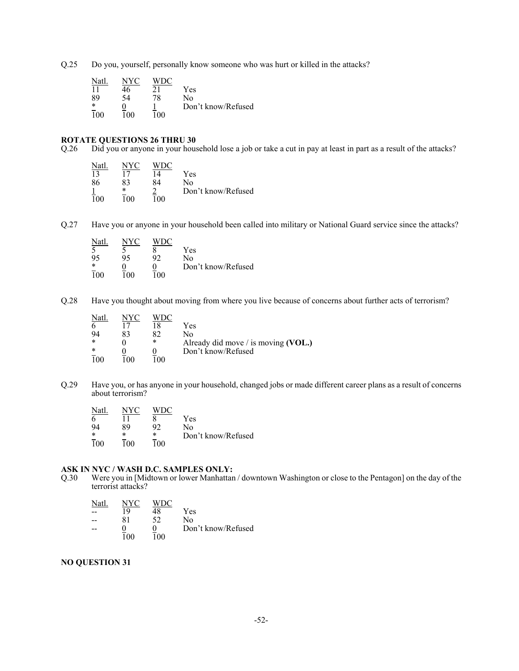Q.25 Do you, yourself, personally know someone who was hurt or killed in the attacks?

| Natl   | NYC <sup>-</sup> |     |                    |
|--------|------------------|-----|--------------------|
|        | 16               | 21  | Yes                |
| 89     | 54               | 78  | No                 |
| $\ast$ |                  |     | Don't know/Refused |
| 100    | 100              | 100 |                    |

# **ROTATE QUESTIONS 26 THRU 30**<br>Q.26 Did you or anyone in your hous

Did you or anyone in your household lose a job or take a cut in pay at least in part as a result of the attacks?

| Natl | NYC | <b>WDC</b>     |                    |
|------|-----|----------------|--------------------|
| 13   |     | $\overline{4}$ | Yes                |
| 86   | 83  | 84             | No                 |
|      | *   |                | Don't know/Refused |
| 100  | 100 | 100            |                    |

Q.27 Have you or anyone in your household been called into military or National Guard service since the attacks?

| Natl             | NYC |    |                    |
|------------------|-----|----|--------------------|
|                  |     |    | Yes                |
| 95               | 95  | 92 | No                 |
| *                |     |    | Don't know/Refused |
| $\overline{1}00$ | ۱۵۵ | n۵ |                    |

Q.28 Have you thought about moving from where you live because of concerns about further acts of terrorism?

| Natl.  | NYC        |     |                                     |
|--------|------------|-----|-------------------------------------|
|        |            |     | Yes                                 |
| 94     | 83         | RJ  | Nο                                  |
| $\ast$ |            | *   | Already did move / is moving (VOL.) |
| $\ast$ |            |     | Don't know/Refused                  |
|        | $^{\circ}$ | ۱۵۵ |                                     |

Q.29 Have you, or has anyone in your household, changed jobs or made different career plans as a result of concerns about terrorism?

| Natl.            | NVC | WDC    |                    |
|------------------|-----|--------|--------------------|
| n                |     |        | Yes                |
| 94               | 89  | 92     | Nο                 |
| $\ast$           | *   | $\ast$ | Don't know/Refused |
| $\overline{1}00$ | 100 | 100    |                    |

# **ASK IN NYC / WASH D.C. SAMPLES ONLY:**<br>Q.30 Were you in [Midtown or lower Manhattan]

Were you in [Midtown or lower Manhattan / downtown Washington or close to the Pentagon] on the day of the terrorist attacks?

| Natl | NYC. | WDC |                    |
|------|------|-----|--------------------|
|      | 19   | 48  | Yes                |
|      | 81   | 52  | N٥                 |
|      |      |     | Don't know/Refused |
|      | 100  | 100 |                    |

#### **NO QUESTION 31**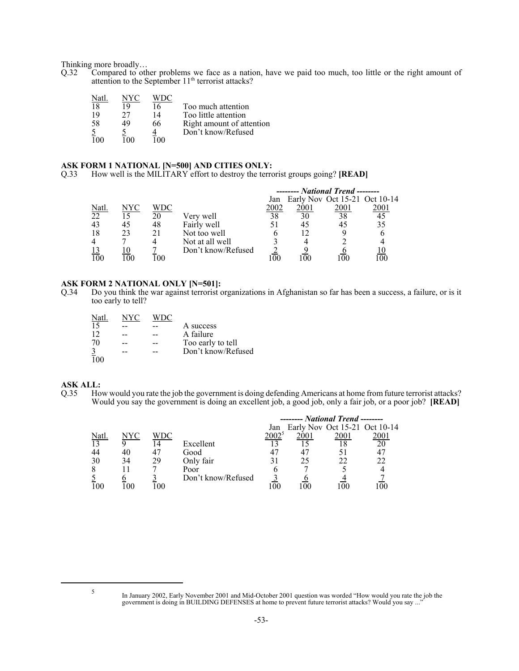Thinking more broadly...<br>Q.32 Compared to oth

Compared to other problems we face as a nation, have we paid too much, too little or the right amount of attention to the September 11<sup>th</sup> terrorist attacks?

| Nati |    |    |                           |
|------|----|----|---------------------------|
| 18   |    | 16 | Too much attention        |
| 19   | 27 | 14 | Too little attention      |
| 58   | 49 | 66 | Right amount of attention |
|      |    |    | Don't know/Refused        |
|      |    |    |                           |

#### **ASK FORM 1 NATIONAL [N=500] AND CITIES ONLY:**

Q.33 How well is the MILITARY effort to destroy the terrorist groups going? **[READ]**

|             |     |     |                    |      | $----- National trend$        |      |      |
|-------------|-----|-----|--------------------|------|-------------------------------|------|------|
|             |     |     |                    | Jan  | Early Nov Oct 15-21 Oct 10-14 |      |      |
| <u>Natl</u> | NYC | WDC |                    | 2002 | 2001                          | 2001 | 2001 |
| 22          |     | 20  | Very well          | 38   | 30                            | 38   | 45   |
| 43          | 45  | 48  | Fairly well        |      | 45                            |      | 35   |
| 18          | 23  | 21  | Not too well       |      |                               |      |      |
|             |     |     | Not at all well    |      |                               |      |      |
|             |     |     | Don't know/Refused |      |                               |      |      |
|             |     | -00 |                    | 0C   |                               |      |      |

# **ASK FORM 2 NATIONAL ONLY [N=501]:**<br>Q.34 Do you think the war against terrorist of

Do you think the war against terrorist organizations in Afghanistan so far has been a success, a failure, or is it too early to tell?

| NYC |                    |
|-----|--------------------|
|     | A success          |
|     | A failure          |
|     | Too early to tell  |
|     | Don't know/Refused |
|     |                    |
|     |                    |

#### **ASK ALL:**

Q.35 How would you rate the job the government is doing defending Americans at home from future terrorist attacks? Would you say the government is doing an excellent job, a good job, only a fair job, or a poor job? **[READ]**

|             |     |     |                    |                | ------- National Trend -------- |      |          |
|-------------|-----|-----|--------------------|----------------|---------------------------------|------|----------|
|             |     |     |                    | Jan            | Early Nov Oct 15-21 Oct 10-14   |      |          |
| <u>Natl</u> | NYC | WDC |                    | $2002^{\circ}$ | 2001                            | 2001 | 2001     |
| 13          |     |     | Excellent          |                |                                 |      | 20       |
| 44          | 40  |     | Good               |                |                                 |      | 47       |
| 30          | 34  | 29  | Only fair          |                | 25                              |      | 22       |
| 8           |     |     | Poor               |                |                                 |      |          |
|             |     |     | Don't know/Refused |                |                                 |      |          |
| 100         |     | 00  |                    | OC.            |                                 |      | $\Omega$ |

<sup>&</sup>lt;sup>5</sup> In January 2002, Early November 2001 and Mid-October 2001 question was worded "How would you rate the job the government is doing in BUILDING DEFENSES at home to prevent future terrorist attacks? Would you say ..."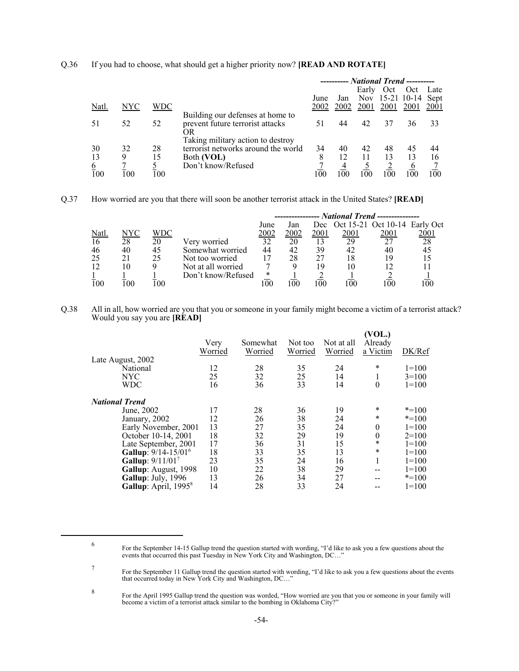|          |                 |     |                                     |      |      |            |      | ---------- National Trend ---------- |      |
|----------|-----------------|-----|-------------------------------------|------|------|------------|------|--------------------------------------|------|
|          |                 |     |                                     |      |      | Early      | Oct  | Oct                                  | Late |
|          |                 |     |                                     | June | Jan  | <b>Nov</b> |      | 15-21 10-14 Sept                     |      |
| Natl.    | NYC             | WDC |                                     | 2002 | 2002 | 2001       | 2001 | 2001                                 | 2001 |
|          |                 |     | Building our defenses at home to    |      |      |            |      |                                      |      |
|          | 52              | 52  | prevent future terrorist attacks    |      | 44   | 42         | 37   | 36                                   | 33   |
|          |                 |     | OR                                  |      |      |            |      |                                      |      |
|          |                 |     | Taking military action to destroy   |      |      |            |      |                                      |      |
| 30       | 32              | 28  | terrorist networks around the world | 34   | 40   | 42         | 48   | 45                                   | 44   |
| 13       | 9               | 15  | Both (VOL)                          | 8    | 12   | 11         | 13   | 13                                   | 16   |
| <u>6</u> |                 |     | Don't know/Refused                  |      |      |            |      | O                                    |      |
| 100      | $\overline{00}$ | 100 |                                     | 100  | 100  | 100        | 100  | 100                                  | 100  |

#### Q.36 If you had to choose, what should get a higher priority now? **[READ AND ROTATE]**

Q.37 How worried are you that there will soon be another terrorist attack in the United States? **[READ]**

|       |      |     |                    | --------------- National Trend --------------- |      |      |             |                                   |                |
|-------|------|-----|--------------------|------------------------------------------------|------|------|-------------|-----------------------------------|----------------|
|       |      |     |                    | June                                           | Jan  |      |             | Dec Oct 15-21 Oct 10-14 Early Oct |                |
| Natl. | NYC. | WDC |                    | 2002                                           | 2002 | 2001 | <u>2001</u> | 2001                              | 2001           |
| 16    | 28   | 20  | Very worried       | 32                                             | 20   |      | 29          | 27                                | 28             |
| 46    | 40   | 45  | Somewhat worried   | 44                                             | 42   | 39   | 42          | 40                                | 45             |
| 25    | 21   | 25  | Not too worried    | 17                                             | 28   |      | 18          |                                   | 15             |
| 12    | 10   |     | Not at all worried |                                                |      | 19   | 10          |                                   |                |
|       |      |     | Don't know/Refused | *                                              |      |      |             |                                   |                |
| 100   | 00   | 00  |                    | 00                                             |      | 100  |             | 00                                | 0 <sup>0</sup> |

Q.38 All in all, how worried are you that you or someone in your family might become a victim of a terrorist attack? Would you say you are **[READ]**

|                                  | Very<br>Worried | Somewhat<br>Worried | Not too<br>Worried | Not at all<br>Worried | (VOL.)<br>Already<br>a Victim | DK/Ref    |
|----------------------------------|-----------------|---------------------|--------------------|-----------------------|-------------------------------|-----------|
| Late August, 2002                |                 |                     |                    |                       |                               |           |
| National                         | 12              | 28                  | 35                 | 24                    | *                             | $1=100$   |
| <b>NYC</b>                       | 25              | 32                  | 25                 | 14                    | 1                             | $3=100$   |
| <b>WDC</b>                       | 16              | 36                  | 33                 | 14                    | $\boldsymbol{0}$              | $1=100$   |
| <b>National Trend</b>            |                 |                     |                    |                       |                               |           |
| June, 2002                       | 17              | 28                  | 36                 | 19                    | *                             | $* = 100$ |
| January, 2002                    | 12              | 26                  | 38                 | 24                    | $\ast$                        | $* = 100$ |
| Early November, 2001             | 13              | 27                  | 35                 | 24                    | $\theta$                      | $1=100$   |
| October 10-14, 2001              | 18              | 32                  | 29                 | 19                    | $\theta$                      | $2=100$   |
| Late September, 2001             | 17              | 36                  | 31                 | 15                    | *                             | $1=100$   |
| Gallup: 9/14-15/01 <sup>6</sup>  | 18              | 33                  | 35                 | 13                    | *                             | $1=100$   |
| Gallup: 9/11/017                 | 23              | 35                  | 24                 | 16                    | 1                             | $1 = 100$ |
| Gallup: August, 1998             | 10              | 22                  | 38                 | 29                    | --                            | $1 = 100$ |
| Gallup: July, 1996               | 13              | 26                  | 34                 | 27                    | --                            | $* = 100$ |
| Gallup: April, 1995 <sup>8</sup> | 14              | 28                  | 33                 | 24                    | --                            | $1=100$   |
|                                  |                 |                     |                    |                       |                               |           |

To For the September 11 Gallup trend the question started with wording, "I'd like to ask you a few questions about the events that occurred today in New York City and Washington, DC..."

<sup>8</sup> For the April 1995 Gallup trend the question was worded, "How worried are you that you or someone in your family will become a victim of a terrorist attack similar to the bombing in Oklahoma City?"

For the September 14-15 Gallup trend the question started with wording, "I'd like to ask you a few questions about the events that occurred this past Tuesday in New York City and Washington, DC..."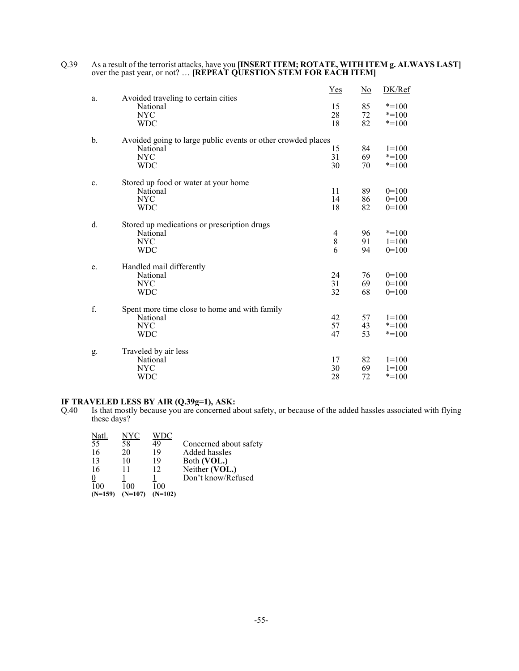|    |                                                              | Yes     | $\overline{\text{No}}$ | DK/Ref    |
|----|--------------------------------------------------------------|---------|------------------------|-----------|
| a. | Avoided traveling to certain cities<br>National              | 15      | 85                     | $* = 100$ |
|    | <b>NYC</b>                                                   | 28      | 72                     | $* = 100$ |
|    | <b>WDC</b>                                                   | 18      | 82                     | $* = 100$ |
|    |                                                              |         |                        |           |
| b. | Avoided going to large public events or other crowded places |         |                        |           |
|    | National                                                     | 15      | 84                     | $1=100$   |
|    | <b>NYC</b>                                                   | 31      | 69                     | $* = 100$ |
|    | <b>WDC</b>                                                   | 30      | 70                     | $* = 100$ |
| c. | Stored up food or water at your home                         |         |                        |           |
|    | National                                                     | 11      | 89                     | $0=100$   |
|    | <b>NYC</b>                                                   | 14      | 86                     | $0=100$   |
|    | <b>WDC</b>                                                   | 18      | 82                     | $0=100$   |
|    |                                                              |         |                        |           |
| d. | Stored up medications or prescription drugs                  |         |                        |           |
|    | National                                                     | 4       | 96                     | $* = 100$ |
|    | <b>NYC</b>                                                   | $\,8\,$ | 91                     | $1=100$   |
|    | <b>WDC</b>                                                   | 6       | 94                     | $0=100$   |
|    |                                                              |         |                        |           |
| e. | Handled mail differently                                     |         |                        |           |
|    | National                                                     | 24      | 76                     | $0=100$   |
|    | <b>NYC</b>                                                   | 31      | 69                     | $0=100$   |
|    | <b>WDC</b>                                                   | 32      | 68                     | $0=100$   |
|    |                                                              |         |                        |           |
| f. | Spent more time close to home and with family                |         |                        |           |
|    | National                                                     | 42      | 57                     | $1=100$   |
|    | <b>NYC</b>                                                   | 57      | 43                     | $* = 100$ |
|    | <b>WDC</b>                                                   | 47      | 53                     | $* = 100$ |
|    |                                                              |         |                        |           |
| g. | Traveled by air less                                         |         |                        |           |
|    | National                                                     | 17      | 82                     | $1=100$   |
|    | <b>NYC</b>                                                   | 30      | 69                     | $1=100$   |
|    | <b>WDC</b>                                                   | 28      | 72                     | $* = 100$ |
|    |                                                              |         |                        |           |

#### Q.39 As a result of the terrorist attacks, have you **[INSERT ITEM; ROTATE, WITH ITEM g. ALWAYS LAST]** over the past year, or not? … **[REPEAT QUESTION STEM FOR EACH ITEM]**

#### **IF TRAVELED LESS BY AIR (Q.39g=1), ASK:**

Q.40 Is that mostly because you are concerned about safety, or because of the added hassles associated with flying these days?

| Natl.            | NYC       |           |                        |
|------------------|-----------|-----------|------------------------|
| 55               | 58        | 49        | Concerned about safety |
| 16               | 20        | 19        | Added hassles          |
| 13               | 10        | 19        | Both (VOL.)            |
| 16               | 11        | 12        | Neither (VOL.)         |
|                  |           |           | Don't know/Refused     |
| $\overline{1}00$ | 100       | 100       |                        |
| $(N=159)$        | $(N=107)$ | $(N=102)$ |                        |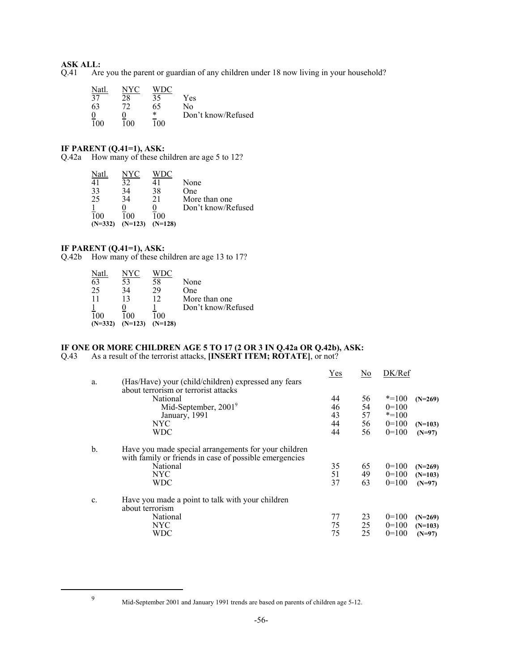# **ASK ALL:**<br>Q.41 Are

Are you the parent or guardian of any children under 18 now living in your household?

| Natl            | NYC | WDC |                    |
|-----------------|-----|-----|--------------------|
| 37              | 28  | 35  | Yes                |
| 63              | 77  | 65  | No                 |
|                 |     | *   | Don't know/Refused |
| $\frac{9}{100}$ | 100 | 00! |                    |

#### **IF PARENT (Q.41=1), ASK:**

Q.42a How many of these children are age 5 to 12?

| Natl             | NYC       |           |                    |
|------------------|-----------|-----------|--------------------|
| 41               | 32        | 41        | None               |
| 33               | 34        | 38        | One                |
| 25               | 34        | 21        | More than one      |
|                  |           |           | Don't know/Refused |
| $\overline{1}00$ | 100       | 100       |                    |
| $(N=332)$        | $(N=123)$ | $(N=128)$ |                    |

#### **IF PARENT (Q.41=1), ASK:**

Q.42b How many of these children are age 13 to 17?

| Natl      | NYC <sup>1</sup> |           |                    |
|-----------|------------------|-----------|--------------------|
| 63        | 53               | 58        | None               |
| 25        | 34               | 29        | One                |
| 11        | 13               | 12        | More than one      |
|           |                  |           | Don't know/Refused |
| 100       | 100              | 100       |                    |
| $(N=332)$ | $(N=123)$        | $(N=128)$ |                    |

#### **IF ONE OR MORE CHILDREN AGE 5 TO 17 (2 OR 3 IN Q.42a OR Q.42b), ASK:** Q.43 As a result of the terrorist attacks, **[INSERT ITEM; ROTATE]**, or not?

|    |                                                        | <b>Yes</b> | $\overline{\text{No}}$ | DK/Ref    |           |
|----|--------------------------------------------------------|------------|------------------------|-----------|-----------|
| a. | (Has/Have) your (child/children) expressed any fears   |            |                        |           |           |
|    | about terrorism or terrorist attacks                   |            |                        |           |           |
|    | National                                               | 44         | 56                     | $* = 100$ | $(N=269)$ |
|    | Mid-September, 2001 <sup>9</sup>                       | 46         | 54                     | $0=100$   |           |
|    | January, 1991                                          | 43         | 57                     | $* = 100$ |           |
|    | <b>NYC</b>                                             | 44         | 56                     | $0=100$   | $(N=103)$ |
|    | <b>WDC</b>                                             | 44         | 56                     | $0=100$   | $(N=97)$  |
|    |                                                        |            |                        |           |           |
| b. | Have you made special arrangements for your children   |            |                        |           |           |
|    | with family or friends in case of possible emergencies |            |                        |           |           |
|    | National                                               | 35         | 65                     | $0=100$   | $(N=269)$ |
|    | <b>NYC</b>                                             | 51         | 49                     | $0=100$   | $(N=103)$ |
|    | <b>WDC</b>                                             | 37         | 63                     | $0=100$   |           |
|    |                                                        |            |                        |           | $(N=97)$  |
|    |                                                        |            |                        |           |           |
| c. | Have you made a point to talk with your children       |            |                        |           |           |
|    | about terrorism                                        |            |                        |           |           |
|    | National                                               | 77         | 23                     | $0=100$   | $(N=269)$ |
|    | NYC                                                    | 75         | 25                     | $0=100$   | $(N=103)$ |
|    | WDC                                                    | 75         | 25                     | $0=100$   | $(N=97)$  |

<sup>9</sup> Mid-September 2001 and January 1991 trends are based on parents of children age 5-12.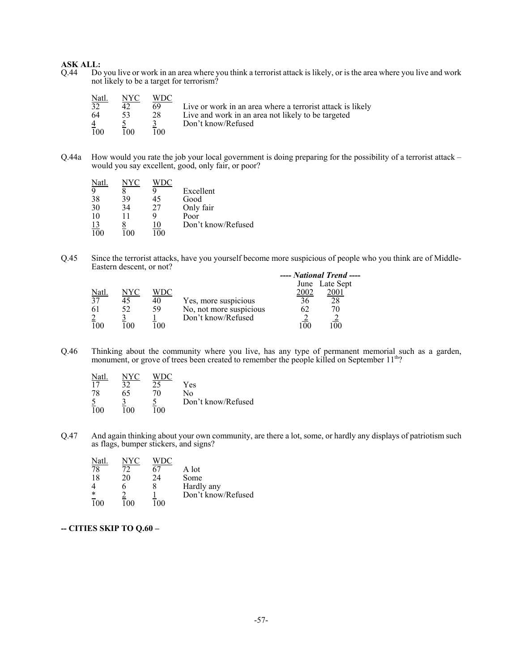# **ASK ALL:**<br>Q.44 Do

Do you live or work in an area where you think a terrorist attack is likely, or is the area where you live and work not likely to be a target for terrorism?

| Natl. | NYC  | WDC  |                                                            |
|-------|------|------|------------------------------------------------------------|
| 32    | 42   | 69   | Live or work in an area where a terrorist attack is likely |
| -64   | 53   | 28   | Live and work in an area not likely to be targeted         |
|       |      |      | Don't know/Refused                                         |
| 100   | 100. | 100. |                                                            |

Q.44a How would you rate the job your local government is doing preparing for the possibility of a terrorist attack – would you say excellent, good, only fair, or poor?

| Natl             | NYC |          |                    |
|------------------|-----|----------|--------------------|
| 9                |     |          | Excellent          |
| 38               | 39  | 45       | Good               |
| 30               | 34  | 27       | Only fair          |
| 10               | 11  |          | Poor               |
| $\frac{13}{100}$ |     | 10       | Don't know/Refused |
|                  | n   | $\Omega$ |                    |

Q.45 Since the terrorist attacks, have you yourself become more suspicious of people who you think are of Middle-Eastern descent, or not?

|       |                |     |                         |      | ---- National Trend ---- |  |
|-------|----------------|-----|-------------------------|------|--------------------------|--|
|       |                |     |                         |      | June Late Sept           |  |
| Natl. | NYC            | WDC |                         | 2002 |                          |  |
| 37    |                | 40  | Yes, more suspicious    |      |                          |  |
| 61    |                | 59  | No, not more suspicious |      |                          |  |
|       |                |     | Don't know/Refused      |      |                          |  |
| 100   | 0 <sup>0</sup> | 00  |                         |      |                          |  |

Q.46 Thinking about the community where you live, has any type of permanent memorial such as a garden, monument, or grove of trees been created to remember the people killed on September 11<sup>th</sup>?

| Natl |     |     |                    |
|------|-----|-----|--------------------|
| 17   | 37  |     | Yes                |
| 78   | 65  | 70  | No                 |
|      |     |     | Don't know/Refused |
| 100  | 1ሰበ | 00! |                    |

Q.47 And again thinking about your own community, are there a lot, some, or hardly any displays of patriotism such as flags, bumper stickers, and signs?

| Natl.  | NYC |          |                    |
|--------|-----|----------|--------------------|
| 78     | 72  |          | A lot              |
| 18     | 20  | 24       | Some               |
|        |     |          | Hardly any         |
| $\ast$ |     |          | Don't know/Refused |
|        |     | $\Omega$ |                    |

#### **-- CITIES SKIP TO Q.60 –**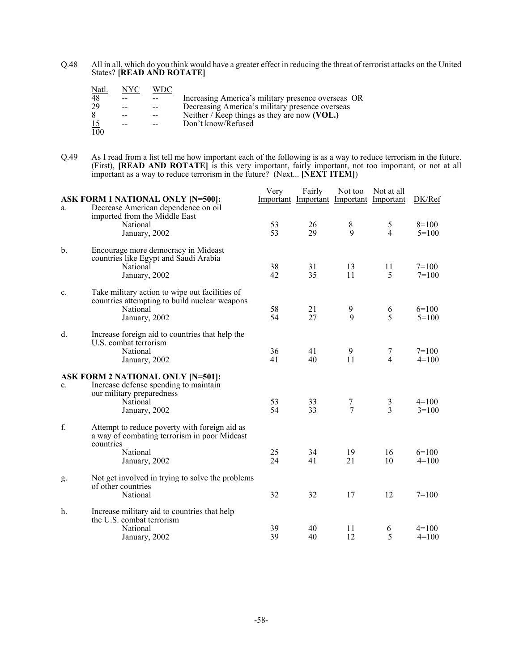Q.48 All in all, which do you think would have a greater effect in reducing the threat of terrorist attacks on the United States? **[READ AND ROTATE]**

| Natl.            | NYC   | WDC |                                                    |
|------------------|-------|-----|----------------------------------------------------|
| 48               |       |     | Increasing America's military presence overseas OR |
| 29               | $- -$ |     | Decreasing America's military presence overseas    |
| 8                | --    |     | Neither / Keep things as they are now (VOL.)       |
| 15               | --    |     | Don't know/Refused                                 |
| $\overline{100}$ |       |     |                                                    |

Q.49 As I read from a list tell me how important each of the following is as a way to reduce terrorism in the future. (First), **[READ AND ROTATE]** is this very important, fairly important, not too important, or not at all important as a way to reduce terrorism in the future? (Next... **[NEXT ITEM]**)

|               | <b>ASK FORM 1 NATIONAL ONLY [N=500]:</b>                                                                                     | Very     | Fairly   | Not too<br>Important Important Important Important | Not at all          | DK/Ref               |
|---------------|------------------------------------------------------------------------------------------------------------------------------|----------|----------|----------------------------------------------------|---------------------|----------------------|
| a.            | Decrease American dependence on oil<br>imported from the Middle East<br>National<br>January, 2002                            | 53<br>53 | 26<br>29 | 8<br>9                                             | 5<br>$\overline{4}$ | $8=100$<br>$5=100$   |
| $\mathbf b$ . | Encourage more democracy in Mideast<br>countries like Egypt and Saudi Arabia<br>National<br>January, 2002                    | 38<br>42 | 31<br>35 | 13<br>11                                           | 11<br>5             | $7 = 100$<br>$7=100$ |
| c.            | Take military action to wipe out facilities of<br>countries attempting to build nuclear weapons<br>National<br>January, 2002 | 58<br>54 | 21<br>27 | 9<br>9                                             | 6<br>5              | $6=100$<br>$5=100$   |
| d.            | Increase foreign aid to countries that help the<br>U.S. combat terrorism<br>National<br>January, 2002                        | 36<br>41 | 41<br>40 | 9<br>11                                            | 7<br>$\overline{4}$ | $7=100$<br>$4=100$   |
|               | ASK FORM 2 NATIONAL ONLY [N=501]:                                                                                            |          |          |                                                    |                     |                      |
| e.            | Increase defense spending to maintain<br>our military preparedness<br>National<br>January, 2002                              | 53<br>54 | 33<br>33 | 7<br>$\overline{7}$                                | $\frac{3}{3}$       | $4=100$<br>$3=100$   |
| f.            | Attempt to reduce poverty with foreign aid as<br>a way of combating terrorism in poor Mideast<br>countries                   |          |          |                                                    |                     |                      |
|               | National<br>January, 2002                                                                                                    | 25<br>24 | 34<br>41 | 19<br>21                                           | 16<br>10            | $6=100$<br>$4=100$   |
| g.            | Not get involved in trying to solve the problems<br>of other countries<br>National                                           | 32       | 32       | 17                                                 | 12                  | $7=100$              |
| h.            | Increase military aid to countries that help                                                                                 |          |          |                                                    |                     |                      |
|               | the U.S. combat terrorism<br>National<br>January, 2002                                                                       | 39<br>39 | 40<br>40 | 11<br>12                                           | 6<br>5              | $4=100$<br>$4=100$   |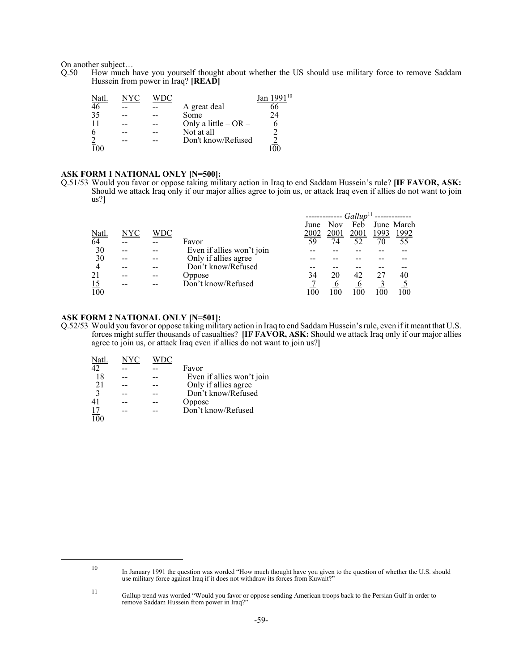On another subject…

Q.50 How much have you yourself thought about whether the US should use military force to remove Saddam Hussein from power in Iraq? **[READ]**

| Natl           |  |                          | 110<br>Jan 199 |
|----------------|--|--------------------------|----------------|
| 46             |  | A great deal             | 66             |
| 35             |  | Some                     | 24             |
| 11             |  | Only a little $-$ OR $-$ |                |
| 6              |  | Not at all               |                |
| $\overline{2}$ |  | Don't know/Refused       |                |
|                |  |                          |                |

#### **ASK FORM 1 NATIONAL ONLY [N=500]:**

Q.51/53 Would you favor or oppose taking military action in Iraq to end Saddam Hussein's rule? **[IF FAVOR, ASK:** Should we attack Iraq only if our major allies agree to join us, or attack Iraq even if allies do not want to join us?**]**

|                  |     |     |                           |      |      | $------Gallup11$ |               |              |
|------------------|-----|-----|---------------------------|------|------|------------------|---------------|--------------|
|                  |     |     |                           | June | Nov  | Feb              |               | June March   |
| <u>Natl.</u>     | NYC | WDC |                           | 2002 | 2001 | 2001             | <u> 1993 </u> | <u> 1992</u> |
| 64               |     |     | Favor                     | 59   | 74   | 52               | 70            | 55           |
| 30               |     |     | Even if allies won't join |      |      |                  |               |              |
| 30               |     |     | Only if allies agree      |      |      |                  |               |              |
| $\overline{4}$   |     |     | Don't know/Refused        |      |      |                  |               |              |
| 21               |     |     | Oppose                    | 34   | 20   | 42               |               | 40           |
| $\frac{15}{100}$ |     |     | Don't know/Refused        |      | O    |                  |               |              |
|                  |     |     |                           | 100  |      | -00              |               |              |

#### **ASK FORM 2 NATIONAL ONLY [N=501]:**

Q.52/53 Would you favor or oppose taking military action in Iraq to end Saddam Hussein's rule, even if it meant that U.S. forces might suffer thousands of casualties? **[IF FAVOR, ASK:** Should we attack Iraq only if our major allies agree to join us, or attack Iraq even if allies do not want to join us?**]**

| Natl.            | NYC |                           |
|------------------|-----|---------------------------|
| 42               |     | Favor                     |
| 18               |     | Even if allies won't join |
| 2.1              |     | Only if allies agree      |
| $\mathbf{3}$     |     | Don't know/Refused        |
|                  |     | Oppose                    |
| $\frac{17}{100}$ |     | Don't know/Refused        |
|                  |     |                           |

<sup>10</sup> In January 1991 the question was worded "How much thought have you given to the question of whether the U.S. should use military force against Iraq if it does not withdraw its forces from Kuwait?"

<sup>11</sup> Gallup trend was worded "Would you favor or oppose sending American troops back to the Persian Gulf in order to remove Saddam Hussein from power in Iraq?"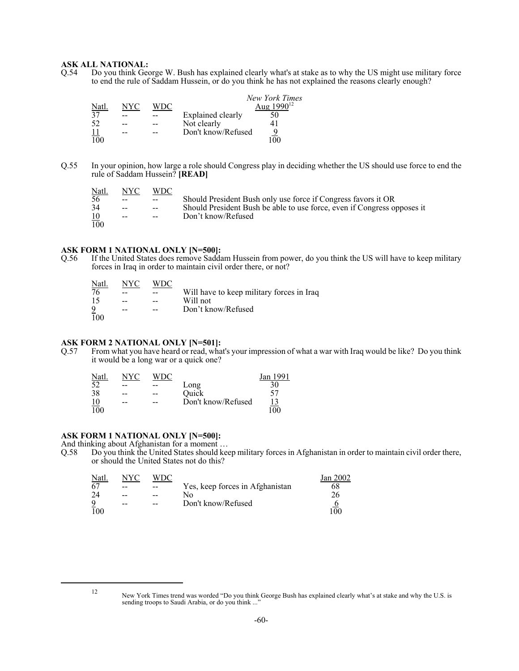#### **ASK ALL NATIONAL:**

Q.54 Do you think George W. Bush has explained clearly what's at stake as to why the US might use military force to end the rule of Saddam Hussein, or do you think he has not explained the reasons clearly enough?

|       |     |      |                    | New York Times  |
|-------|-----|------|--------------------|-----------------|
| Natl. | NYC | WDC. |                    | Aug $1990^{12}$ |
| 37    |     |      | Explained clearly  |                 |
| 52    |     |      | Not clearly        |                 |
|       |     |      | Don't know/Refused |                 |
| 100   |     |      |                    |                 |

Q.55 In your opinion, how large a role should Congress play in deciding whether the US should use force to end the rule of Saddam Hussein? **[READ]**

| <u>Natl.</u> | NYC-          | <b>WDC</b>    |                                                                         |
|--------------|---------------|---------------|-------------------------------------------------------------------------|
| 56.          | $\sim$ $\sim$ | $\sim$ $\sim$ | Should President Bush only use force if Congress favors it OR           |
| 34           | $-$           | $\sim$ $\sim$ | Should President Bush be able to use force, even if Congress opposes it |
| <u>10</u>    | $\sim$        | $\sim$ $\sim$ | Don't know/Refused                                                      |
| 100          |               |               |                                                                         |

#### **ASK FORM 1 NATIONAL ONLY [N=500]:**

Q.56 If the United States does remove Saddam Hussein from power, do you think the US will have to keep military forces in Iraq in order to maintain civil order there, or not?

| <u>Natl.</u>    | NYC   | WDC- |                                           |
|-----------------|-------|------|-------------------------------------------|
| $\overline{76}$ | --    |      | Will have to keep military forces in Iraq |
| 15              | $- -$ | $-$  | Will not                                  |
| $\overline{9}$  | --    |      | Don't know/Refused                        |
| 100             |       |      |                                           |

# **ASK FORM 2 NATIONAL ONLY [N=501]:**<br>Q.57 From what you have heard or read, wha

From what you have heard or read, what's your impression of what a war with Iraq would be like? Do you think it would be a long war or a quick one?

| Natl.            | NYC |    |                    | Jan 1991 |
|------------------|-----|----|--------------------|----------|
| 52               | --  |    | Long               | 30       |
| 38               | --  | -- | Quick              |          |
| 10               | --  | -- | Don't know/Refused |          |
| $\overline{100}$ |     |    |                    | 100      |

#### **ASK FORM 1 NATIONAL ONLY [N=500]:**

And thinking about Afghanistan for a moment ...<br>Q.58 Do you think the United States should kee

Do you think the United States should keep military forces in Afghanistan in order to maintain civil order there, or should the United States not do this?

| Natl.          | NYC | WDC |                                 | Jan 2002 |
|----------------|-----|-----|---------------------------------|----------|
| 67             | --  | --  | Yes, keep forces in Afghanistan | 68       |
| 24             | --  | --  | Nο                              | 26       |
| $\overline{9}$ | --  | --  | Don't know/Refused              |          |
| 100            |     |     |                                 | 100      |

<sup>12</sup> New York Times trend was worded "Do you think George Bush has explained clearly what's at stake and why the U.S. is sending troops to Saudi Arabia, or do you think ...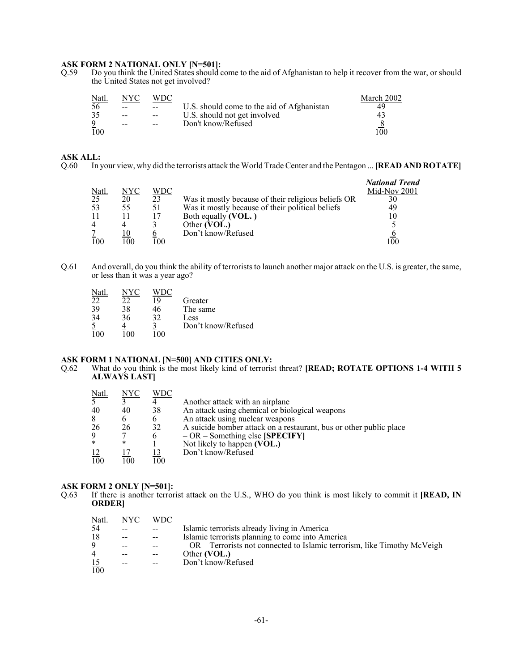# **ASK FORM 2 NATIONAL ONLY [N=501]:**<br>Q.59 Do you think the United States should o

Do you think the United States should come to the aid of Afghanistan to help it recover from the war, or should the United States not get involved?

| <u>Natl.</u> | NYC   | WDC   |                                            | March 2002 |
|--------------|-------|-------|--------------------------------------------|------------|
| 56           | $- -$ | $-$   | U.S. should come to the aid of Afghanistan | 49         |
| 35           | $-$   | $-$   | U.S. should not get involved               | 43         |
| Q            | --    | $- -$ | Don't know/Refused                         |            |
| 100          |       |       |                                            | 100        |

#### **ASK ALL:**

Q.60 In your view, why did the terrorists attack the World Trade Center and the Pentagon ... **[READ AND ROTATE]**

|                          |     |     |                                                     | <b>National Trend</b> |
|--------------------------|-----|-----|-----------------------------------------------------|-----------------------|
| $\frac{\text{Natl}}{25}$ | NYC | WDC |                                                     | Mid-Nov 2001          |
|                          | 20  | 23  | Was it mostly because of their religious beliefs OR | 30                    |
| 53                       | 55  |     | Was it mostly because of their political beliefs    | 49                    |
|                          |     |     | Both equally (VOL.)                                 |                       |
| $\overline{4}$           |     |     | Other (VOL.)                                        |                       |
|                          |     |     | Don't know/Refused                                  |                       |
| 100                      | 00  | 00  |                                                     | 00                    |

Q.61 And overall, do you think the ability of terrorists to launch another major attack on the U.S. is greater, the same, or less than it was a year ago?

| Natl | NYC | WDC. |                    |
|------|-----|------|--------------------|
| 22   | 22  | 19   | Greater            |
| 39   | 38  | 46   | The same           |
| 34   | 36  | 32   | Less               |
|      |     |      | Don't know/Refused |
|      |     |      |                    |

# **ASK FORM 1 NATIONAL [N=500] AND CITIES ONLY:**<br>Q.62 What do you think is the most likely kind of terroris

What do you think is the most likely kind of terrorist threat? **[READ; ROTATE OPTIONS 1-4 WITH 5 ALWAYS LAST]**

| Natl.            | NYC | WDC |                                                                    |
|------------------|-----|-----|--------------------------------------------------------------------|
| 5 <sup>1</sup>   |     |     | Another attack with an airplane                                    |
| 40               | 40  | 38  | An attack using chemical or biological weapons                     |
| 8                | 6   | 6   | An attack using nuclear weapons                                    |
| 26               | 26  | 32  | A suicide bomber attack on a restaurant, bus or other public place |
| 9                |     |     | $-OR$ – Something else [SPECIFY]                                   |
| $\star$          | *   |     | Not likely to happen (VOL.)                                        |
| 12               |     |     | Don't know/Refused                                                 |
| $\overline{10}0$ | 100 | 100 |                                                                    |

# **ASK FORM 2 ONLY [N=501]:**<br>Q.63 If there is another terror

If there is another terrorist attack on the U.S., WHO do you think is most likely to commit it **[READ, IN ORDER]**

| <u>Natl.</u>     | NYC | WDC |                                                                             |
|------------------|-----|-----|-----------------------------------------------------------------------------|
| 54               |     |     | Islamic terrorists already living in America                                |
| 18               |     |     | Islamic terrorists planning to come into America                            |
| 9                |     |     | $-OR$ – Terrorists not connected to Islamic terrorism, like Timothy McVeigh |
| 4                |     |     | Other (VOL.)                                                                |
|                  | $-$ |     | Don't know/Refused                                                          |
| $\frac{15}{100}$ |     |     |                                                                             |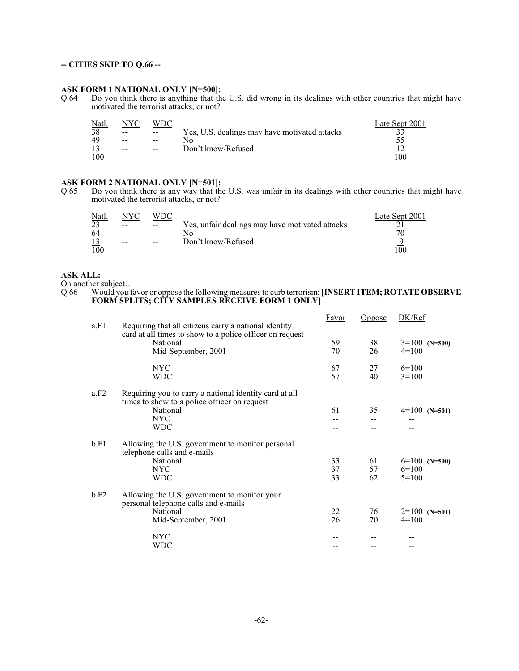#### **-- CITIES SKIP TO Q.66 --**

#### **ASK FORM 1 NATIONAL ONLY [N=500]:**

Q.64 Do you think there is anything that the U.S. did wrong in its dealings with other countries that might have motivated the terrorist attacks, or not?

| Natl. | NYC   | WDC               |                                               | Late Sept 2001 |
|-------|-------|-------------------|-----------------------------------------------|----------------|
| 38    | $- -$ | $\hspace{0.05cm}$ | Yes, U.S. dealings may have motivated attacks |                |
| 49    | $-$   | --                |                                               |                |
|       | $-$   | $- -$             | Don't know/Refused                            |                |
| 100   |       |                   |                                               | 100            |

**ASK FORM 2 NATIONAL ONLY [N=501]:**<br>Q.65 Do you think there is any way that the Do you think there is any way that the U.S. was unfair in its dealings with other countries that might have motivated the terrorist attacks, or not?

| Natl. | NYC   | WDC                                            |                                                 | Late Sept 2001 |
|-------|-------|------------------------------------------------|-------------------------------------------------|----------------|
| 23    | $- -$ | $\hspace{0.1mm}-\hspace{0.1mm}-\hspace{0.1mm}$ | Yes, unfair dealings may have motivated attacks |                |
| 64    | $-$   | $- -$                                          |                                                 |                |
|       | $-$   | $-$                                            | Don't know/Refused                              |                |
| 100   |       |                                                |                                                 | 00             |

#### **ASK ALL:**

On another subject...<br>Q.66 Would you fa Would you favor or oppose the following measures to curb terrorism: [INSERT ITEM; ROTATE OBSERVE **FORM SPLITS; CITY SAMPLES RECEIVE FORM 1 ONLY]**

| a.F1 | Requiring that all citizens carry a national identity                                                                                    | Favor          | Oppose         | DK/Ref                                |
|------|------------------------------------------------------------------------------------------------------------------------------------------|----------------|----------------|---------------------------------------|
|      | card at all times to show to a police officer on request<br>National<br>Mid-September, 2001                                              | 59<br>70       | 38<br>26       | $3=100$ (N=500)<br>$4=100$            |
|      | NYC.<br><b>WDC</b>                                                                                                                       | 67<br>57       | 27<br>40       | $6=100$<br>$3=100$                    |
| a.F2 | Requiring you to carry a national identity card at all<br>times to show to a police officer on request<br>National<br>NYC.<br><b>WDC</b> | 61             | 35             | $4=100$ (N=501)                       |
| b.F1 | Allowing the U.S. government to monitor personal<br>telephone calls and e-mails<br>National<br>NYC<br>WDC                                | 33<br>37<br>33 | 61<br>57<br>62 | $6=100$ (N=500)<br>$6=100$<br>$5=100$ |
| b.F2 | Allowing the U.S. government to monitor your<br>personal telephone calls and e-mails<br>National<br>Mid-September, 2001                  | 22<br>26       | 76<br>70       | $2=100$ (N=501)<br>$4=100$            |
|      | NYC<br>WDC                                                                                                                               |                |                |                                       |